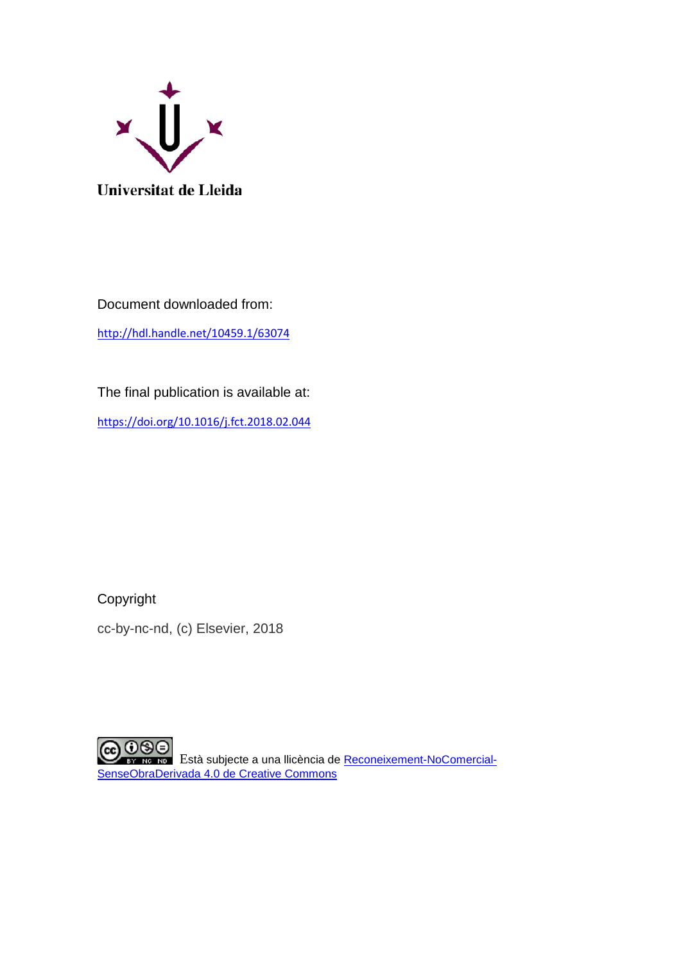

Document downloaded from: <http://hdl.handle.net/10459.1/63074>

The final publication is available at:

<https://doi.org/10.1016/j.fct.2018.02.044>

Copyright

cc-by-nc-nd, (c) Elsevier, 2018

CO O S Està subjecte a una llicència de [Reconeixement-NoComercial-](http://creativecommons.org/licenses/by-nc-nd/4.0/)[SenseObraDerivada 4.0 de Creative Commons](http://creativecommons.org/licenses/by-nc-nd/4.0/)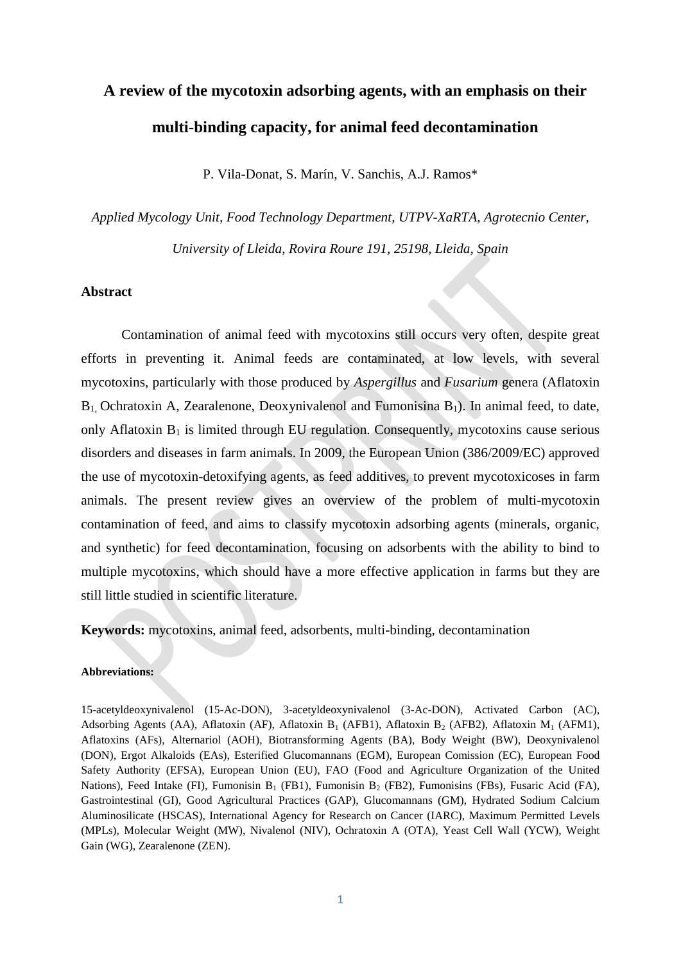# **A review of the mycotoxin adsorbing agents, with an emphasis on their multi-binding capacity, for animal feed decontamination**

P. Vila-Donat, S. Marín, V. Sanchis, A.J. Ramos\*

*Applied Mycology Unit, Food Technology Department, UTPV-XaRTA, Agrotecnio Center, University of Lleida, Rovira Roure 191, 25198, Lleida, Spain*

#### **Abstract**

Contamination of animal feed with mycotoxins still occurs very often, despite great efforts in preventing it. Animal feeds are contaminated, at low levels, with several mycotoxins, particularly with those produced by *Aspergillus* and *Fusarium* genera (Aflatoxin  $B_1$ , Ochratoxin A, Zearalenone, Deoxynivalenol and Fumonisina  $B_1$ ). In animal feed, to date, only Aflatoxin  $B_1$  is limited through EU regulation. Consequently, mycotoxins cause serious disorders and diseases in farm animals. In 2009, the European Union (386/2009/EC) approved the use of mycotoxin-detoxifying agents, as feed additives, to prevent mycotoxicoses in farm animals. The present review gives an overview of the problem of multi-mycotoxin contamination of feed, and aims to classify mycotoxin adsorbing agents (minerals, organic, and synthetic) for feed decontamination, focusing on adsorbents with the ability to bind to multiple mycotoxins, which should have a more effective application in farms but they are still little studied in scientific literature.

**Keywords:** mycotoxins, animal feed, adsorbents, multi-binding, decontamination

#### **Abbreviations:**

15-acetyldeoxynivalenol (15-Ac-DON), [3-acetyldeoxynivalenol](https://www.google.es/url?sa=t&rct=j&q=&esrc=s&source=web&cd=2&cad=rja&uact=8&ved=0ahUKEwjplJey5czXAhVPzqQKHUujBl0QFggxMAE&url=http%3A%2F%2Fwww.sigmaaldrich.com%2Fcatalog%2Fproduct%2Fsigma%2Fa6166&usg=AOvVaw1Xg4ns49WcKrm9DZ0c_97e) (3-Ac-DON), Activated Carbon (AC), Adsorbing Agents (AA), Aflatoxin (AF), Aflatoxin B<sub>1</sub> (AFB1), Aflatoxin B<sub>2</sub> (AFB2), Aflatoxin M<sub>1</sub> (AFM1), Aflatoxins (AFs), Alternariol (AOH), Biotransforming Agents (BA), Body Weight (BW), Deoxynivalenol (DON), Ergot Alkaloids (EAs), Esterified Glucomannans (EGM), European Comission (EC), European Food Safety Authority (EFSA), European Union (EU), FAO (Food and Agriculture Organization of the United Nations), Feed Intake (FI), Fumonisin B<sub>1</sub> (FB1), Fumonisin B<sub>2</sub> (FB2), Fumonisins (FBs), Fusaric Acid (FA), Gastrointestinal (GI), Good Agricultural Practices (GAP), Glucomannans (GM), Hydrated Sodium Calcium Aluminosilicate (HSCAS), International Agency for Research on Cancer (IARC), Maximum Permitted Levels (MPLs), Molecular Weight (MW), Nivalenol (NIV), Ochratoxin A (OTA), Yeast Cell Wall (YCW), Weight Gain (WG), Zearalenone (ZEN).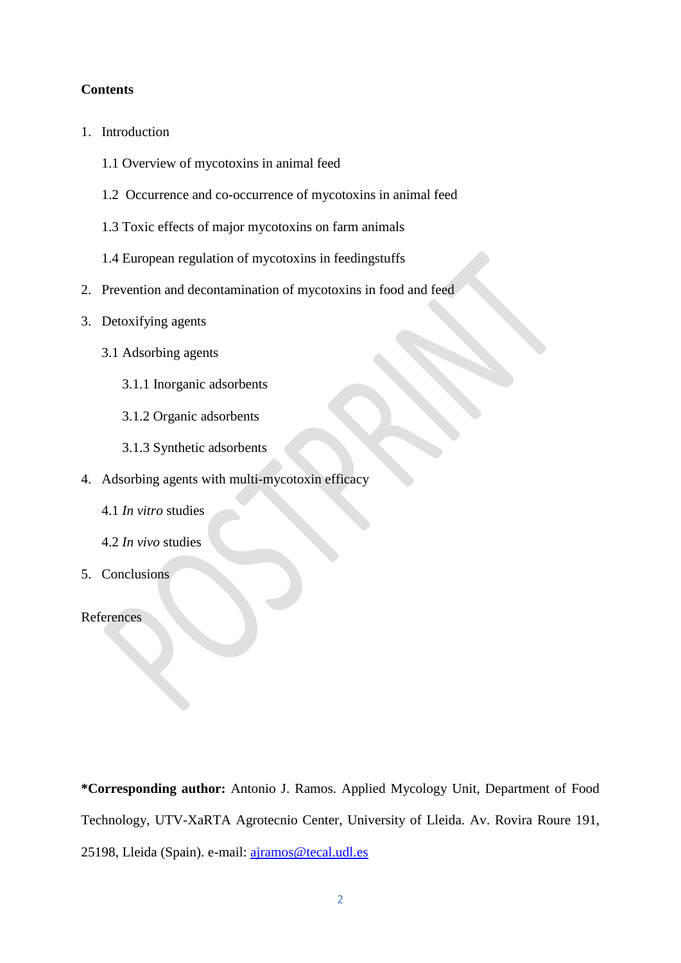# **Contents**

- 1. Introduction
	- 1.1 Overview of mycotoxins in animal feed
	- 1.2 Occurrence and co-occurrence of mycotoxins in animal feed
	- 1.3 Toxic effects of major mycotoxins on farm animals
	- 1.4 European regulation of mycotoxins in feedingstuffs
- 2. Prevention and decontamination of mycotoxins in food and feed
- 3. Detoxifying agents
	- 3.1 Adsorbing agents
		- 3.1.1 Inorganic adsorbents
		- 3.1.2 Organic adsorbents
		- 3.1.3 Synthetic adsorbents
- 4. Adsorbing agents with multi-mycotoxin efficacy
	- 4.1 *In vitro* studies
	- 4.2 *In vivo* studies
- 5. Conclusions

#### References

**\*Corresponding author:** Antonio J. Ramos. Applied Mycology Unit, Department of Food Technology, UTV-XaRTA Agrotecnio Center, University of Lleida. Av. Rovira Roure 191, 25198, Lleida (Spain). e-mail: [ajramos@tecal.udl.es](mailto:ajramos@tecal.udl.es)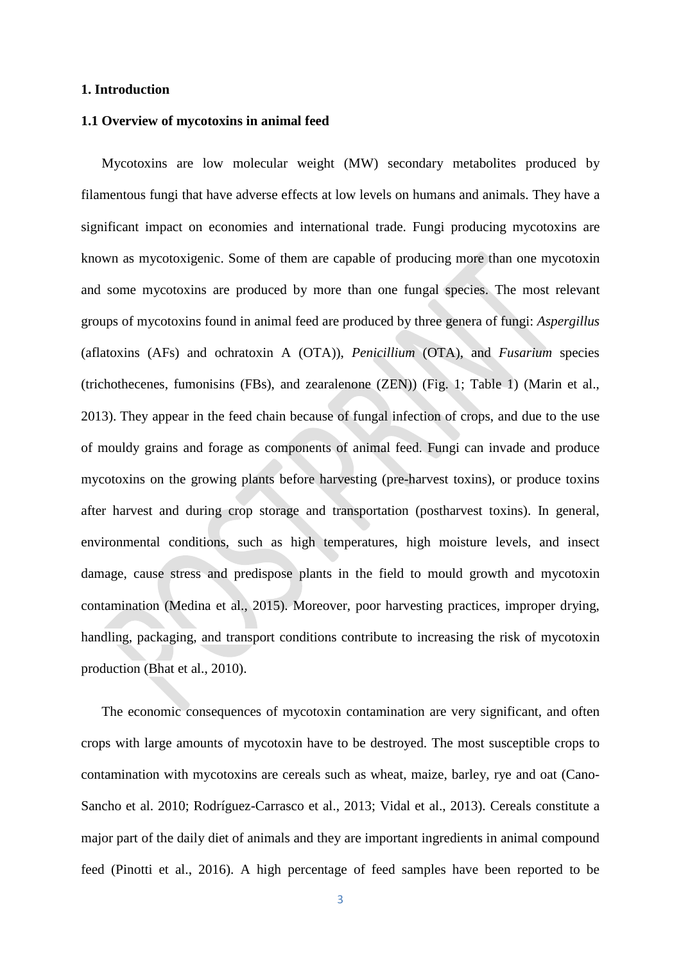#### **1. Introduction**

# **1.1 Overview of mycotoxins in animal feed**

Mycotoxins are low molecular weight (MW) secondary metabolites produced by filamentous fungi that have adverse effects at low levels on humans and animals. They have a significant impact on economies and international trade. Fungi producing mycotoxins are known as mycotoxigenic. Some of them are capable of producing more than one mycotoxin and some mycotoxins are produced by more than one fungal species. The most relevant groups of mycotoxins found in animal feed are produced by three genera of fungi: *Aspergillus*  (aflatoxins (AFs) and ochratoxin A (OTA)), *Penicillium* (OTA), and *Fusarium* species (trichothecenes, fumonisins (FBs), and zearalenone (ZEN)) (Fig. 1; Table 1) (Marin et al., 2013). They appear in the feed chain because of fungal infection of crops, and due to the use of mouldy grains and forage as components of animal feed. Fungi can invade and produce mycotoxins on the growing plants before harvesting (pre-harvest toxins), or produce toxins after harvest and during crop storage and transportation (postharvest toxins). In general, environmental conditions, such as high temperatures, high moisture levels, and insect damage, cause stress and predispose plants in the field to mould growth and mycotoxin contamination (Medina et al., 2015). Moreover, poor harvesting practices, improper drying, handling, packaging, and transport conditions contribute to increasing the risk of mycotoxin production (Bhat et al., 2010).

The economic consequences of mycotoxin contamination are very significant, and often crops with large amounts of mycotoxin have to be destroyed. The most susceptible crops to contamination with mycotoxins are cereals such as wheat, maize, barley, rye and oat (Cano-Sancho et al. 2010; Rodríguez-Carrasco et al., 2013; Vidal et al., 2013). Cereals constitute a major part of the daily diet of animals and they are important ingredients in animal compound feed (Pinotti et al., 2016). A high percentage of feed samples have been reported to be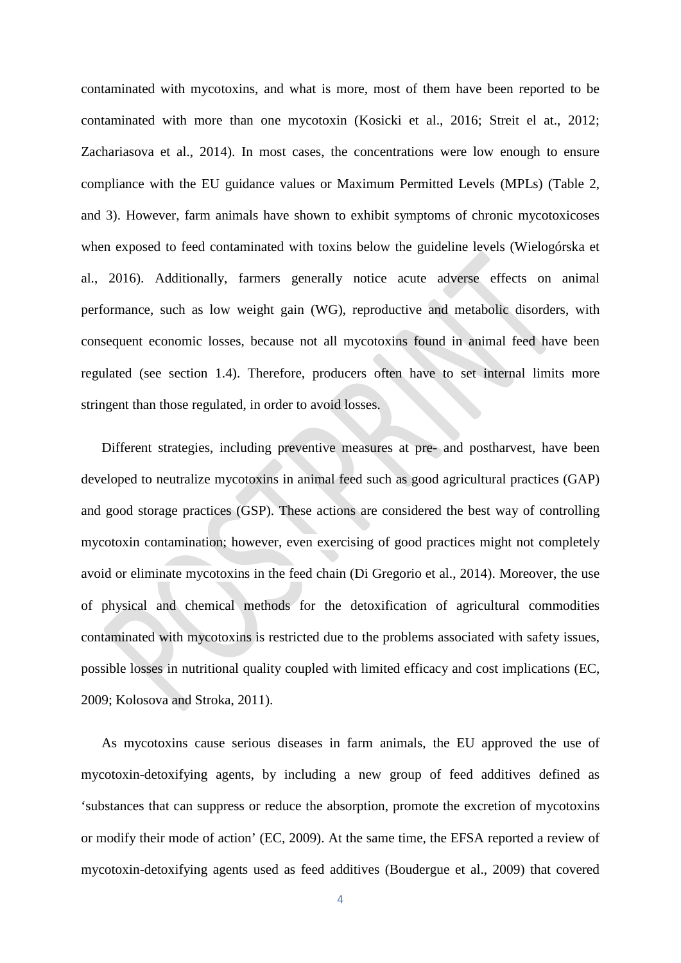contaminated with mycotoxins, and what is more, most of them have been reported to be contaminated with more than one mycotoxin (Kosicki et al., 2016; Streit el at., 2012; Zachariasova et al., 2014). In most cases, the concentrations were low enough to ensure compliance with the EU guidance values or Maximum Permitted Levels (MPLs) (Table 2, and 3). However, farm animals have shown to exhibit symptoms of chronic mycotoxicoses when exposed to feed contaminated with toxins below the guideline levels (Wielogórska et al., 2016). Additionally, farmers generally notice acute adverse effects on animal performance, such as low weight gain (WG), reproductive and metabolic disorders, with consequent economic losses, because not all mycotoxins found in animal feed have been regulated (see section 1.4). Therefore, producers often have to set internal limits more stringent than those regulated, in order to avoid losses.

Different strategies, including preventive measures at pre- and postharvest, have been developed to neutralize mycotoxins in animal feed such as good agricultural practices (GAP) and good storage practices (GSP). These actions are considered the best way of controlling mycotoxin contamination; however, even exercising of good practices might not completely avoid or eliminate mycotoxins in the feed chain (Di Gregorio et al., 2014). Moreover, the use of physical and chemical methods for the detoxification of agricultural commodities contaminated with mycotoxins is restricted due to the problems associated with safety issues, possible losses in nutritional quality coupled with limited efficacy and cost implications (EC, 2009; Kolosova and Stroka, 2011).

As mycotoxins cause serious diseases in farm animals, the EU approved the use of mycotoxin-detoxifying agents, by including a new group of feed additives defined as 'substances that can suppress or reduce the absorption, promote the excretion of mycotoxins or modify their mode of action' (EC, 2009). At the same time, the EFSA reported a review of mycotoxin-detoxifying agents used as feed additives (Boudergue et al., 2009) that covered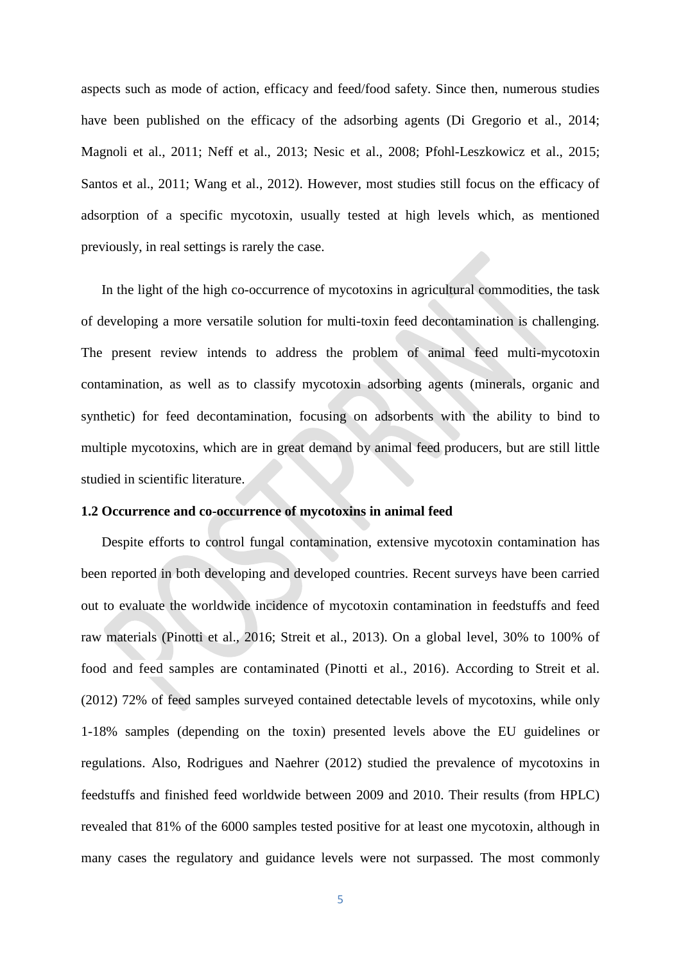aspects such as mode of action, efficacy and feed/food safety. Since then, numerous studies have been published on the efficacy of the adsorbing agents (Di Gregorio et al., 2014; Magnoli et al., 2011; Neff et al., 2013; Nesic et al., 2008; Pfohl-Leszkowicz et al., 2015; Santos et al., 2011; Wang et al., 2012). However, most studies still focus on the efficacy of adsorption of a specific mycotoxin, usually tested at high levels which, as mentioned previously, in real settings is rarely the case.

In the light of the high co-occurrence of mycotoxins in agricultural commodities, the task of developing a more versatile solution for multi-toxin feed decontamination is challenging. The present review intends to address the problem of animal feed multi-mycotoxin contamination, as well as to classify mycotoxin adsorbing agents (minerals, organic and synthetic) for feed decontamination, focusing on adsorbents with the ability to bind to multiple mycotoxins, which are in great demand by animal feed producers, but are still little studied in scientific literature.

### **1.2 Occurrence and co-occurrence of mycotoxins in animal feed**

Despite efforts to control fungal contamination, extensive mycotoxin contamination has been reported in both developing and developed countries. Recent surveys have been carried out to evaluate the worldwide incidence of mycotoxin contamination in feedstuffs and feed raw materials (Pinotti et al., 2016; Streit et al., 2013). On a global level, 30% to 100% of food and feed samples are contaminated (Pinotti et al., 2016). According to Streit et al. (2012) 72% of feed samples surveyed contained detectable levels of mycotoxins, while only 1-18% samples (depending on the toxin) presented levels above the EU guidelines or regulations. Also, Rodrigues and Naehrer (2012) studied the prevalence of mycotoxins in feedstuffs and finished feed worldwide between 2009 and 2010. Their results (from HPLC) revealed that 81% of the 6000 samples tested positive for at least one mycotoxin, although in many cases the regulatory and guidance levels were not surpassed. The most commonly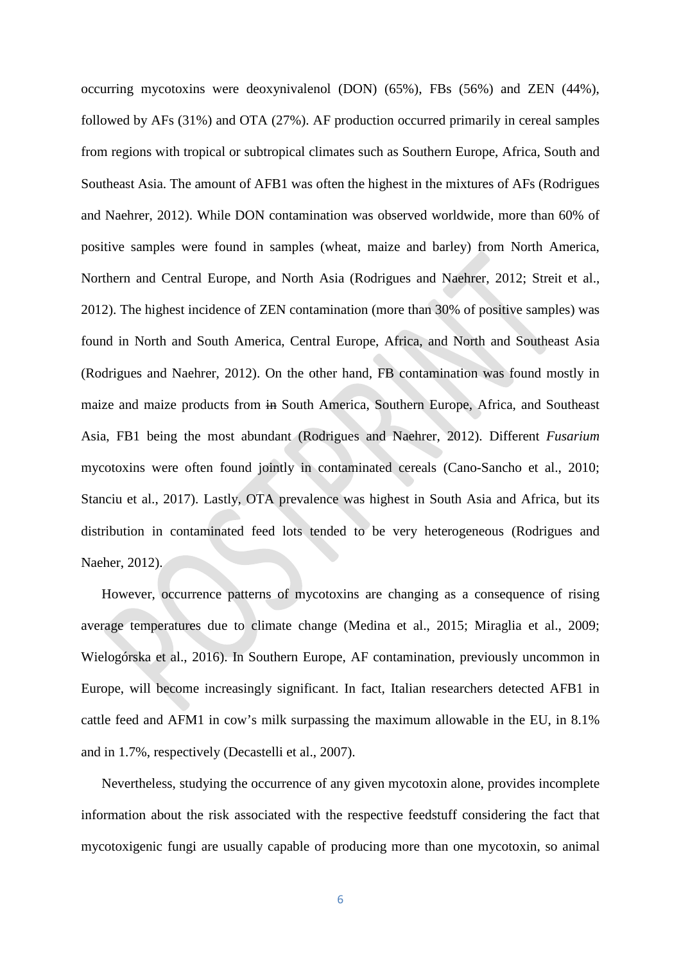occurring mycotoxins were deoxynivalenol (DON) (65%), FBs (56%) and ZEN (44%), followed by AFs (31%) and OTA (27%). AF production occurred primarily in cereal samples from regions with tropical or subtropical climates such as Southern Europe, Africa, South and Southeast Asia. The amount of AFB1 was often the highest in the mixtures of AFs (Rodrigues and Naehrer, 2012). While DON contamination was observed worldwide, more than 60% of positive samples were found in samples (wheat, maize and barley) from North America, Northern and Central Europe, and North Asia (Rodrigues and Naehrer, 2012; Streit et al., 2012). The highest incidence of ZEN contamination (more than 30% of positive samples) was found in North and South America, Central Europe, Africa, and North and Southeast Asia (Rodrigues and Naehrer, 2012). On the other hand, FB contamination was found mostly in maize and maize products from in South America, Southern Europe, Africa, and Southeast Asia, FB1 being the most abundant (Rodrigues and Naehrer, 2012). Different *Fusarium* mycotoxins were often found jointly in contaminated cereals (Cano-Sancho et al., 2010; Stanciu et al., 2017). Lastly, OTA prevalence was highest in South Asia and Africa, but its distribution in contaminated feed lots tended to be very heterogeneous (Rodrigues and Naeher, 2012).

However, occurrence patterns of mycotoxins are changing as a consequence of rising average temperatures due to climate change (Medina et al., 2015; Miraglia et al., 2009; Wielogórska et al., 2016). In Southern Europe, AF contamination, previously uncommon in Europe, will become increasingly significant. In fact, Italian researchers detected AFB1 in cattle feed and AFM1 in cow's milk surpassing the maximum allowable in the EU, in 8.1% and in 1.7%, respectively (Decastelli et al., 2007).

Nevertheless, studying the occurrence of any given mycotoxin alone, provides incomplete information about the risk associated with the respective feedstuff considering the fact that mycotoxigenic fungi are usually capable of producing more than one mycotoxin, so animal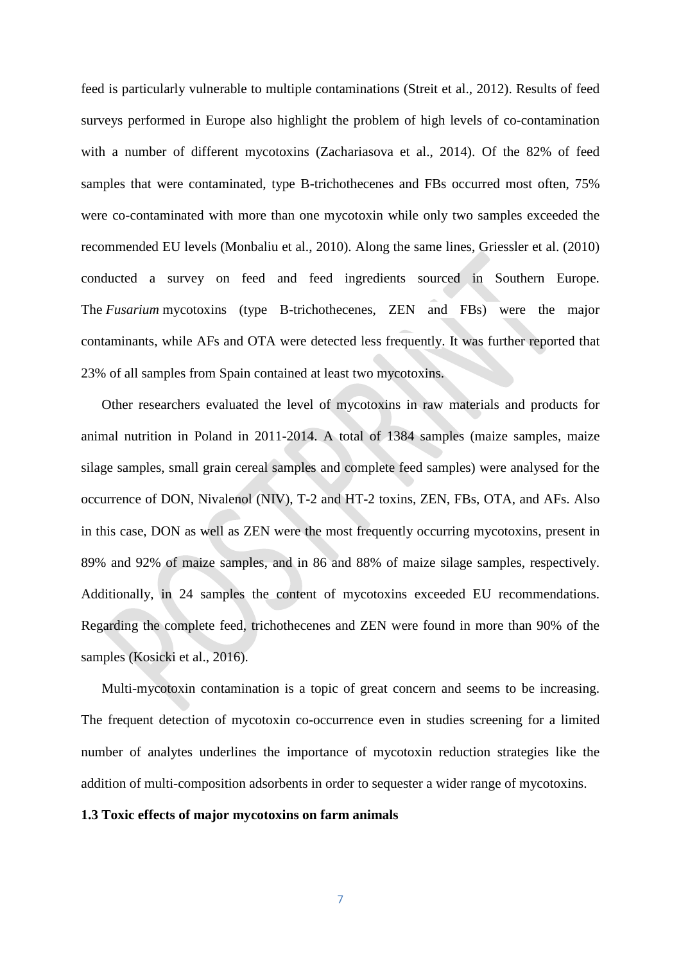feed is particularly vulnerable to multiple contaminations (Streit et al., 2012). Results of feed surveys performed in Europe also highlight the problem of high levels of co-contamination with a number of different mycotoxins (Zachariasova et al., 2014). Of the 82% of feed samples that were contaminated, type B-trichothecenes and FBs occurred most often, 75% were co-contaminated with more than one mycotoxin while only two samples exceeded the recommended EU levels (Monbaliu et al., 2010). Along the same lines, Griessler et al. (2010) conducted a survey on feed and feed ingredients sourced in Southern Europe. The *Fusarium* mycotoxins (type B-trichothecenes, ZEN and FBs) were the major contaminants, while AFs and OTA were detected less frequently. It was further reported that 23% of all samples from Spain contained at least two mycotoxins.

Other researchers evaluated the level of mycotoxins in raw materials and products for animal nutrition in Poland in 2011-2014. A total of 1384 samples (maize samples, maize silage samples, small grain cereal samples and complete feed samples) were analysed for the occurrence of DON, Nivalenol (NIV), T-2 and HT-2 toxins, ZEN, FBs, OTA, and AFs. Also in this case, DON as well as ZEN were the most frequently occurring mycotoxins, present in 89% and 92% of maize samples, and in 86 and 88% of maize silage samples, respectively. Additionally, in 24 samples the content of mycotoxins exceeded EU recommendations. Regarding the complete feed, trichothecenes and ZEN were found in more than 90% of the samples [\(Kosicki](http://www.sciencedirect.com/science/article/pii/S0377840116301018%23!) et al., 2016).

Multi-mycotoxin contamination is a topic of great concern and seems to be increasing. The frequent detection of mycotoxin co-occurrence even in studies screening for a limited number of analytes underlines the importance of mycotoxin reduction strategies like the addition of multi-composition adsorbents in order to sequester a wider range of mycotoxins.

#### **1.3 Toxic effects of major mycotoxins on farm animals**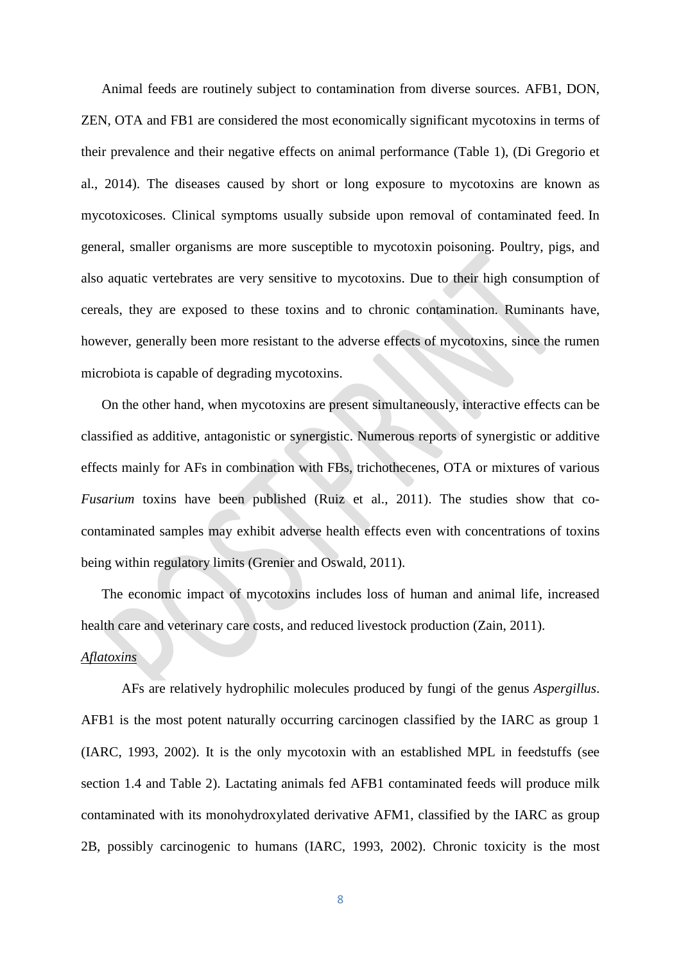Animal feeds are routinely subject to contamination from diverse sources. AFB1, DON, ZEN, OTA and FB1 are considered the most economically significant mycotoxins in terms of their prevalence and their negative effects on animal performance (Table 1), (Di Gregorio et al., 2014). The diseases caused by short or long exposure to mycotoxins are known as mycotoxicoses. Clinical symptoms usually subside upon removal of contaminated feed. In general, smaller organisms are more susceptible to mycotoxin poisoning. Poultry, pigs, and also aquatic vertebrates are very sensitive to mycotoxins. Due to their high consumption of cereals, they are exposed to these toxins and to chronic contamination. Ruminants have, however, generally been more resistant to the adverse effects of mycotoxins, since the rumen microbiota is capable of degrading mycotoxins.

On the other hand, when mycotoxins are present simultaneously, interactive effects can be classified as additive, antagonistic or synergistic. Numerous reports of synergistic or additive effects mainly for AFs in combination with FBs, trichothecenes, OTA or mixtures of various *Fusarium* toxins have been published (Ruiz et al., 2011). The studies show that cocontaminated samples may exhibit adverse health effects even with concentrations of toxins being within regulatory limits (Grenier and Oswald, 2011).

The economic impact of mycotoxins includes loss of human and animal life, increased health care and veterinary care costs, and reduced livestock production (Zain, 2011).

# *Aflatoxins*

AFs are relatively hydrophilic molecules produced by fungi of the genus *Aspergillus*. AFB1 is the most potent naturally occurring carcinogen classified by the IARC as group 1 (IARC, 1993, 2002). It is the only mycotoxin with an established MPL in feedstuffs (see section 1.4 and Table 2). Lactating animals fed AFB1 contaminated feeds will produce milk contaminated with its monohydroxylated derivative AFM1, classified by the IARC as group 2B, possibly carcinogenic to humans (IARC, 1993, 2002). Chronic toxicity is the most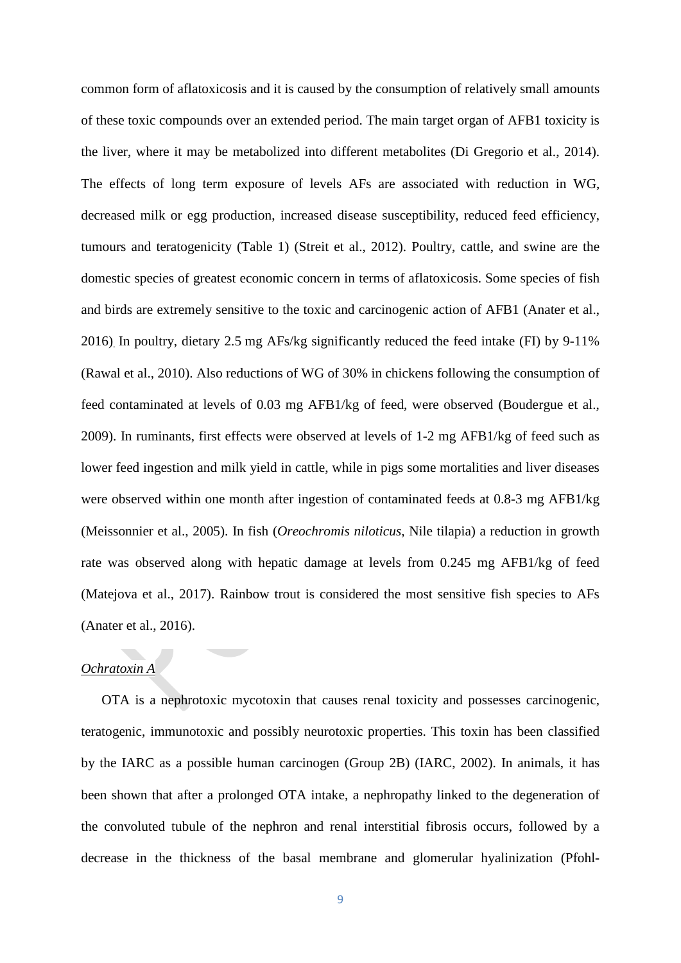common form of aflatoxicosis and it is caused by the consumption of relatively small amounts of these toxic compounds over an extended period. The main target organ of AFB1 toxicity is the liver, where it may be metabolized into different metabolites (Di Gregorio et al., 2014). The effects of long term exposure of levels AFs are associated with reduction in WG, decreased milk or egg production, increased disease susceptibility, reduced feed efficiency, tumours and teratogenicity (Table 1) (Streit et al., 2012). Poultry, cattle, and swine are the domestic species of greatest economic concern in terms of aflatoxicosis. Some species of fish and birds are extremely sensitive to the toxic and carcinogenic action of AFB1 (Anater et al., 2016). In poultry, dietary 2.5 mg AFs/kg significantly reduced the feed intake (FI) by 9-11% (Rawal et al., 2010). Also reductions of WG of 30% in chickens following the consumption of feed contaminated at levels of 0.03 mg AFB1/kg of feed, were observed (Boudergue et al., 2009). In ruminants, first effects were observed at levels of 1-2 mg AFB1/kg of feed such as lower feed ingestion and milk yield in cattle, while in pigs some mortalities and liver diseases were observed within one month after ingestion of contaminated feeds at 0.8-3 mg AFB1/kg (Meissonnier et al., 2005). In fish (*Oreochromis niloticus*, Nile tilapia) a reduction in growth rate was observed along with hepatic damage at levels from 0.245 mg AFB1/kg of feed (Matejova et al., 2017). Rainbow trout is considered the most sensitive fish species to AFs (Anater et al., 2016).

# *Ochratoxin A*

OTA is a nephrotoxic mycotoxin that causes renal toxicity and possesses carcinogenic, teratogenic, immunotoxic and possibly neurotoxic properties. This toxin has been classified by the IARC as a possible human carcinogen (Group 2B) (IARC, 2002). In animals, it has been shown that after a prolonged OTA intake, a nephropathy linked to the degeneration of the convoluted tubule of the nephron and renal interstitial fibrosis occurs, followed by a decrease in the thickness of the basal membrane and glomerular hyalinization (Pfohl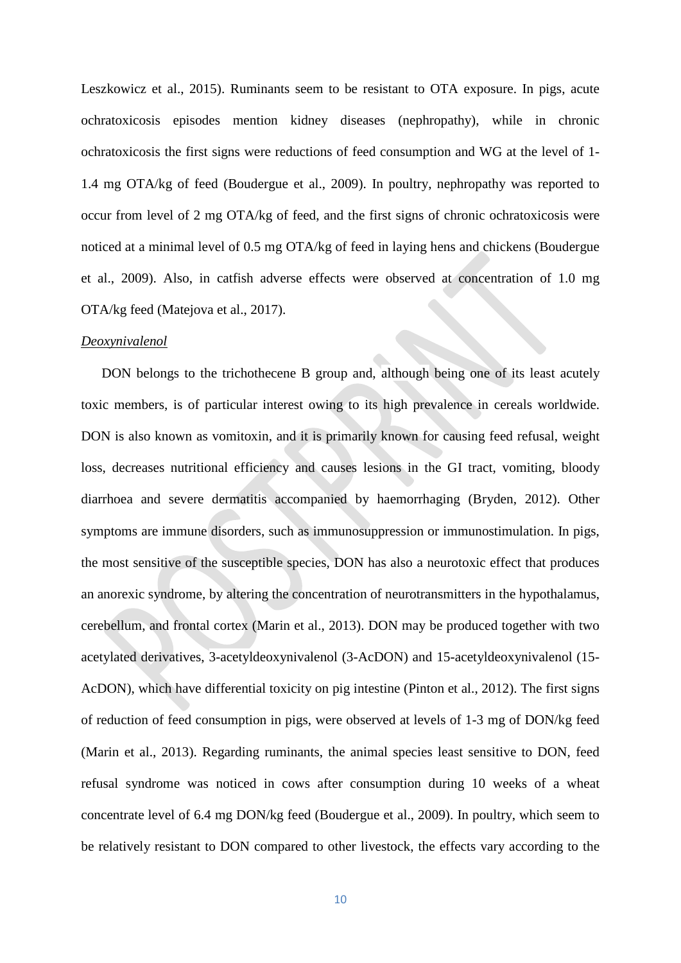Leszkowicz et al., 2015). Ruminants seem to be resistant to OTA exposure. In pigs, acute ochratoxicosis episodes mention kidney diseases (nephropathy), while in chronic ochratoxicosis the first signs were reductions of feed consumption and WG at the level of 1- 1.4 mg OTA/kg of feed (Boudergue et al., 2009). In poultry, nephropathy was reported to occur from level of 2 mg OTA/kg of feed, and the first signs of chronic ochratoxicosis were noticed at a minimal level of 0.5 mg OTA/kg of feed in laying hens and chickens (Boudergue et al., 2009). Also, in catfish adverse effects were observed at concentration of 1.0 mg OTA/kg feed (Matejova et al., 2017).

#### *Deoxynivalenol*

DON belongs to the trichothecene B group and, although being one of its least acutely toxic members, is of particular interest owing to its high prevalence in cereals worldwide. DON is also known as vomitoxin, and it is primarily known for causing feed refusal, weight loss, decreases nutritional efficiency and causes lesions in the GI tract, vomiting, bloody diarrhoea and severe dermatitis accompanied by haemorrhaging (Bryden, 2012). Other symptoms are immune disorders, such as immunosuppression or immunostimulation. In pigs, the most sensitive of the susceptible species, DON has also a neurotoxic effect that produces an anorexic syndrome, by altering the concentration of neurotransmitters in the hypothalamus, cerebellum, and frontal cortex (Marin et al., 2013). DON may be produced together with two acetylated derivatives, [3-acetyldeoxynivalenol](https://www.google.es/url?sa=t&rct=j&q=&esrc=s&source=web&cd=2&cad=rja&uact=8&ved=0ahUKEwjplJey5czXAhVPzqQKHUujBl0QFggxMAE&url=http%3A%2F%2Fwww.sigmaaldrich.com%2Fcatalog%2Fproduct%2Fsigma%2Fa6166&usg=AOvVaw1Xg4ns49WcKrm9DZ0c_97e) (3-AcDON) and 15-acetyldeoxynivalenol (15- AcDON), which have differential toxicity on pig intestine (Pinton et al., 2012). The first signs of reduction of feed consumption in pigs, were observed at levels of 1-3 mg of DON/kg feed (Marin et al., 2013). Regarding ruminants, the animal species least sensitive to DON, feed refusal syndrome was noticed in cows after consumption during 10 weeks of a wheat concentrate level of 6.4 mg DON/kg feed (Boudergue et al., 2009). In poultry, which seem to be relatively resistant to DON compared to other livestock, the effects vary according to the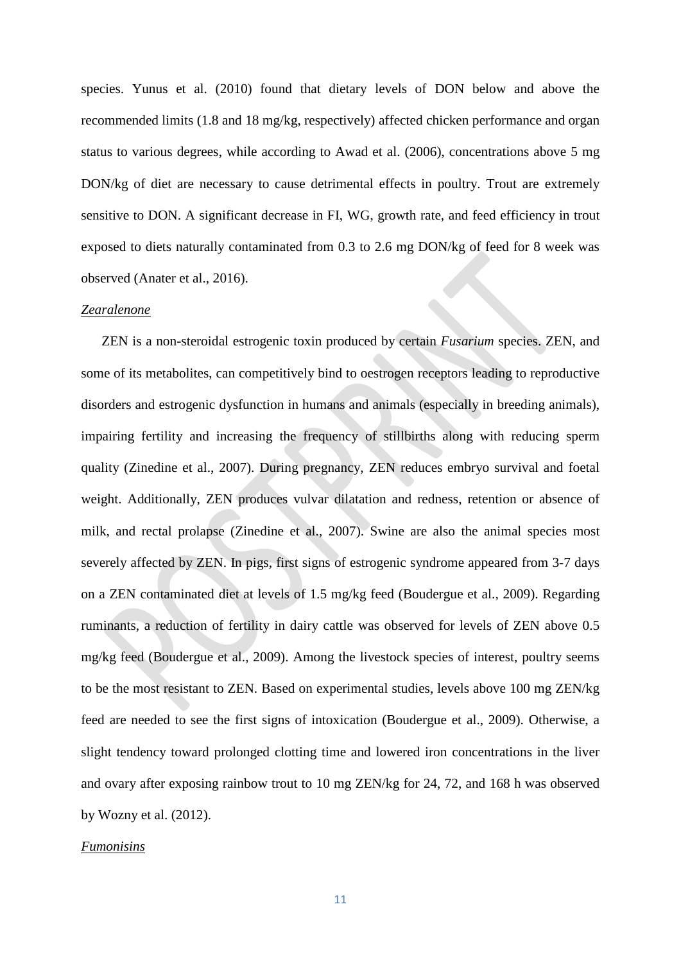species. Yunus et al. (2010) found that dietary levels of DON below and above the recommended limits (1.8 and 18 mg/kg, respectively) affected chicken performance and organ status to various degrees, while according to Awad et al. (2006), concentrations above 5 mg DON/kg of diet are necessary to cause detrimental effects in poultry. Trout are extremely sensitive to DON. A significant decrease in FI, WG, growth rate, and feed efficiency in trout exposed to diets naturally contaminated from 0.3 to 2.6 mg DON/kg of feed for 8 week was observed (Anater et al., 2016).

#### *Zearalenone*

ZEN is a non-steroidal estrogenic toxin produced by certain *Fusarium* species. ZEN, and some of its metabolites, can competitively bind to oestrogen receptors leading to reproductive disorders and estrogenic dysfunction in humans and animals (especially in breeding animals), impairing fertility and increasing the frequency of stillbirths along with reducing sperm quality (Zinedine et al., 2007). During pregnancy, ZEN reduces embryo survival and foetal weight. Additionally, ZEN produces vulvar dilatation and redness, retention or absence of milk, and rectal prolapse (Zinedine et al., 2007). Swine are also the animal species most severely affected by ZEN. In pigs, first signs of estrogenic syndrome appeared from 3-7 days on a ZEN contaminated diet at levels of 1.5 mg/kg feed (Boudergue et al., 2009). Regarding ruminants, a reduction of fertility in dairy cattle was observed for levels of ZEN above 0.5 mg/kg feed (Boudergue et al., 2009). Among the livestock species of interest, poultry seems to be the most resistant to ZEN. Based on experimental studies, levels above 100 mg ZEN/kg feed are needed to see the first signs of intoxication (Boudergue et al., 2009). Otherwise, a slight tendency toward prolonged clotting time and lowered iron concentrations in the liver and ovary after exposing rainbow trout to 10 mg ZEN/kg for 24, 72, and 168 h was observed by Wozny et al. (2012).

#### *Fumonisins*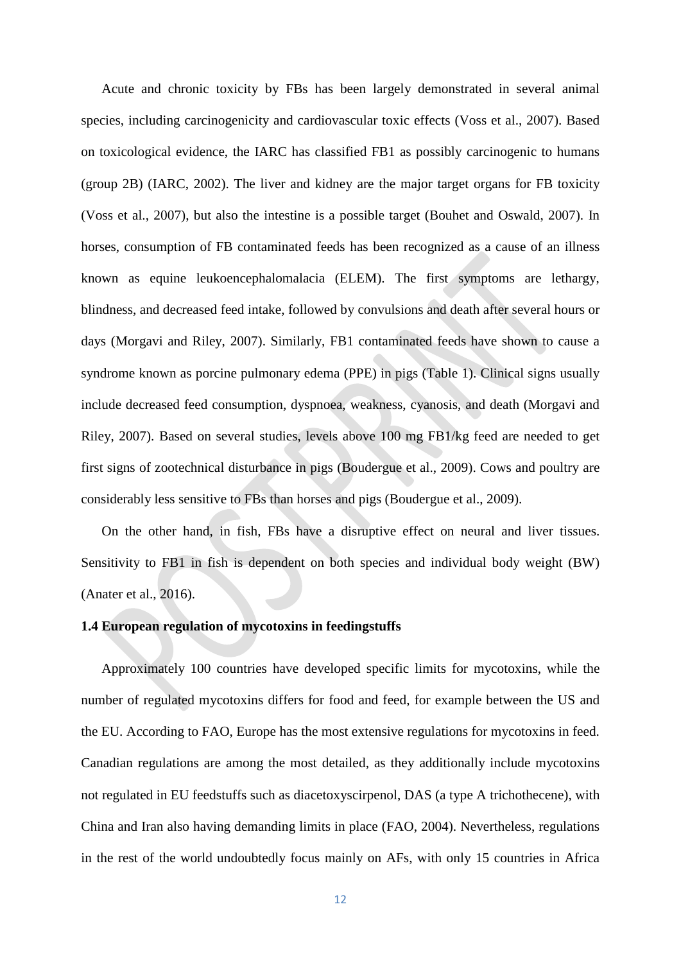Acute and chronic toxicity by FBs has been largely demonstrated in several animal species, including carcinogenicity and cardiovascular toxic effects (Voss et al., 2007). Based on toxicological evidence, the IARC has classified FB1 as possibly carcinogenic to humans (group 2B) (IARC, 2002). The liver and kidney are the major target organs for FB toxicity (Voss et al., 2007), but also the intestine is a possible target (Bouhet and Oswald, 2007). In horses, consumption of FB contaminated feeds has been recognized as a cause of an illness known as equine leukoencephalomalacia (ELEM). The first symptoms are lethargy, blindness, and decreased feed intake, followed by convulsions and death after several hours or days (Morgavi and Riley, 2007). Similarly, FB1 contaminated feeds have shown to cause a syndrome known as porcine pulmonary edema (PPE) in pigs (Table 1). Clinical signs usually include decreased feed consumption, dyspnoea, weakness, cyanosis, and death (Morgavi and Riley, 2007). Based on several studies, levels above 100 mg FB1/kg feed are needed to get first signs of zootechnical disturbance in pigs (Boudergue et al., 2009). Cows and poultry are considerably less sensitive to FBs than horses and pigs (Boudergue et al., 2009).

On the other hand, in fish, FBs have a disruptive effect on neural and liver tissues. Sensitivity to FB1 in fish is dependent on both species and individual body weight (BW) (Anater et al., 2016).

# **1.4 European regulation of mycotoxins in feedingstuffs**

Approximately 100 countries have developed specific limits for mycotoxins, while the number of regulated mycotoxins differs for food and feed, for example between the US and the EU. According to FAO, Europe has the most extensive regulations for mycotoxins in feed. Canadian regulations are among the most detailed, as they additionally include mycotoxins not regulated in EU feedstuffs such as diacetoxyscirpenol, DAS (a type A trichothecene), with China and Iran also having demanding limits in place (FAO, 2004). Nevertheless, regulations in the rest of the world undoubtedly focus mainly on AFs, with only 15 countries in Africa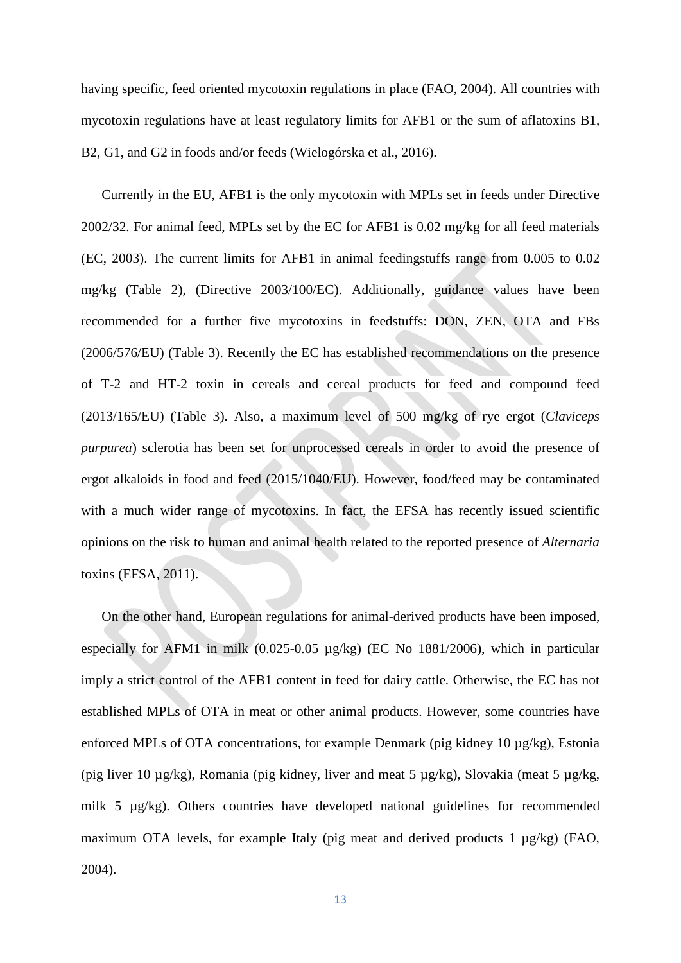having specific, feed oriented mycotoxin regulations in place (FAO, 2004). All countries with mycotoxin regulations have at least regulatory limits for AFB1 or the sum of aflatoxins B1, B2, G1, and G2 in foods and/or feeds (Wielogórska et al., 2016).

Currently in the EU, AFB1 is the only mycotoxin with MPLs set in feeds under Directive 2002/32. For animal feed, MPLs set by the EC for AFB1 is 0.02 mg/kg for all feed materials (EC, 2003). The current limits for AFB1 in animal feedingstuffs range from 0.005 to 0.02 mg/kg (Table 2), (Directive 2003/100/EC). Additionally, guidance values have been recommended for a further five mycotoxins in feedstuffs: DON, ZEN, OTA and FBs (2006/576/EU) (Table 3). Recently the EC has established recommendations on the presence of T-2 and HT-2 toxin in cereals and cereal products for feed and compound feed [\(2013/165/EU\)](http://eur-lex.europa.eu/LexUriServ/LexUriServ.do?uri=OJ:L:2013:091:0012:0015:EN:PDF) (Table 3). Also, a maximum level of 500 mg/kg of rye ergot (*Claviceps purpurea*) sclerotia has been set for unprocessed cereals in order to avoid the presence of ergot alkaloids in food and feed (2015/1040/EU). However, food/feed may be contaminated with a much wider range of mycotoxins. In fact, the EFSA has recently issued scientific opinions on the risk to human and animal health related to the reported presence of *Alternaria* toxins (EFSA, 2011).

On the other hand, European regulations for animal-derived products have been imposed, especially for AFM1 in milk (0.025-0.05 µg/kg) (EC No 1881/2006), which in particular imply a strict control of the AFB1 content in feed for dairy cattle. Otherwise, the EC has not established MPLs of OTA in meat or other animal products. However, some countries have enforced MPLs of OTA concentrations, for example Denmark (pig kidney 10  $\mu$ g/kg), Estonia (pig liver 10 µg/kg), Romania (pig kidney, liver and meat 5 µg/kg), Slovakia (meat 5 µg/kg, milk 5 µg/kg). Others countries have developed national guidelines for recommended maximum OTA levels, for example Italy (pig meat and derived products 1 µg/kg) (FAO, 2004).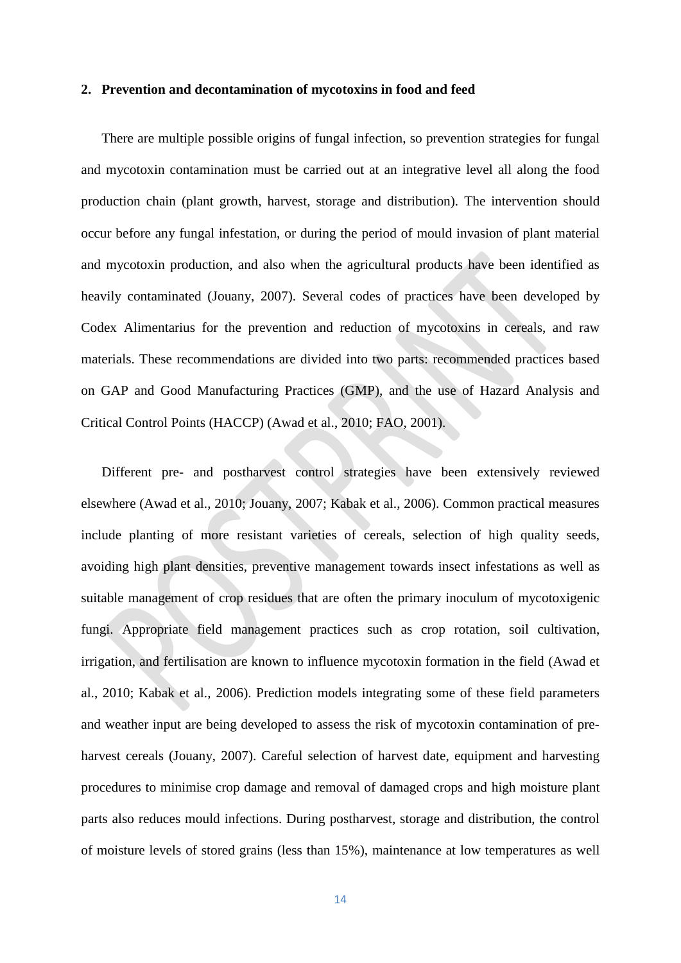#### **2. Prevention and decontamination of mycotoxins in food and feed**

There are multiple possible origins of fungal infection, so prevention strategies for fungal and mycotoxin contamination must be carried out at an integrative level all along the food production chain (plant growth, harvest, storage and distribution). The intervention should occur before any fungal infestation, or during the period of mould invasion of plant material and mycotoxin production, and also when the agricultural products have been identified as heavily contaminated (Jouany, 2007). Several codes of practices have been developed by Codex Alimentarius for the prevention and reduction of mycotoxins in cereals, and raw materials. These recommendations are divided into two parts: recommended practices based on GAP and Good Manufacturing Practices (GMP), and the use of Hazard Analysis and Critical Control Points (HACCP) (Awad et al., 2010; FAO, 2001).

Different pre- and postharvest control strategies have been extensively reviewed elsewhere (Awad et al., 2010; Jouany, 2007; Kabak et al., 2006). Common practical measures include planting of more resistant varieties of cereals, selection of high quality seeds, avoiding high plant densities, preventive management towards insect infestations as well as suitable management of crop residues that are often the primary inoculum of mycotoxigenic fungi. Appropriate field management practices such as crop rotation, soil cultivation, irrigation, and fertilisation are known to influence mycotoxin formation in the field (Awad et al., 2010; Kabak et al., 2006). Prediction models integrating some of these field parameters and weather input are being developed to assess the risk of mycotoxin contamination of preharvest cereals (Jouany, 2007). Careful selection of harvest date, equipment and harvesting procedures to minimise crop damage and removal of damaged crops and high moisture plant parts also reduces mould infections. During postharvest, storage and distribution, the control of moisture levels of stored grains (less than 15%), maintenance at low temperatures as well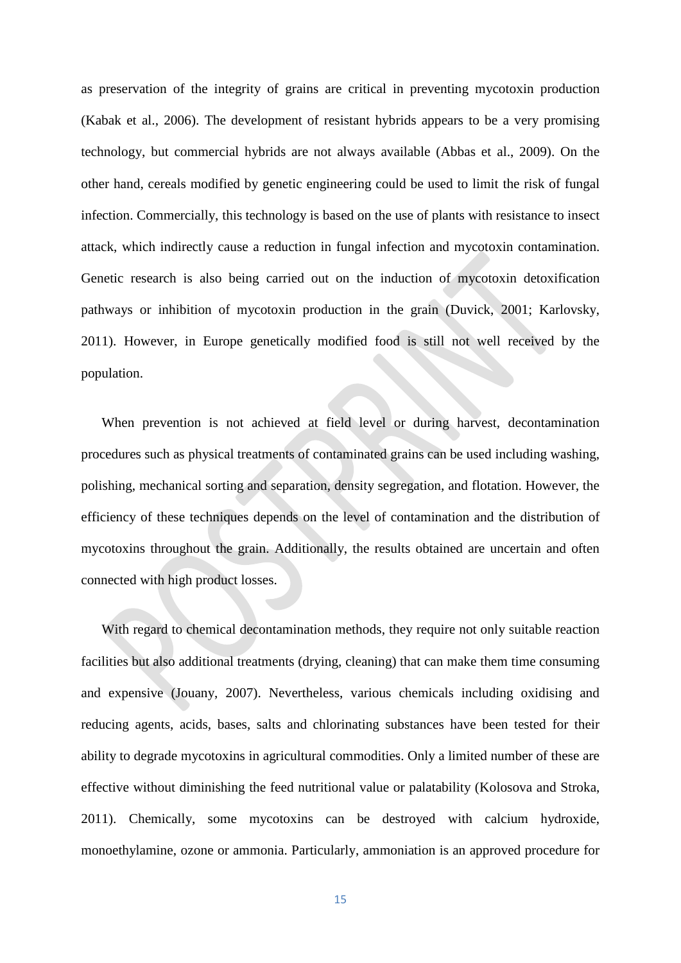as preservation of the integrity of grains are critical in preventing mycotoxin production (Kabak et al., 2006). The development of resistant hybrids appears to be a very promising technology, but commercial hybrids are not always available (Abbas et al., 2009). On the other hand, cereals modified by genetic engineering could be used to limit the risk of fungal infection. Commercially, this technology is based on the use of plants with resistance to insect attack, which indirectly cause a reduction in fungal infection and mycotoxin contamination. Genetic research is also being carried out on the induction of mycotoxin detoxification pathways or inhibition of mycotoxin production in the grain (Duvick, 2001; Karlovsky, 2011). However, in Europe genetically modified food is still not well received by the population.

When prevention is not achieved at field level or during harvest, decontamination procedures such as physical treatments of contaminated grains can be used including washing, polishing, mechanical sorting and separation, density segregation, and flotation. However, the efficiency of these techniques depends on the level of contamination and the distribution of mycotoxins throughout the grain. Additionally, the results obtained are uncertain and often connected with high product losses.

With regard to chemical decontamination methods, they require not only suitable reaction facilities but also additional treatments (drying, cleaning) that can make them time consuming and expensive (Jouany, 2007). Nevertheless, various chemicals including oxidising and reducing agents, acids, bases, salts and chlorinating substances have been tested for their ability to degrade mycotoxins in agricultural commodities. Only a limited number of these are effective without diminishing the feed nutritional value or palatability (Kolosova and Stroka, 2011). Chemically, some mycotoxins can be destroyed with calcium hydroxide, monoethylamine, ozone or ammonia. Particularly, ammoniation is an approved procedure for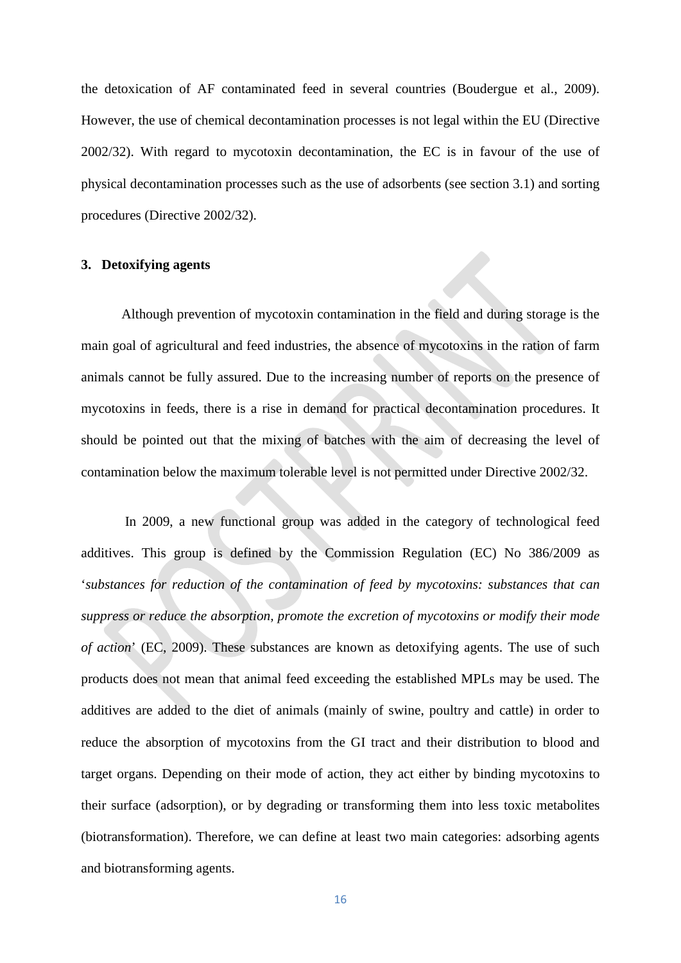the detoxication of AF contaminated feed in several countries (Boudergue et al., 2009). However, the use of chemical decontamination processes is not legal within the EU (Directive 2002/32). With regard to mycotoxin decontamination, the EC is in favour of the use of physical decontamination processes such as the use of adsorbents (see section 3.1) and sorting procedures (Directive 2002/32).

#### **3. Detoxifying agents**

Although prevention of mycotoxin contamination in the field and during storage is the main goal of agricultural and feed industries, the absence of mycotoxins in the ration of farm animals cannot be fully assured. Due to the increasing number of reports on the presence of mycotoxins in feeds, there is a rise in demand for practical decontamination procedures. It should be pointed out that the mixing of batches with the aim of decreasing the level of contamination below the maximum tolerable level is not permitted under Directive 2002/32.

In 2009, a new functional group was added in the category of technological feed additives. This group is defined by the Commission Regulation (EC) No 386/2009 as '*substances for reduction of the contamination of feed by mycotoxins: substances that can suppress or reduce the absorption, promote the excretion of mycotoxins or modify their mode of action*' (EC, 2009). These substances are known as detoxifying agents. The use of such products does not mean that animal feed exceeding the established MPLs may be used. The additives are added to the diet of animals (mainly of swine, poultry and cattle) in order to reduce the absorption of mycotoxins from the GI tract and their distribution to blood and target organs. Depending on their mode of action, they act either by binding mycotoxins to their surface (adsorption), or by degrading or transforming them into less toxic metabolites (biotransformation). Therefore, we can define at least two main categories: adsorbing agents and biotransforming agents.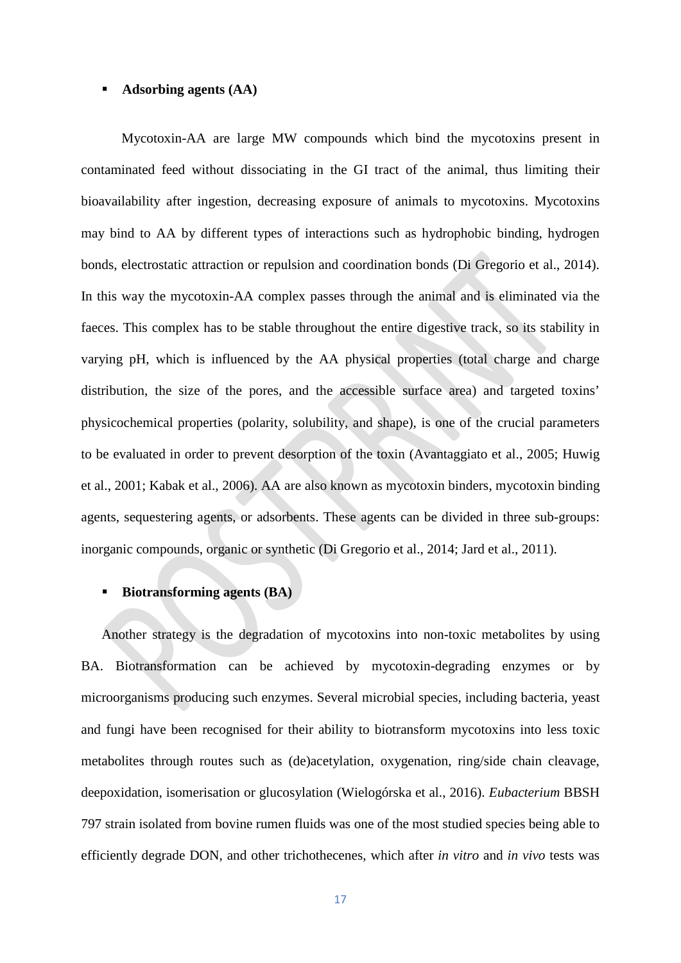#### **Adsorbing agents (AA)**

Mycotoxin-AA are large MW compounds which bind the mycotoxins present in contaminated feed without dissociating in the GI tract of the animal, thus limiting their bioavailability after ingestion, decreasing exposure of animals to mycotoxins. Mycotoxins may bind to AA by different types of interactions such as hydrophobic binding, hydrogen bonds, electrostatic attraction or repulsion and coordination bonds (Di Gregorio et al., 2014). In this way the mycotoxin-AA complex passes through the animal and is eliminated via the faeces. This complex has to be stable throughout the entire digestive track, so its stability in varying pH, which is influenced by the AA physical properties (total charge and charge distribution, the size of the pores, and the accessible surface area) and targeted toxins' physicochemical properties (polarity, solubility, and shape), is one of the crucial parameters to be evaluated in order to prevent desorption of the toxin (Avantaggiato et al., 2005; Huwig et al., 2001; Kabak et al., 2006). AA are also known as mycotoxin binders, mycotoxin binding agents, sequestering agents, or adsorbents. These agents can be divided in three sub-groups: inorganic compounds, organic or synthetic (Di Gregorio et al., 2014; Jard et al., 2011).

#### **Biotransforming agents (BA)**

Another strategy is the degradation of mycotoxins into non-toxic metabolites by using BA. Biotransformation can be achieved by mycotoxin-degrading enzymes or by microorganisms producing such enzymes. Several microbial species, including bacteria, yeast and fungi have been recognised for their ability to biotransform mycotoxins into less toxic metabolites through routes such as (de)acetylation, oxygenation, ring/side chain cleavage, deepoxidation, isomerisation or glucosylation (Wielogórska et al., 2016). *Eubacterium* BBSH 797 strain isolated from bovine rumen fluids was one of the most studied species being able to efficiently degrade DON, and other trichothecenes, which after *in vitro* and *in vivo* tests was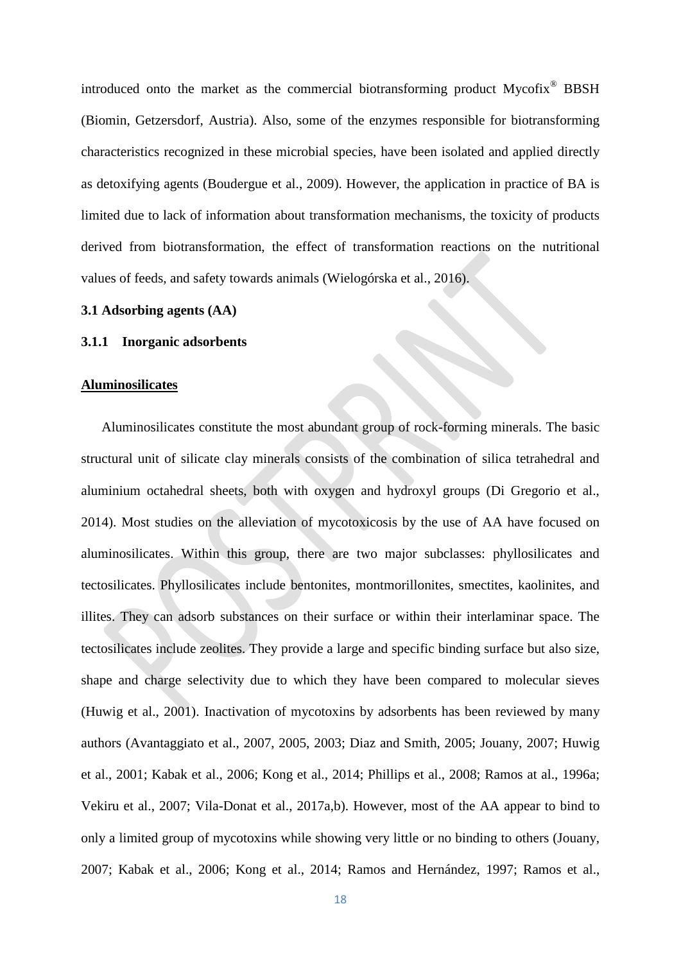introduced onto the market as the commercial biotransforming product Mycofix® BBSH (Biomin, Getzersdorf, Austria). Also, some of the enzymes responsible for biotransforming characteristics recognized in these microbial species, have been isolated and applied directly as detoxifying agents (Boudergue et al., 2009). However, the application in practice of BA is limited due to lack of information about transformation mechanisms, the toxicity of products derived from biotransformation, the effect of transformation reactions on the nutritional values of feeds, and safety towards animals (Wielogórska et al., 2016).

#### **3.1 Adsorbing agents (AA)**

#### **3.1.1 Inorganic adsorbents**

#### **Aluminosilicates**

Aluminosilicates constitute the most abundant group of rock-forming minerals. The basic structural unit of silicate clay minerals consists of the combination of silica tetrahedral and aluminium octahedral sheets, both with oxygen and hydroxyl groups (Di Gregorio et al., 2014). Most studies on the alleviation of mycotoxicosis by the use of AA have focused on aluminosilicates. Within this group, there are two major subclasses: phyllosilicates and tectosilicates. Phyllosilicates include bentonites, montmorillonites, smectites, kaolinites, and illites. They can adsorb substances on their surface or within their interlaminar space. The tectosilicates include zeolites. They provide a large and specific binding surface but also size, shape and charge selectivity due to which they have been compared to molecular sieves (Huwig et al., 2001). Inactivation of mycotoxins by adsorbents has been reviewed by many authors (Avantaggiato et al., 2007, 2005, 2003; Diaz and Smith, 2005; Jouany, 2007; Huwig et al., 2001; Kabak et al., 2006; Kong et al., 2014; Phillips et al., 2008; Ramos at al., 1996a; Vekiru et al., 2007; Vila-Donat et al., 2017a,b). However, most of the AA appear to bind to only a limited group of mycotoxins while showing very little or no binding to others (Jouany, 2007; Kabak et al., 2006; Kong et al., 2014; Ramos and Hernández, 1997; Ramos et al.,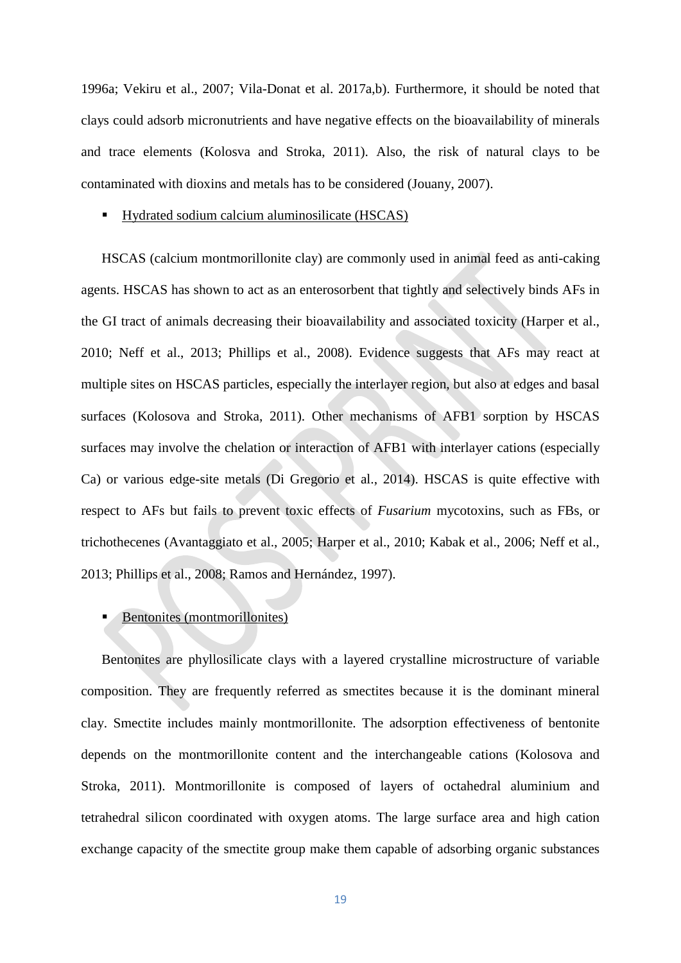1996a; Vekiru et al., 2007; Vila-Donat et al. 2017a,b). Furthermore, it should be noted that clays could adsorb micronutrients and have negative effects on the bioavailability of minerals and trace elements (Kolosva and Stroka, 2011). Also, the risk of natural clays to be contaminated with dioxins and metals has to be considered (Jouany, 2007).

#### ■ Hydrated sodium calcium aluminosilicate (HSCAS)

HSCAS (calcium montmorillonite clay) are commonly used in animal feed as anti-caking agents. HSCAS has shown to act as an enterosorbent that tightly and selectively binds AFs in the GI tract of animals decreasing their bioavailability and associated toxicity (Harper et al., 2010; Neff et al., 2013; Phillips et al., 2008). Evidence suggests that AFs may react at multiple sites on HSCAS particles, especially the interlayer region, but also at edges and basal surfaces (Kolosova and Stroka, 2011). Other mechanisms of AFB1 sorption by HSCAS surfaces may involve the chelation or interaction of AFB1 with interlayer cations (especially Ca) or various edge-site metals (Di Gregorio et al., 2014). HSCAS is quite effective with respect to AFs but fails to prevent toxic effects of *Fusarium* mycotoxins, such as FBs, or trichothecenes (Avantaggiato et al., 2005; Harper et al., 2010; Kabak et al., 2006; Neff et al., 2013; Phillips et al., 2008; Ramos and Hernández, 1997).

### Bentonites (montmorillonites)

Bentonites are phyllosilicate clays with a layered crystalline microstructure of variable composition. They are frequently referred as smectites because it is the dominant mineral clay. Smectite includes mainly montmorillonite. The adsorption effectiveness of bentonite depends on the montmorillonite content and the interchangeable cations (Kolosova and Stroka, 2011). Montmorillonite is composed of layers of octahedral aluminium and tetrahedral silicon coordinated with oxygen atoms. The large surface area and high cation exchange capacity of the smectite group make them capable of adsorbing organic substances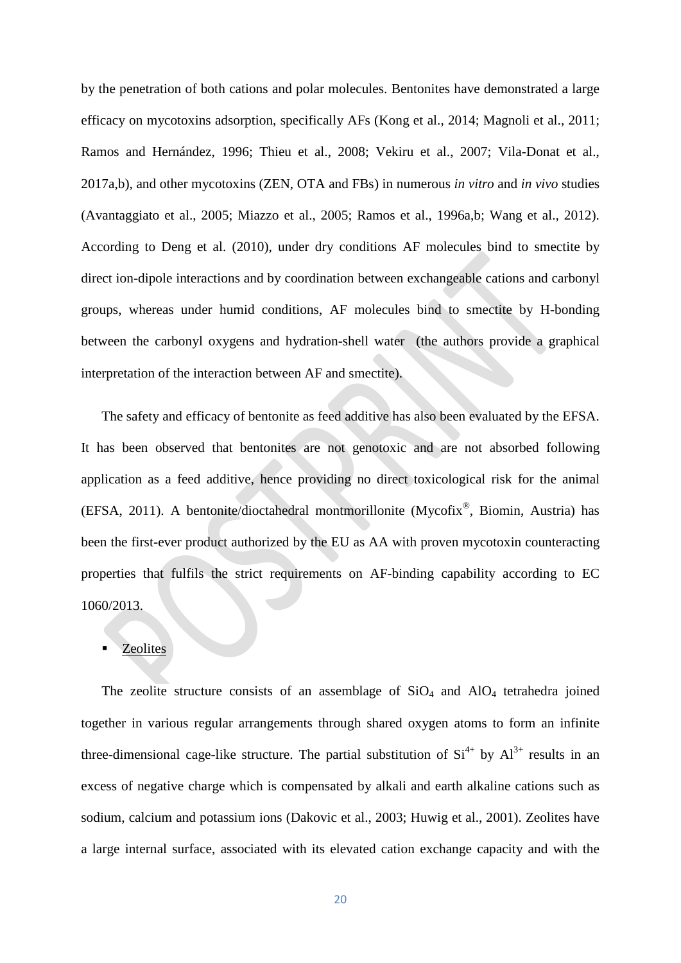by the penetration of both cations and polar molecules. Bentonites have demonstrated a large efficacy on mycotoxins adsorption, specifically AFs (Kong et al., 2014; Magnoli et al., 2011; Ramos and Hernández, 1996; Thieu et al., 2008; Vekiru et al., 2007; Vila-Donat et al., 2017a,b), and other mycotoxins (ZEN, OTA and FBs) in numerous *in vitro* and *in vivo* studies (Avantaggiato et al., 2005; Miazzo et al., 2005; Ramos et al., 1996a,b; Wang et al., 2012). According to Deng et al. (2010), under dry conditions AF molecules bind to smectite by direct ion-dipole interactions and by coordination between exchangeable cations and carbonyl groups, whereas under humid conditions, AF molecules bind to smectite by H-bonding between the carbonyl oxygens and hydration-shell water (the authors provide a graphical interpretation of the interaction between AF and smectite).

The safety and efficacy of bentonite as feed additive has also been evaluated by the EFSA. It has been observed that bentonites are not genotoxic and are not absorbed following application as a feed additive, hence providing no direct toxicological risk for the animal (EFSA, 2011). A bentonite/dioctahedral montmorillonite (Mycofix®, Biomin, Austria) has been the first-ever product authorized by the EU as AA with proven mycotoxin counteracting properties that fulfils the strict requirements on AF-binding capability according to EC 1060/2013.

#### **Zeolites**

The zeolite structure consists of an assemblage of  $SiO<sub>4</sub>$  and  $AlO<sub>4</sub>$  tetrahedra joined together in various regular arrangements through shared oxygen atoms to form an infinite three-dimensional cage-like structure. The partial substitution of  $Si^{4+}$  by  $Al^{3+}$  results in an excess of negative charge which is compensated by alkali and earth alkaline cations such as sodium, calcium and potassium ions (Dakovic et al., 2003; Huwig et al., 2001). Zeolites have a large internal surface, associated with its elevated cation exchange capacity and with the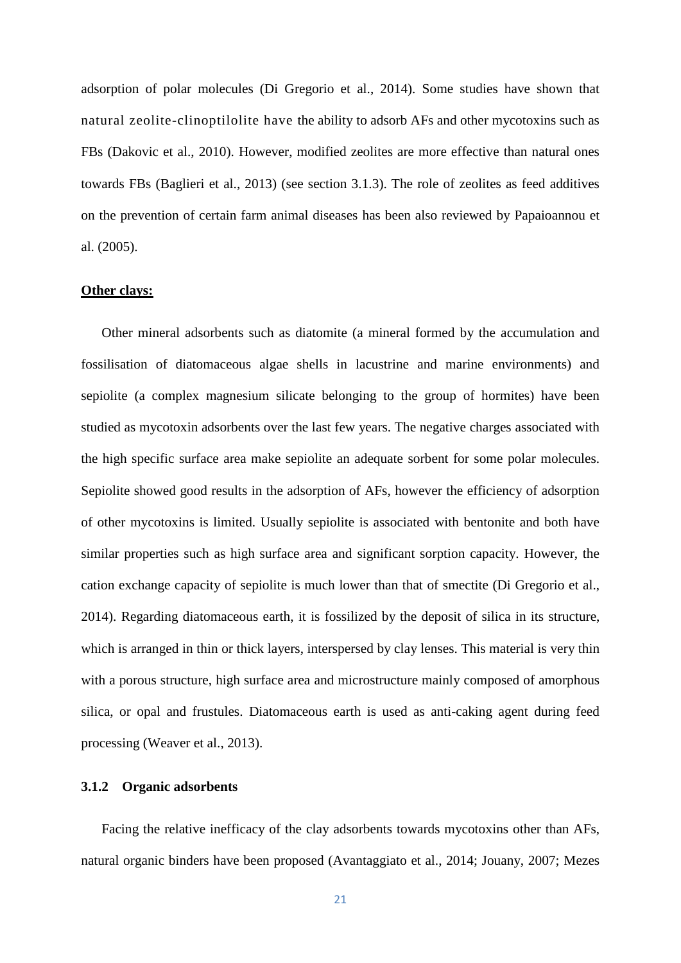adsorption of polar molecules (Di Gregorio et al., 2014). Some studies have shown that natural zeolite-clinoptilolite have the ability to adsorb AFs and other mycotoxins such as FBs (Dakovic et al., 2010). However, modified zeolites are more effective than natural ones towards FBs (Baglieri et al., 2013) (see section 3.1.3). The role of zeolites as feed additives on the prevention of certain farm animal diseases has been also reviewed by Papaioannou et al. (2005).

#### **Other clays:**

Other mineral adsorbents such as diatomite (a mineral formed by the accumulation and fossilisation of diatomaceous algae shells in lacustrine and marine environments) and sepiolite (a complex magnesium silicate belonging to the group of hormites) have been studied as mycotoxin adsorbents over the last few years. The negative charges associated with the high specific surface area make sepiolite an adequate sorbent for some polar molecules. Sepiolite showed good results in the adsorption of AFs, however the efficiency of adsorption of other mycotoxins is limited. Usually sepiolite is associated with bentonite and both have similar properties such as high surface area and significant sorption capacity. However, the cation exchange capacity of sepiolite is much lower than that of smectite (Di Gregorio et al., 2014). Regarding diatomaceous earth, it is fossilized by the deposit of silica in its structure, which is arranged in thin or thick layers, interspersed by clay lenses. This material is very thin with a porous structure, high surface area and microstructure mainly composed of amorphous silica, or opal and frustules. Diatomaceous earth is used as anti-caking agent during feed processing (Weaver et al., 2013).

#### **3.1.2 Organic adsorbents**

Facing the relative inefficacy of the clay adsorbents towards mycotoxins other than AFs, natural organic binders have been proposed (Avantaggiato et al., 2014; Jouany, 2007; Mezes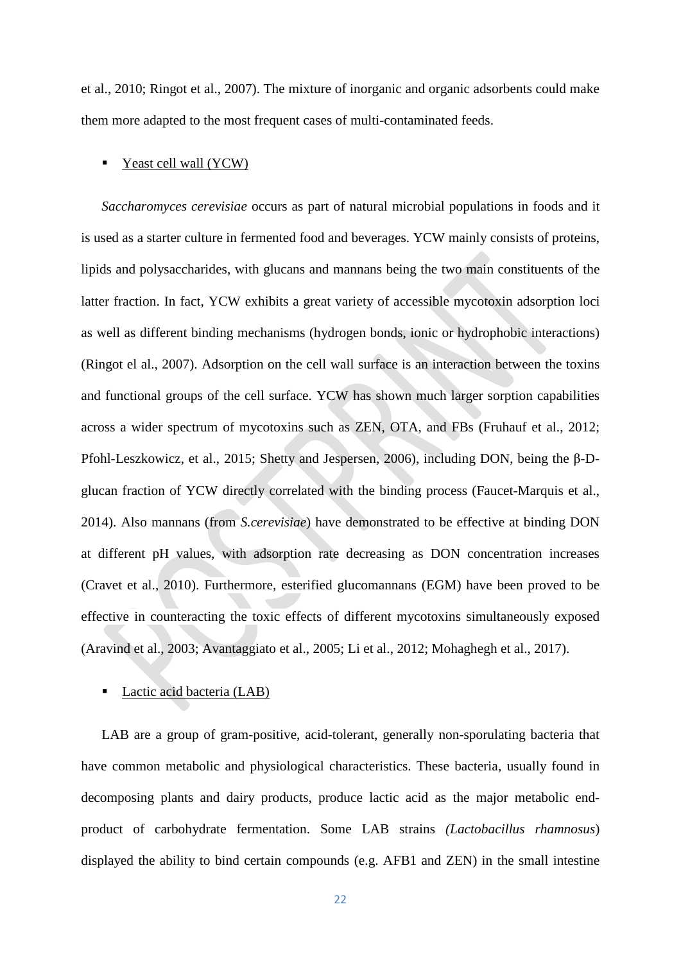et al., 2010; Ringot et al., 2007). The mixture of inorganic and organic adsorbents could make them more adapted to the most frequent cases of multi-contaminated feeds.

#### Yeast cell wall (YCW)

*Saccharomyces cerevisiae* occurs as part of natural microbial populations in foods and it is used as a starter culture in fermented food and beverages. YCW mainly consists of proteins, lipids and polysaccharides, with glucans and mannans being the two main constituents of the latter fraction. In fact, YCW exhibits a great variety of accessible mycotoxin adsorption loci as well as different binding mechanisms (hydrogen bonds, ionic or hydrophobic interactions) (Ringot el al., 2007). Adsorption on the cell wall surface is an interaction between the toxins and functional groups of the cell surface. YCW has shown much larger sorption capabilities across a wider spectrum of mycotoxins such as ZEN, OTA, and FBs (Fruhauf et al., 2012; Pfohl-Leszkowicz, et al., 2015; Shetty and Jespersen, 2006), including DON, being the β-Dglucan fraction of YCW directly correlated with the binding process (Faucet-Marquis et al., 2014). Also mannans (from *S.cerevisiae*) have demonstrated to be effective at binding DON at different pH values, with adsorption rate decreasing as DON concentration increases (Cravet et al., 2010). Furthermore, esterified glucomannans (EGM) have been proved to be effective in counteracting the toxic effects of different mycotoxins simultaneously exposed (Aravind et al., 2003; Avantaggiato et al., 2005; Li et al., 2012; Mohaghegh et al., 2017).

#### Lactic acid bacteria (LAB)

LAB are a group of gram-positive, acid-tolerant, generally non-sporulating bacteria that have common metabolic and physiological characteristics. These bacteria, usually found in decomposing plants and dairy products, produce lactic acid as the major metabolic endproduct of carbohydrate fermentation. Some LAB strains *(Lactobacillus rhamnosus*) displayed the ability to bind certain compounds (e.g. AFB1 and ZEN) in the small intestine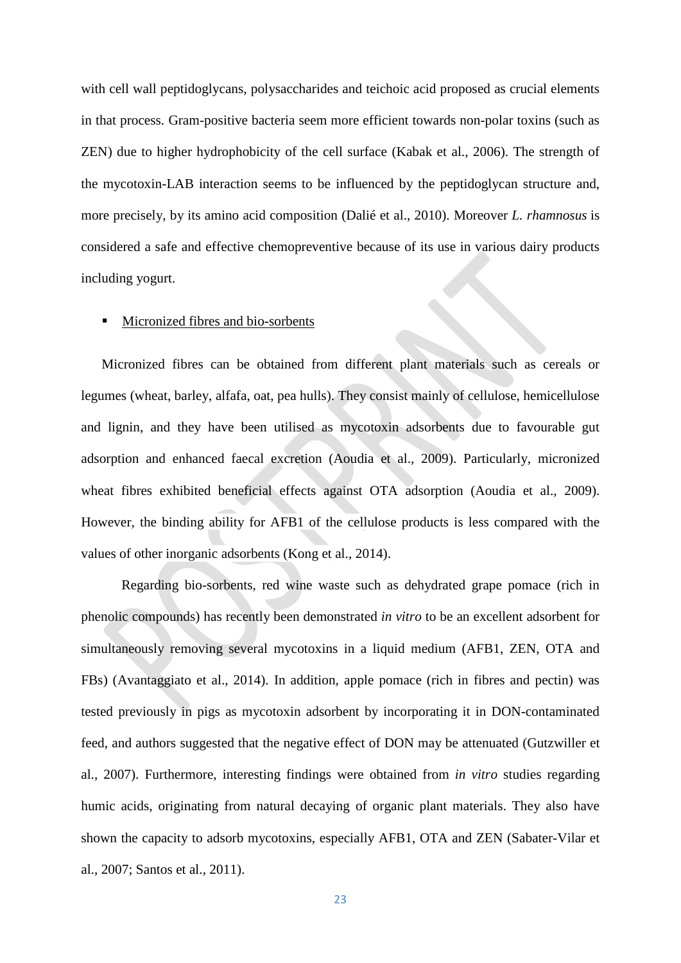with cell wall peptidoglycans, polysaccharides and teichoic acid proposed as crucial elements in that process. Gram-positive bacteria seem more efficient towards non-polar toxins (such as ZEN) due to higher hydrophobicity of the cell surface (Kabak et al., 2006). The strength of the mycotoxin-LAB interaction seems to be influenced by the peptidoglycan structure and, more precisely, by its amino acid composition (Dalié et al., 2010). Moreover *L. rhamnosus* is considered a safe and effective chemopreventive because of its use in various dairy products including yogurt.

#### ■ Micronized fibres and bio-sorbents

Micronized fibres can be obtained from different plant materials such as cereals or legumes (wheat, barley, alfafa, oat, pea hulls). They consist mainly of cellulose, hemicellulose and lignin, and they have been utilised as mycotoxin adsorbents due to favourable gut adsorption and enhanced faecal excretion (Aoudia et al., 2009). Particularly, micronized wheat fibres exhibited beneficial effects against OTA adsorption (Aoudia et al., 2009). However, the binding ability for AFB1 of the cellulose products is less compared with the values of other inorganic adsorbents (Kong et al., 2014).

Regarding bio-sorbents, red wine waste such as dehydrated grape pomace (rich in phenolic compounds) has recently been demonstrated *in vitro* to be an excellent adsorbent for simultaneously removing several mycotoxins in a liquid medium (AFB1, ZEN, OTA and FBs) (Avantaggiato et al., 2014). In addition, apple pomace (rich in fibres and pectin) was tested previously in pigs as mycotoxin adsorbent by incorporating it in DON-contaminated feed, and authors suggested that the negative effect of DON may be attenuated (Gutzwiller et al., 2007). Furthermore, interesting findings were obtained from *in vitro* studies regarding humic acids, originating from natural decaying of organic plant materials. They also have shown the capacity to adsorb mycotoxins, especially AFB1, OTA and ZEN (Sabater-Vilar et al., 2007; Santos et al., 2011).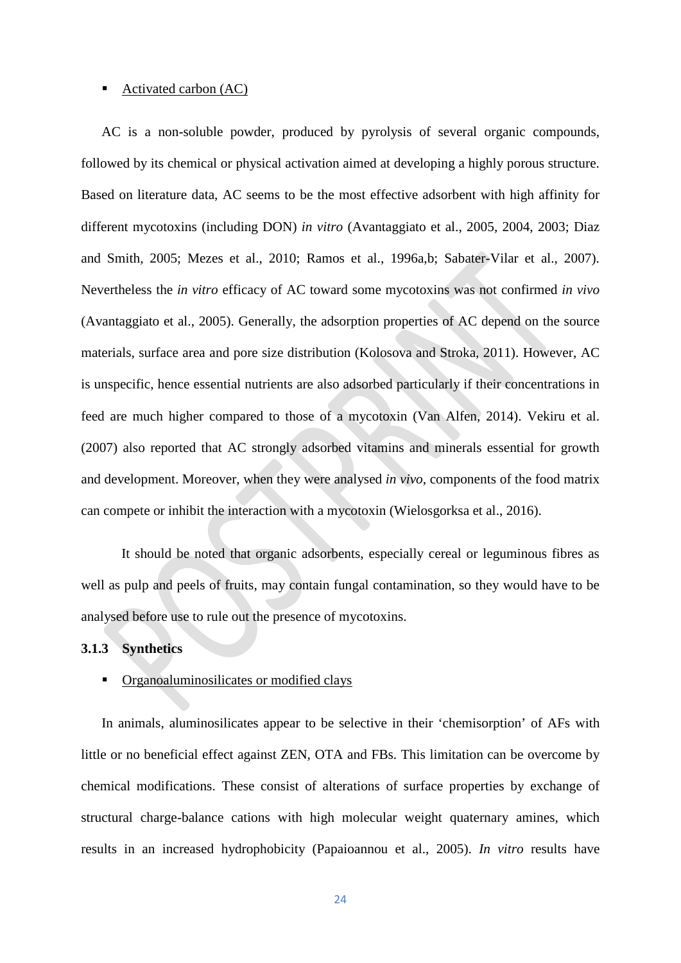# ■ Activated carbon (AC)

AC is a non-soluble powder, produced by pyrolysis of several organic compounds, followed by its chemical or physical activation aimed at developing a highly porous structure. Based on literature data, AC seems to be the most effective adsorbent with high affinity for different mycotoxins (including DON) *in vitro* (Avantaggiato et al., 2005, 2004, 2003; Diaz and Smith, 2005; Mezes et al., 2010; Ramos et al., 1996a,b; Sabater-Vilar et al., 2007). Nevertheless the *in vitro* efficacy of AC toward some mycotoxins was not confirmed *in vivo* (Avantaggiato et al., 2005). Generally, the adsorption properties of AC depend on the source materials, surface area and pore size distribution (Kolosova and Stroka, 2011). However, AC is unspecific, hence essential nutrients are also adsorbed particularly if their concentrations in feed are much higher compared to those of a mycotoxin (Van Alfen, 2014). Vekiru et al. (2007) also reported that AC strongly adsorbed vitamins and minerals essential for growth and development. Moreover, when they were analysed *in vivo*, components of the food matrix can compete or inhibit the interaction with a mycotoxin (Wielosgorksa et al., 2016).

It should be noted that organic adsorbents, especially cereal or leguminous fibres as well as pulp and peels of fruits, may contain fungal contamination, so they would have to be analysed before use to rule out the presence of mycotoxins.

# **3.1.3 Synthetics**

#### **•** Organoaluminosilicates or modified clays

In animals, aluminosilicates appear to be selective in their 'chemisorption' of AFs with little or no beneficial effect against ZEN, OTA and FBs. This limitation can be overcome by chemical modifications. These consist of alterations of surface properties by exchange of structural charge-balance cations with high molecular weight quaternary amines, which results in an increased hydrophobicity (Papaioannou et al., 2005). *In vitro* results have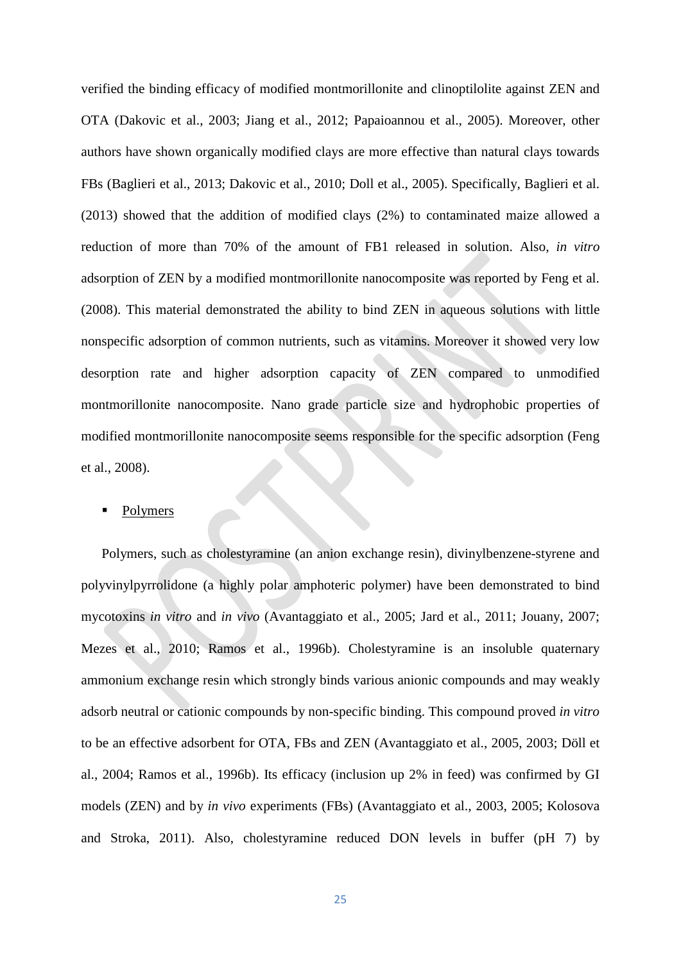verified the binding efficacy of modified montmorillonite and clinoptilolite against ZEN and OTA (Dakovic et al., 2003; Jiang et al., 2012; Papaioannou et al., 2005). Moreover, other authors have shown organically modified clays are more effective than natural clays towards FBs (Baglieri et al., 2013; Dakovic et al., 2010; Doll et al., 2005). Specifically, Baglieri et al. (2013) showed that the addition of modified clays (2%) to contaminated maize allowed a reduction of more than 70% of the amount of FB1 released in solution. Also, *in vitro* adsorption of ZEN by a modified montmorillonite nanocomposite was reported by Feng et al. (2008). This material demonstrated the ability to bind ZEN in aqueous solutions with little nonspecific adsorption of common nutrients, such as vitamins. Moreover it showed very low desorption rate and higher adsorption capacity of ZEN compared to unmodified montmorillonite nanocomposite. Nano grade particle size and hydrophobic properties of modified montmorillonite nanocomposite seems responsible for the specific adsorption (Feng et al., 2008).

#### Polymers

Polymers, such as cholestyramine (an anion exchange resin), divinylbenzene-styrene and polyvinylpyrrolidone (a highly polar amphoteric polymer) have been demonstrated to bind mycotoxins *in vitro* and *in vivo* (Avantaggiato et al., 2005; Jard et al., 2011; Jouany, 2007; Mezes et al., 2010; Ramos et al., 1996b). Cholestyramine is an insoluble quaternary ammonium exchange resin which strongly binds various anionic compounds and may weakly adsorb neutral or cationic compounds by non-specific binding. This compound proved *in vitro*  to be an effective adsorbent for OTA, FBs and ZEN (Avantaggiato et al., 2005, 2003; Döll et al., 2004; Ramos et al., 1996b). Its efficacy (inclusion up 2% in feed) was confirmed by GI models (ZEN) and by *in vivo* experiments (FBs) (Avantaggiato et al., 2003, 2005; Kolosova and Stroka, 2011). Also, cholestyramine reduced DON levels in buffer (pH 7) by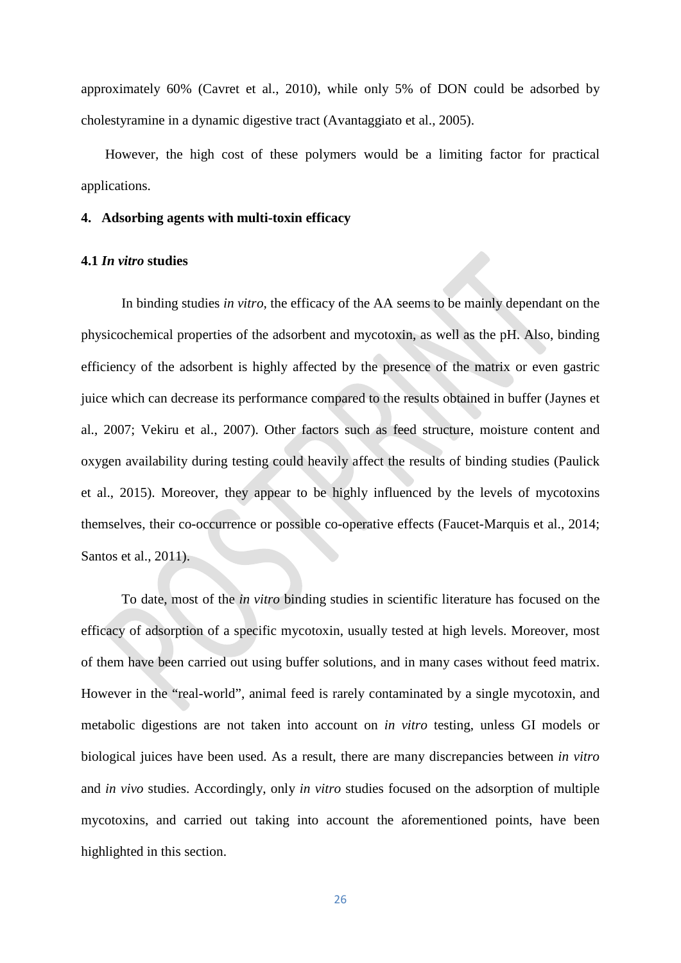approximately 60% (Cavret et al., 2010), while only 5% of DON could be adsorbed by cholestyramine in a dynamic digestive tract (Avantaggiato et al., 2005).

However, the high cost of these polymers would be a limiting factor for practical applications.

#### **4. Adsorbing agents with multi-toxin efficacy**

#### **4.1** *In vitro* **studies**

In binding studies *in vitro*, the efficacy of the AA seems to be mainly dependant on the physicochemical properties of the adsorbent and mycotoxin, as well as the pH. Also, binding efficiency of the adsorbent is highly affected by the presence of the matrix or even gastric juice which can decrease its performance compared to the results obtained in buffer (Jaynes et al., 2007; Vekiru et al., 2007). Other factors such as feed structure, moisture content and oxygen availability during testing could heavily affect the results of binding studies (Paulick et al., 2015). Moreover, they appear to be highly influenced by the levels of mycotoxins themselves, their co-occurrence or possible co-operative effects (Faucet-Marquis et al., 2014; Santos et al., 2011).

To date, most of the *in vitro* binding studies in scientific literature has focused on the efficacy of adsorption of a specific mycotoxin, usually tested at high levels. Moreover, most of them have been carried out using buffer solutions, and in many cases without feed matrix. However in the "real-world", animal feed is rarely contaminated by a single mycotoxin, and metabolic digestions are not taken into account on *in vitro* testing, unless GI models or biological juices have been used. As a result, there are many discrepancies between *in vitro* and *in vivo* studies. Accordingly, only *in vitro* studies focused on the adsorption of multiple mycotoxins, and carried out taking into account the aforementioned points, have been highlighted in this section.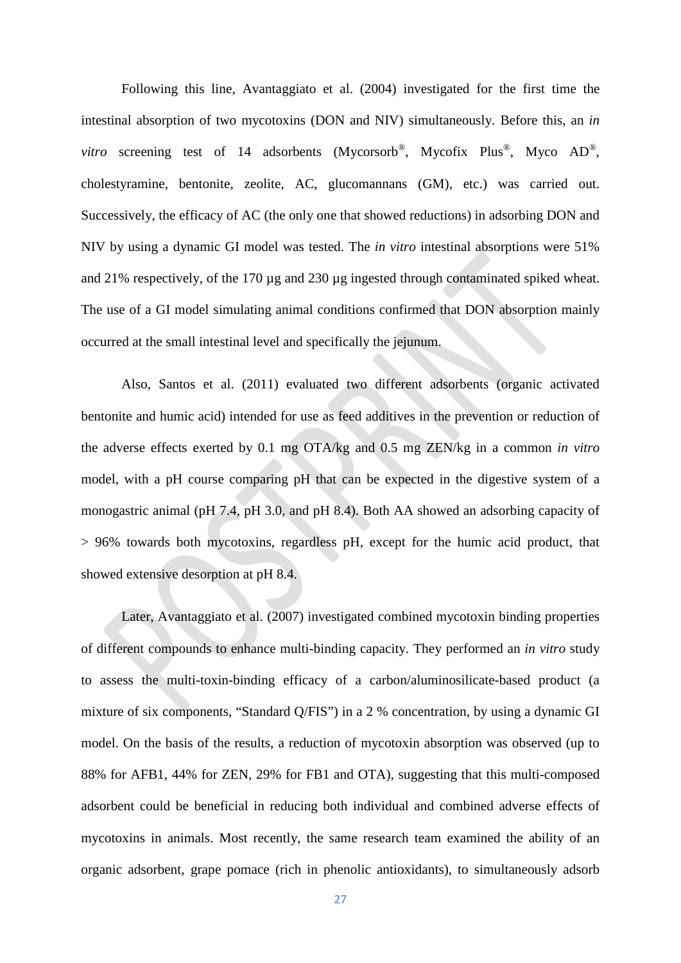Following this line, Avantaggiato et al. (2004) investigated for the first time the intestinal absorption of two mycotoxins (DON and NIV) simultaneously. Before this, an *in vitro* screening test of 14 adsorbents (Mycorsorb<sup>®</sup>, Mycofix Plus<sup>®</sup>, Myco AD<sup>®</sup>, cholestyramine, bentonite, zeolite, AC, glucomannans (GM), etc.) was carried out. Successively, the efficacy of AC (the only one that showed reductions) in adsorbing DON and NIV by using a dynamic GI model was tested. The *in vitro* intestinal absorptions were 51% and 21% respectively, of the 170 µg and 230 µg ingested through contaminated spiked wheat. The use of a GI model simulating animal conditions confirmed that DON absorption mainly occurred at the small intestinal level and specifically the jejunum.

Also, Santos et al. (2011) evaluated two different adsorbents (organic activated bentonite and humic acid) intended for use as feed additives in the prevention or reduction of the adverse effects exerted by 0.1 mg OTA/kg and 0.5 mg ZEN/kg in a common *in vitro* model, with a pH course comparing pH that can be expected in the digestive system of a monogastric animal (pH 7.4, pH 3.0, and pH 8.4). Both AA showed an adsorbing capacity of > 96% towards both mycotoxins, regardless pH, except for the humic acid product, that showed extensive desorption at pH 8.4.

Later, Avantaggiato et al. (2007) investigated combined mycotoxin binding properties of different compounds to enhance multi-binding capacity. They performed an *in vitro* study to assess the multi-toxin-binding efficacy of a carbon/aluminosilicate-based product (a mixture of six components, "Standard Q/FIS") in a 2 % concentration, by using a dynamic GI model. On the basis of the results, a reduction of mycotoxin absorption was observed (up to 88% for AFB1, 44% for ZEN, 29% for FB1 and OTA), suggesting that this multi-composed adsorbent could be beneficial in reducing both individual and combined adverse effects of mycotoxins in animals. Most recently, the same research team examined the ability of an organic adsorbent, grape pomace (rich in phenolic antioxidants), to simultaneously adsorb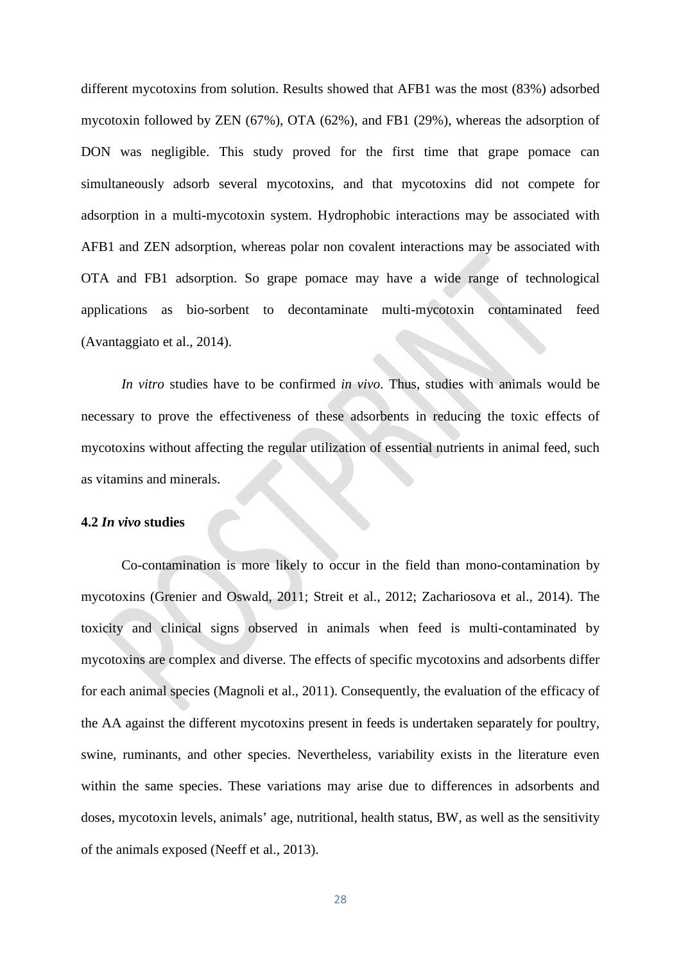different mycotoxins from solution. Results showed that AFB1 was the most (83%) adsorbed mycotoxin followed by ZEN (67%), OTA (62%), and FB1 (29%), whereas the adsorption of DON was negligible. This study proved for the first time that grape pomace can simultaneously adsorb several mycotoxins, and that mycotoxins did not compete for adsorption in a multi-mycotoxin system. Hydrophobic interactions may be associated with AFB1 and ZEN adsorption, whereas polar non covalent interactions may be associated with OTA and FB1 adsorption. So grape pomace may have a wide range of technological applications as bio-sorbent to decontaminate multi-mycotoxin contaminated feed (Avantaggiato et al., 2014).

*In vitro* studies have to be confirmed *in vivo*. Thus, studies with animals would be necessary to prove the effectiveness of these adsorbents in reducing the toxic effects of mycotoxins without affecting the regular utilization of essential nutrients in animal feed, such as vitamins and minerals.

#### **4.2** *In vivo* **studies**

Co-contamination is more likely to occur in the field than mono-contamination by mycotoxins (Grenier and Oswald, 2011; Streit et al., 2012; Zachariosova et al., 2014). The toxicity and clinical signs observed in animals when feed is multi-contaminated by mycotoxins are complex and diverse. The effects of specific mycotoxins and adsorbents differ for each animal species (Magnoli et al., 2011). Consequently, the evaluation of the efficacy of the AA against the different mycotoxins present in feeds is undertaken separately for poultry, swine, ruminants, and other species. Nevertheless, variability exists in the literature even within the same species. These variations may arise due to differences in adsorbents and doses, mycotoxin levels, animals' age, nutritional, health status, BW, as well as the sensitivity of the animals exposed (Neeff et al., 2013).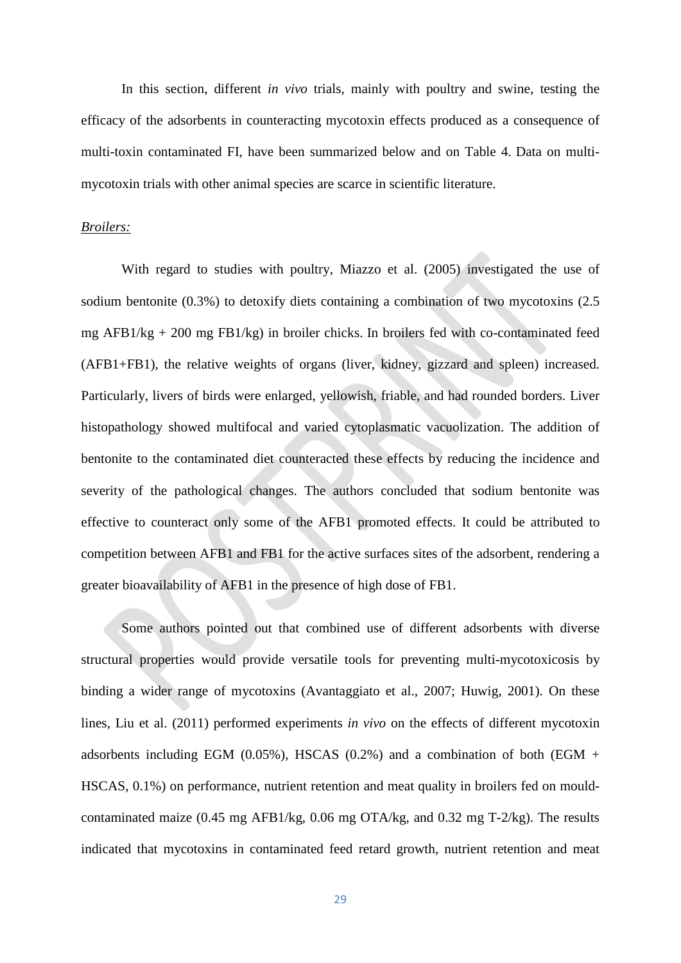In this section, different *in vivo* trials, mainly with poultry and swine, testing the efficacy of the adsorbents in counteracting mycotoxin effects produced as a consequence of multi-toxin contaminated FI, have been summarized below and on Table 4. Data on multimycotoxin trials with other animal species are scarce in scientific literature.

# *Broilers:*

With regard to studies with poultry, Miazzo et al. (2005) investigated the use of sodium bentonite (0.3%) to detoxify diets containing a combination of two mycotoxins (2.5 mg  $AFB1/kg + 200$  mg  $FB1/kg$ ) in broiler chicks. In broilers fed with co-contaminated feed (AFB1+FB1), the relative weights of organs (liver, kidney, gizzard and spleen) increased. Particularly, livers of birds were enlarged, yellowish, friable, and had rounded borders. Liver histopathology showed multifocal and varied cytoplasmatic vacuolization. The addition of bentonite to the contaminated diet counteracted these effects by reducing the incidence and severity of the pathological changes. The authors concluded that sodium bentonite was effective to counteract only some of the AFB1 promoted effects. It could be attributed to competition between AFB1 and FB1 for the active surfaces sites of the adsorbent, rendering a greater bioavailability of AFB1 in the presence of high dose of FB1.

Some authors pointed out that combined use of different adsorbents with diverse structural properties would provide versatile tools for preventing multi-mycotoxicosis by binding a wider range of mycotoxins (Avantaggiato et al., 2007; Huwig, 2001). On these lines, Liu et al. (2011) performed experiments *in vivo* on the effects of different mycotoxin adsorbents including EGM (0.05%), HSCAS (0.2%) and a combination of both (EGM  $+$ HSCAS, 0.1%) on performance, nutrient retention and meat quality in broilers fed on mouldcontaminated maize (0.45 mg AFB1/kg, 0.06 mg OTA/kg, and 0.32 mg T-2/kg). The results indicated that mycotoxins in contaminated feed retard growth, nutrient retention and meat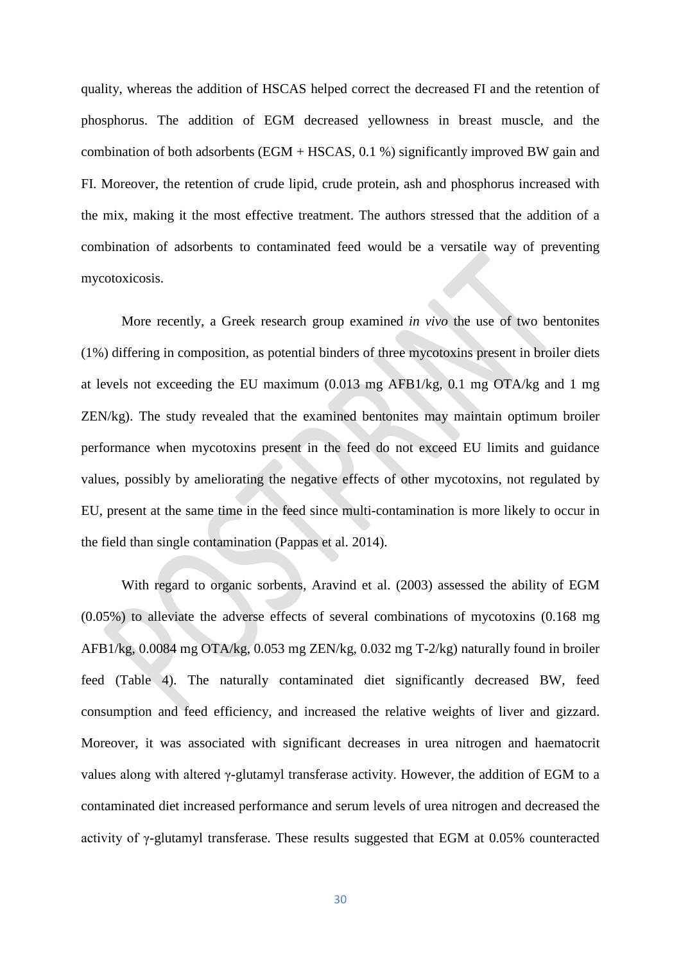quality, whereas the addition of HSCAS helped correct the decreased FI and the retention of phosphorus. The addition of EGM decreased yellowness in breast muscle, and the combination of both adsorbents (EGM + HSCAS, 0.1 %) significantly improved BW gain and FI. Moreover, the retention of crude lipid, crude protein, ash and phosphorus increased with the mix, making it the most effective treatment. The authors stressed that the addition of a combination of adsorbents to contaminated feed would be a versatile way of preventing mycotoxicosis.

More recently, a Greek research group examined *in vivo* the use of two bentonites (1%) differing in composition, as potential binders of three mycotoxins present in broiler diets at levels not exceeding the EU maximum (0.013 mg AFB1/kg, 0.1 mg OTA/kg and 1 mg ZEN/kg). The study revealed that the examined bentonites may maintain optimum broiler performance when mycotoxins present in the feed do not exceed EU limits and guidance values, possibly by ameliorating the negative effects of other mycotoxins, not regulated by EU, present at the same time in the feed since multi-contamination is more likely to occur in the field than single contamination (Pappas et al. 2014).

With regard to organic sorbents, Aravind et al. (2003) assessed the ability of EGM (0.05%) to alleviate the adverse effects of several combinations of mycotoxins (0.168 mg AFB1/kg, 0.0084 mg OTA/kg, 0.053 mg ZEN/kg, 0.032 mg T-2/kg) naturally found in broiler feed (Table 4). The naturally contaminated diet significantly decreased BW, feed consumption and feed efficiency, and increased the relative weights of liver and gizzard. Moreover, it was associated with significant decreases in urea nitrogen and haematocrit values along with altered γ-glutamyl transferase activity. However, the addition of EGM to a contaminated diet increased performance and serum levels of urea nitrogen and decreased the activity of γ-glutamyl transferase. These results suggested that EGM at 0.05% counteracted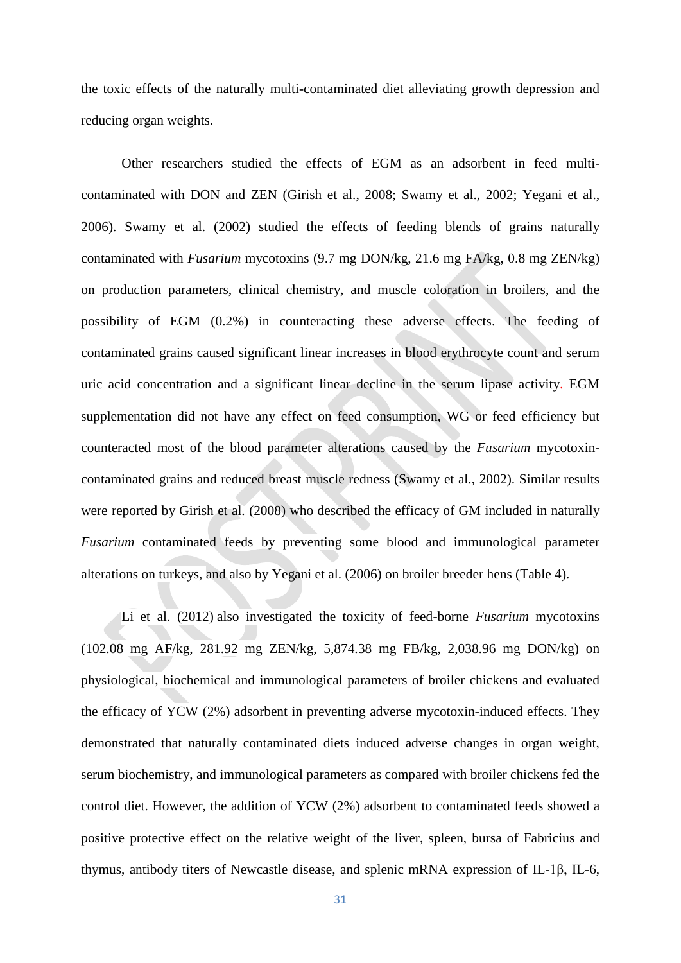the toxic effects of the naturally multi-contaminated diet alleviating growth depression and reducing organ weights.

Other researchers studied the effects of EGM as an adsorbent in feed multicontaminated with DON and ZEN (Girish et al., 2008; Swamy et al., 2002; Yegani et al., 2006). Swamy et al. (2002) studied the effects of feeding blends of grains naturally contaminated with *Fusarium* mycotoxins (9.7 mg DON/kg, 21.6 mg FA/kg, 0.8 mg ZEN/kg) on production parameters, clinical chemistry, and muscle coloration in broilers, and the possibility of EGM (0.2%) in counteracting these adverse effects. The feeding of contaminated grains caused significant linear increases in blood erythrocyte count and serum uric acid concentration and a significant linear decline in the serum lipase activity. EGM supplementation did not have any effect on feed consumption, WG or feed efficiency but counteracted most of the blood parameter alterations caused by the *Fusarium* mycotoxincontaminated grains and reduced breast muscle redness (Swamy et al., 2002). Similar results were reported by Girish et al. (2008) who described the efficacy of GM included in naturally *Fusarium* contaminated feeds by preventing some blood and immunological parameter alterations on turkeys, and also by Yegani et al. (2006) on broiler breeder hens (Table 4).

Li et al. (2012) also investigated the toxicity of feed-borne *Fusarium* mycotoxins (102.08 mg AF/kg, 281.92 mg ZEN/kg, 5,874.38 mg FB/kg, 2,038.96 mg DON/kg) on physiological, biochemical and immunological parameters of broiler chickens and evaluated the efficacy of YCW (2%) adsorbent in preventing adverse mycotoxin-induced effects. They demonstrated that naturally contaminated diets induced adverse changes in organ weight, serum biochemistry, and immunological parameters as compared with broiler chickens fed the control diet. However, the addition of YCW (2%) adsorbent to contaminated feeds showed a positive protective effect on the relative weight of the liver, spleen, bursa of Fabricius and thymus, antibody titers of Newcastle disease, and splenic mRNA expression of IL-1β, IL-6,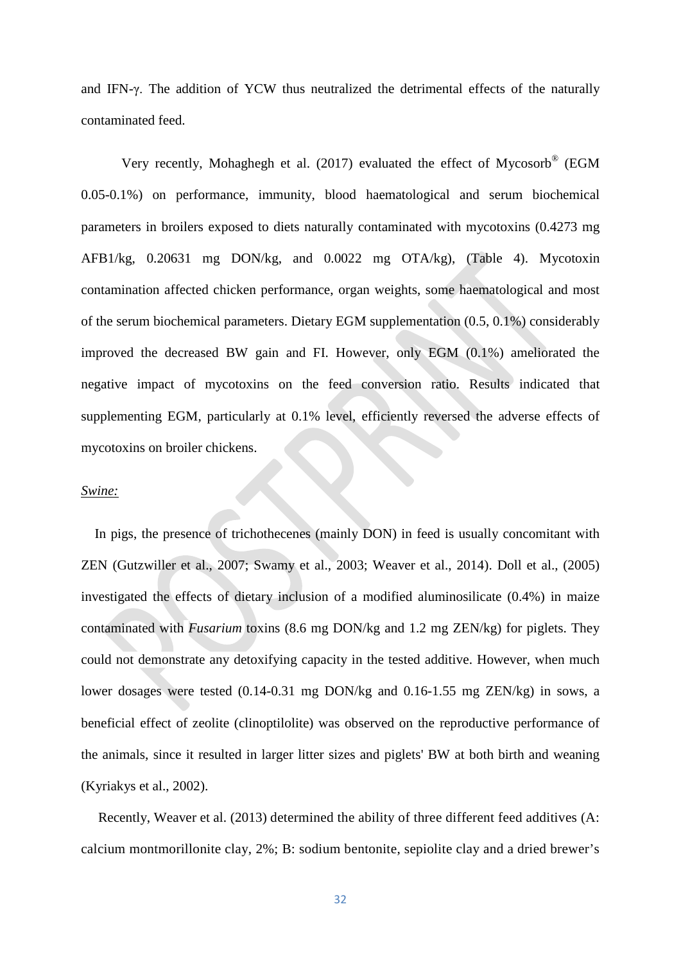and IFN-γ. The addition of YCW thus neutralized the detrimental effects of the naturally contaminated feed.

Very recently, Mohaghegh et al. (2017) evaluated the effect of Mycosorb® (EGM 0.05-0.1%) on performance, immunity, blood haematological and serum biochemical parameters in broilers exposed to diets naturally contaminated with mycotoxins (0.4273 mg AFB1/kg, 0.20631 mg DON/kg, and 0.0022 mg OTA/kg), (Table 4). Mycotoxin contamination affected chicken performance, organ weights, some haematological and most of the serum biochemical parameters. Dietary EGM supplementation (0.5, 0.1%) considerably improved the decreased BW gain and FI. However, only EGM (0.1%) ameliorated the negative impact of mycotoxins on the feed conversion ratio. Results indicated that supplementing EGM, particularly at 0.1% level, efficiently reversed the adverse effects of mycotoxins on broiler chickens.

#### *Swine:*

In pigs, the presence of trichothecenes (mainly DON) in feed is usually concomitant with ZEN (Gutzwiller et al., 2007; Swamy et al., 2003; Weaver et al., 2014). Doll et al., (2005) investigated the effects of dietary inclusion of a modified aluminosilicate (0.4%) in maize contaminated with *Fusarium* toxins (8.6 mg DON/kg and 1.2 mg ZEN/kg) for piglets. They could not demonstrate any detoxifying capacity in the tested additive. However, when much lower dosages were tested (0.14-0.31 mg DON/kg and 0.16-1.55 mg ZEN/kg) in sows, a beneficial effect of zeolite (clinoptilolite) was observed on the reproductive performance of the animals, since it resulted in larger litter sizes and piglets' BW at both birth and weaning (Kyriakys et al., 2002).

Recently, Weaver et al. (2013) determined the ability of three different feed additives (A: calcium montmorillonite clay, 2%; B: sodium bentonite, sepiolite clay and a dried brewer's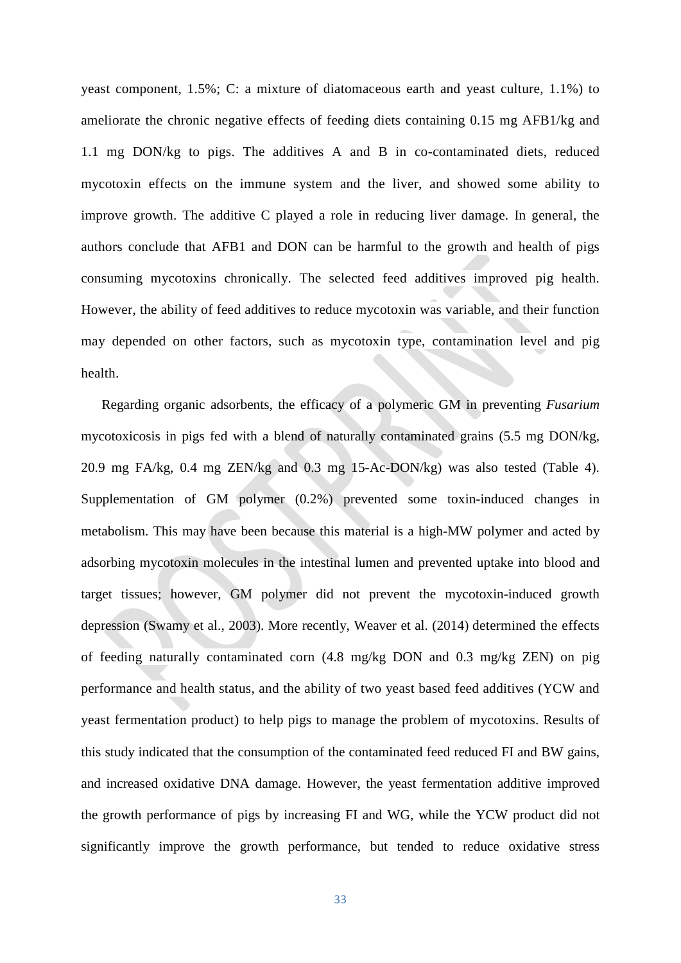yeast component, 1.5%; C: a mixture of diatomaceous earth and yeast culture, 1.1%) to ameliorate the chronic negative effects of feeding diets containing 0.15 mg AFB1/kg and 1.1 mg DON/kg to pigs. The additives A and B in co-contaminated diets, reduced mycotoxin effects on the immune system and the liver, and showed some ability to improve growth. The additive C played a role in reducing liver damage. In general, the authors conclude that AFB1 and DON can be harmful to the growth and health of pigs consuming mycotoxins chronically. The selected feed additives improved pig health. However, the ability of feed additives to reduce mycotoxin was variable, and their function may depended on other factors, such as mycotoxin type, contamination level and pig health.

Regarding organic adsorbents, the efficacy of a polymeric GM in preventing *Fusarium* mycotoxicosis in pigs fed with a blend of naturally contaminated grains (5.5 mg DON/kg, 20.9 mg FA/kg, 0.4 mg ZEN/kg and 0.3 mg 15-Ac-DON/kg) was also tested (Table 4). Supplementation of GM polymer (0.2%) prevented some toxin-induced changes in metabolism. This may have been because this material is a high-MW polymer and acted by adsorbing mycotoxin molecules in the intestinal lumen and prevented uptake into blood and target tissues; however, GM polymer did not prevent the mycotoxin-induced growth depression (Swamy et al., 2003). More recently, Weaver et al. (2014) determined the effects of feeding naturally contaminated corn (4.8 mg/kg DON and 0.3 mg/kg ZEN) on pig performance and health status, and the ability of two yeast based feed additives (YCW and yeast fermentation product) to help pigs to manage the problem of mycotoxins. Results of this study indicated that the consumption of the contaminated feed reduced FI and BW gains, and increased oxidative DNA damage. However, the yeast fermentation additive improved the growth performance of pigs by increasing FI and WG, while the YCW product did not significantly improve the growth performance, but tended to reduce oxidative stress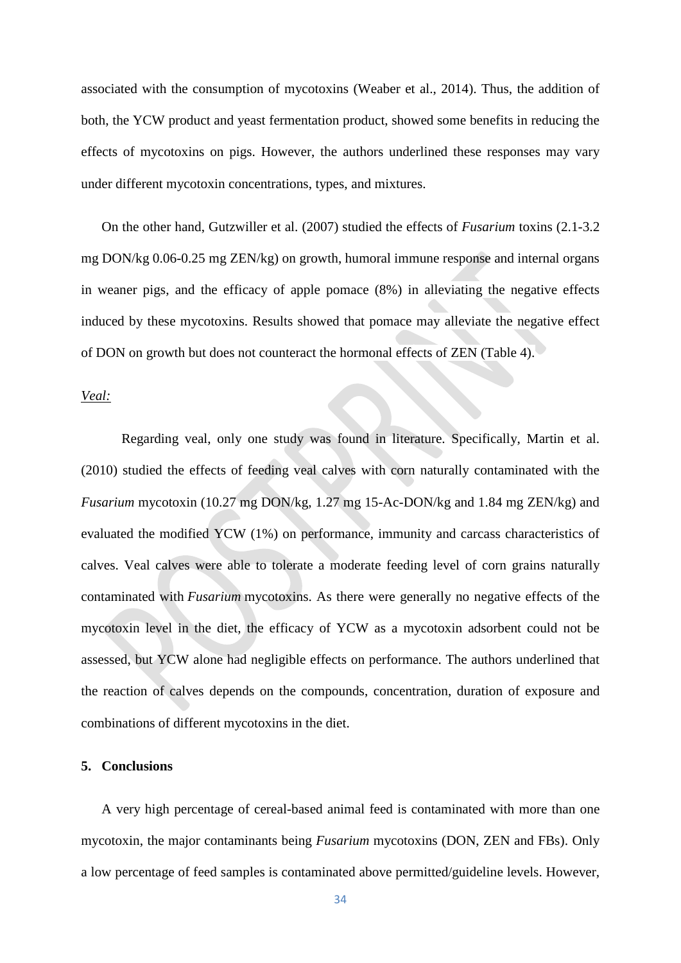associated with the consumption of mycotoxins (Weaber et al., 2014). Thus, the addition of both, the YCW product and yeast fermentation product, showed some benefits in reducing the effects of mycotoxins on pigs. However, the authors underlined these responses may vary under different mycotoxin concentrations, types, and mixtures.

On the other hand, Gutzwiller et al. (2007) studied the effects of *Fusarium* toxins (2.1-3.2 mg DON/kg 0.06-0.25 mg ZEN/kg) on growth, humoral immune response and internal organs in weaner pigs, and the efficacy of apple pomace (8%) in alleviating the negative effects induced by these mycotoxins. Results showed that pomace may alleviate the negative effect of DON on growth but does not counteract the hormonal effects of ZEN (Table 4).

# *Veal:*

Regarding veal, only one study was found in literature. Specifically, Martin et al. (2010) studied the effects of feeding veal calves with corn naturally contaminated with the *Fusarium* mycotoxin (10.27 mg DON/kg, 1.27 mg 15-Ac-DON/kg and 1.84 mg ZEN/kg) and evaluated the modified YCW (1%) on performance, immunity and carcass characteristics of calves. Veal calves were able to tolerate a moderate feeding level of corn grains naturally contaminated with *Fusarium* mycotoxins. As there were generally no negative effects of the mycotoxin level in the diet, the efficacy of YCW as a mycotoxin adsorbent could not be assessed, but YCW alone had negligible effects on performance. The authors underlined that the reaction of calves depends on the compounds, concentration, duration of exposure and combinations of different mycotoxins in the diet.

#### **5. Conclusions**

A very high percentage of cereal-based animal feed is contaminated with more than one mycotoxin, the major contaminants being *Fusarium* mycotoxins (DON, ZEN and FBs). Only a low percentage of feed samples is contaminated above permitted/guideline levels. However,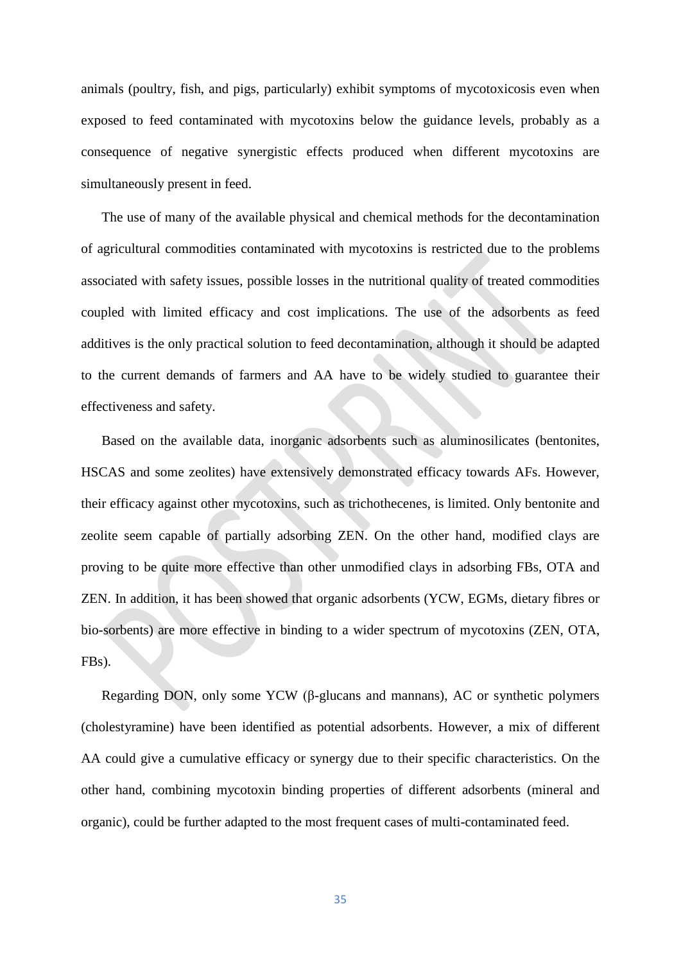animals (poultry, fish, and pigs, particularly) exhibit symptoms of mycotoxicosis even when exposed to feed contaminated with mycotoxins below the guidance levels, probably as a consequence of negative synergistic effects produced when different mycotoxins are simultaneously present in feed.

The use of many of the available physical and chemical methods for the decontamination of agricultural commodities contaminated with mycotoxins is restricted due to the problems associated with safety issues, possible losses in the nutritional quality of treated commodities coupled with limited efficacy and cost implications. The use of the adsorbents as feed additives is the only practical solution to feed decontamination, although it should be adapted to the current demands of farmers and AA have to be widely studied to guarantee their effectiveness and safety.

Based on the available data, inorganic adsorbents such as aluminosilicates (bentonites, HSCAS and some zeolites) have extensively demonstrated efficacy towards AFs. However, their efficacy against other mycotoxins, such as trichothecenes, is limited. Only bentonite and zeolite seem capable of partially adsorbing ZEN. On the other hand, modified clays are proving to be quite more effective than other unmodified clays in adsorbing FBs, OTA and ZEN. In addition, it has been showed that organic adsorbents (YCW, EGMs, dietary fibres or bio-sorbents) are more effective in binding to a wider spectrum of mycotoxins (ZEN, OTA, FBs).

Regarding DON, only some YCW (β-glucans and mannans), AC or synthetic polymers (cholestyramine) have been identified as potential adsorbents. However, a mix of different AA could give a cumulative efficacy or synergy due to their specific characteristics. On the other hand, combining mycotoxin binding properties of different adsorbents (mineral and organic), could be further adapted to the most frequent cases of multi-contaminated feed.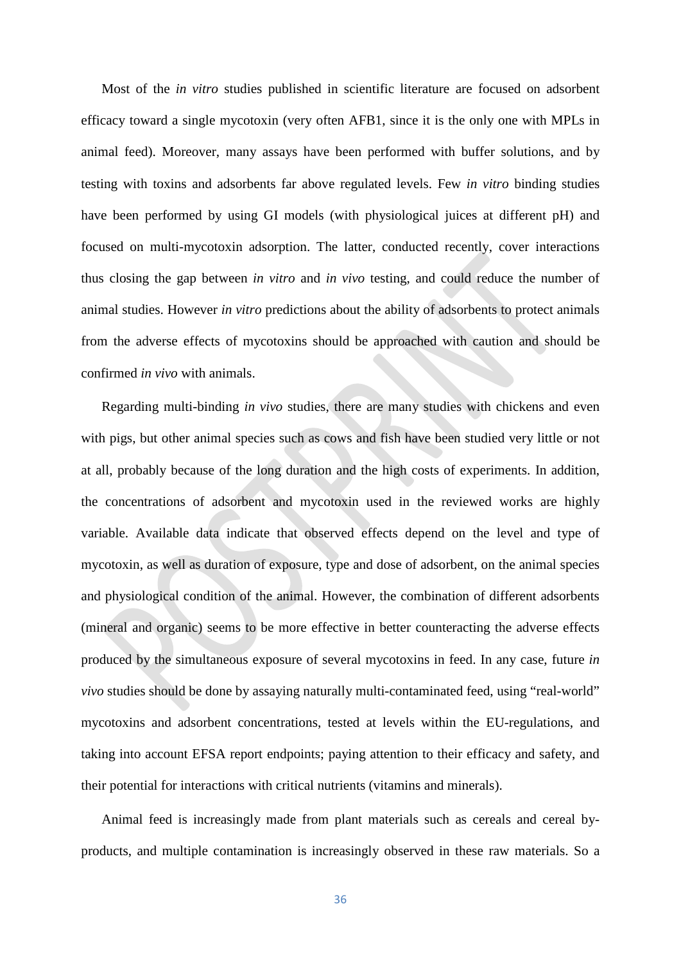Most of the *in vitro* studies published in scientific literature are focused on adsorbent efficacy toward a single mycotoxin (very often AFB1, since it is the only one with MPLs in animal feed). Moreover, many assays have been performed with buffer solutions, and by testing with toxins and adsorbents far above regulated levels. Few *in vitro* binding studies have been performed by using GI models (with physiological juices at different pH) and focused on multi-mycotoxin adsorption. The latter, conducted recently, cover interactions thus closing the gap between *in vitro* and *in vivo* testing, and could reduce the number of animal studies. However *in vitro* predictions about the ability of adsorbents to protect animals from the adverse effects of mycotoxins should be approached with caution and should be confirmed *in vivo* with animals.

Regarding multi-binding *in vivo* studies, there are many studies with chickens and even with pigs, but other animal species such as cows and fish have been studied very little or not at all, probably because of the long duration and the high costs of experiments. In addition, the concentrations of adsorbent and mycotoxin used in the reviewed works are highly variable. Available data indicate that observed effects depend on the level and type of mycotoxin, as well as duration of exposure, type and dose of adsorbent, on the animal species and physiological condition of the animal. However, the combination of different adsorbents (mineral and organic) seems to be more effective in better counteracting the adverse effects produced by the simultaneous exposure of several mycotoxins in feed. In any case, future *in vivo* studies should be done by assaying naturally multi-contaminated feed, using "real-world" mycotoxins and adsorbent concentrations, tested at levels within the EU-regulations, and taking into account EFSA report endpoints; paying attention to their efficacy and safety, and their potential for interactions with critical nutrients (vitamins and minerals).

Animal feed is increasingly made from plant materials such as cereals and cereal byproducts, and multiple contamination is increasingly observed in these raw materials. So a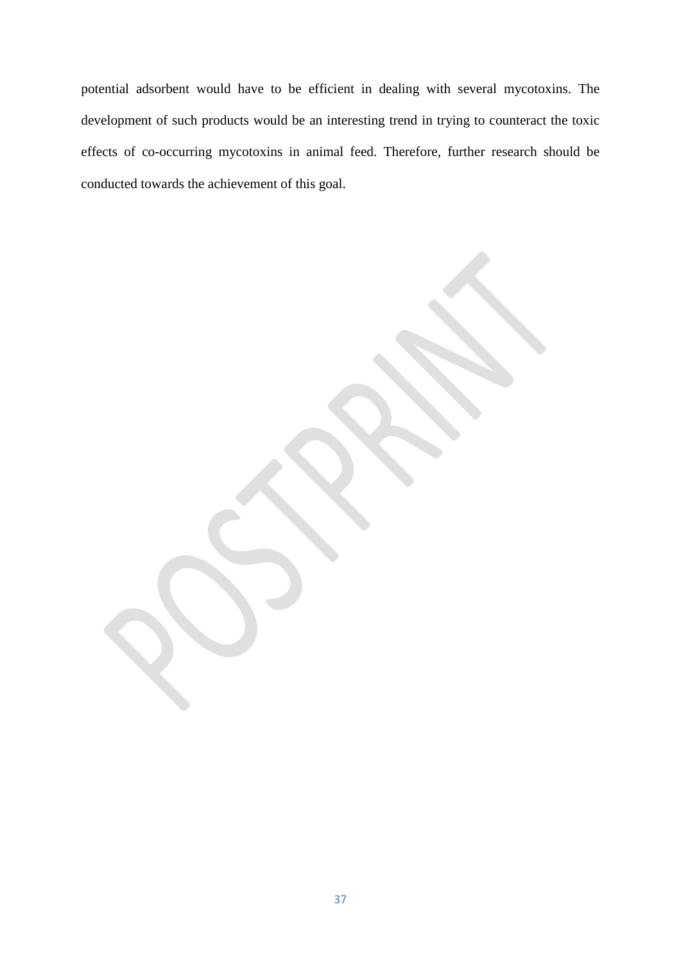potential adsorbent would have to be efficient in dealing with several mycotoxins. The development of such products would be an interesting trend in trying to counteract the toxic effects of co-occurring mycotoxins in animal feed. Therefore, further research should be conducted towards the achievement of this goal.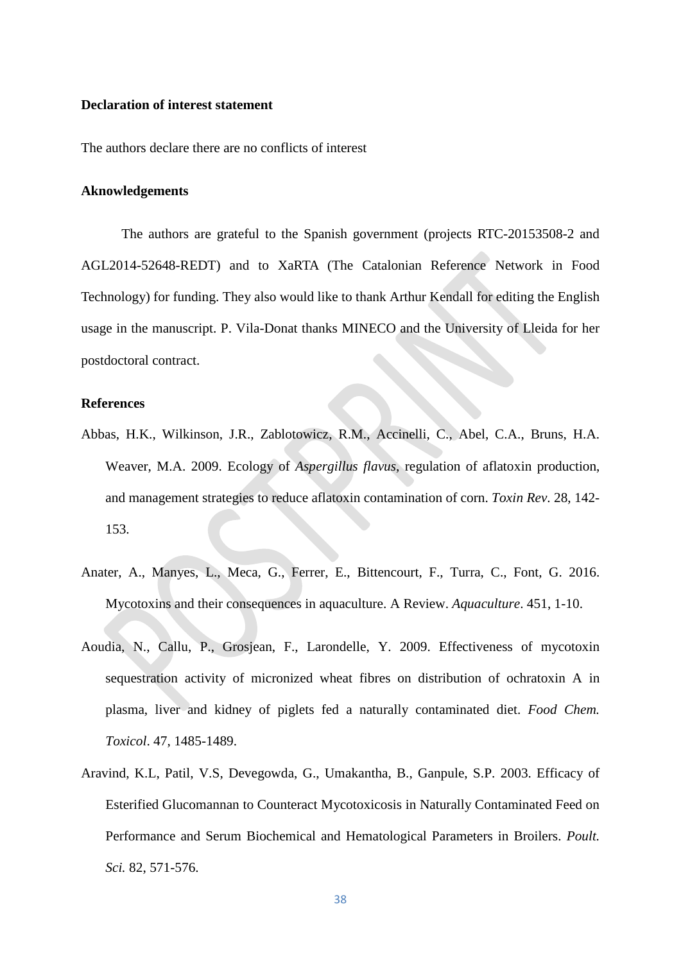#### **Declaration of interest statement**

The authors declare there are no conflicts of interest

#### **Aknowledgements**

The authors are grateful to the Spanish government (projects RTC-20153508-2 and AGL2014-52648-REDT) and to XaRTA (The Catalonian Reference Network in Food Technology) for funding. They also would like to thank Arthur Kendall for editing the English usage in the manuscript. P. Vila-Donat thanks MINECO and the University of Lleida for her postdoctoral contract.

#### **References**

- Abbas, H.K., Wilkinson, J.R., Zablotowicz, R.M., Accinelli, C., Abel, C.A., Bruns, H.A. Weaver, M.A. 2009. Ecology of *Aspergillus flavus*, regulation of aflatoxin production, and management strategies to reduce aflatoxin contamination of corn. *Toxin Rev*. 28, 142- 153.
- Anater, A., Manyes, L., Meca, G., Ferrer, E., Bittencourt, F., Turra, C., Font, G. 2016. Mycotoxins and their consequences in aquaculture. A Review. *Aquaculture*. 451, 1-10.
- Aoudia, N., Callu, P., Grosjean, F., Larondelle, Y. 2009. Effectiveness of mycotoxin sequestration activity of micronized wheat fibres on distribution of ochratoxin A in plasma, liver and kidney of piglets fed a naturally contaminated diet. *Food Chem. Toxicol*. 47, 1485-1489.
- Aravind, K.L, Patil, V.S, Devegowda, G., Umakantha, B., Ganpule, S.P. 2003. Efficacy of Esterified Glucomannan to Counteract Mycotoxicosis in Naturally Contaminated Feed on Performance and Serum Biochemical and Hematological Parameters in Broilers. *Poult. Sci.* 82, 571-576.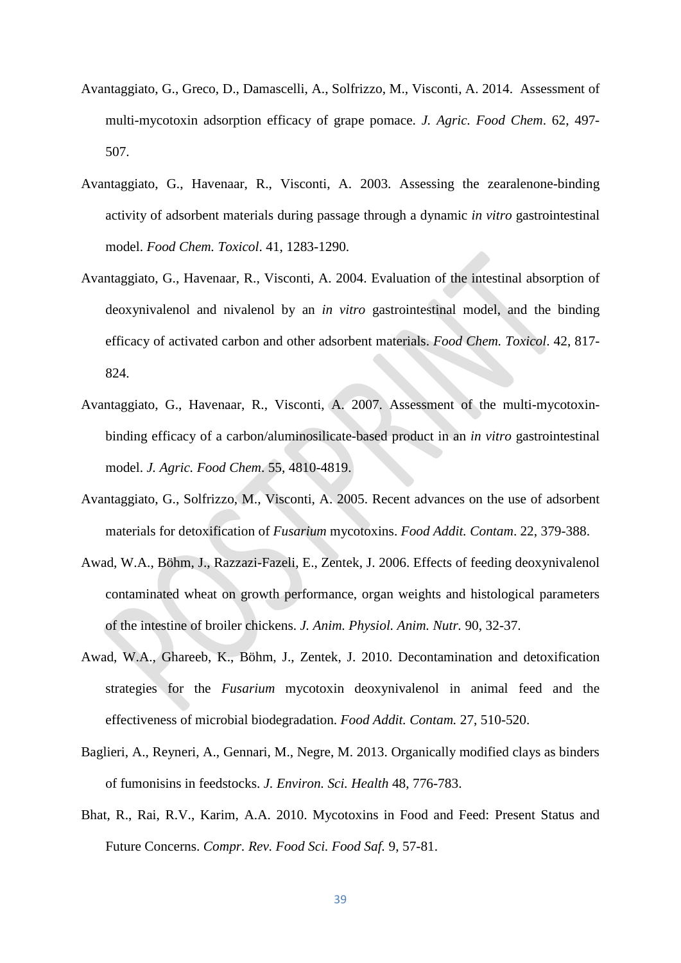- Avantaggiato, G., Greco, D., Damascelli, A., Solfrizzo, M., Visconti, A. 2014. Assessment of multi-mycotoxin adsorption efficacy of grape pomace. *J. Agric. Food Chem*. 62, 497- 507.
- Avantaggiato, G., Havenaar, R., Visconti, A. 2003. Assessing the zearalenone-binding activity of adsorbent materials during passage through a dynamic *in vitro* gastrointestinal model. *Food Chem. Toxicol*. 41, 1283-1290.
- Avantaggiato, G., Havenaar, R., Visconti, A. 2004. Evaluation of the intestinal absorption of deoxynivalenol and nivalenol by an *in vitro* gastrointestinal model, and the binding efficacy of activated carbon and other adsorbent materials. *Food Chem. Toxicol*. 42, 817- 824.
- Avantaggiato, G., Havenaar, R., Visconti, A. 2007. Assessment of the multi-mycotoxinbinding efficacy of a carbon/aluminosilicate-based product in an *in vitro* gastrointestinal model. *J. Agric. Food Chem*. 55, 4810-4819.
- Avantaggiato, G., Solfrizzo, M., Visconti, A. 2005. Recent advances on the use of adsorbent materials for detoxification of *Fusarium* mycotoxins. *Food Addit. Contam*. 22, 379-388.
- Awad, W.A., Böhm, J., Razzazi-Fazeli, E., Zentek, J. 2006. Effects of feeding deoxynivalenol contaminated wheat on growth performance, organ weights and histological parameters of the intestine of broiler chickens. *J. Anim. Physiol. Anim. Nutr.* 90, 32-37.
- Awad, W.A., Ghareeb, K., Böhm, J., Zentek, J. 2010. Decontamination and detoxification strategies for the *Fusarium* mycotoxin deoxynivalenol in animal feed and the effectiveness of microbial biodegradation. *Food Addit. Contam.* 27, 510-520.
- Baglieri, A., Reyneri, A., Gennari, M., Negre, M. 2013. Organically modified clays as binders of fumonisins in feedstocks. *J. Environ. Sci. Health* 48, 776-783.
- Bhat, R., Rai, R.V., Karim, A.A. 2010. Mycotoxins in Food and Feed: Present Status and Future Concerns. *Compr. Rev. Food Sci. Food Saf.* 9, 57-81.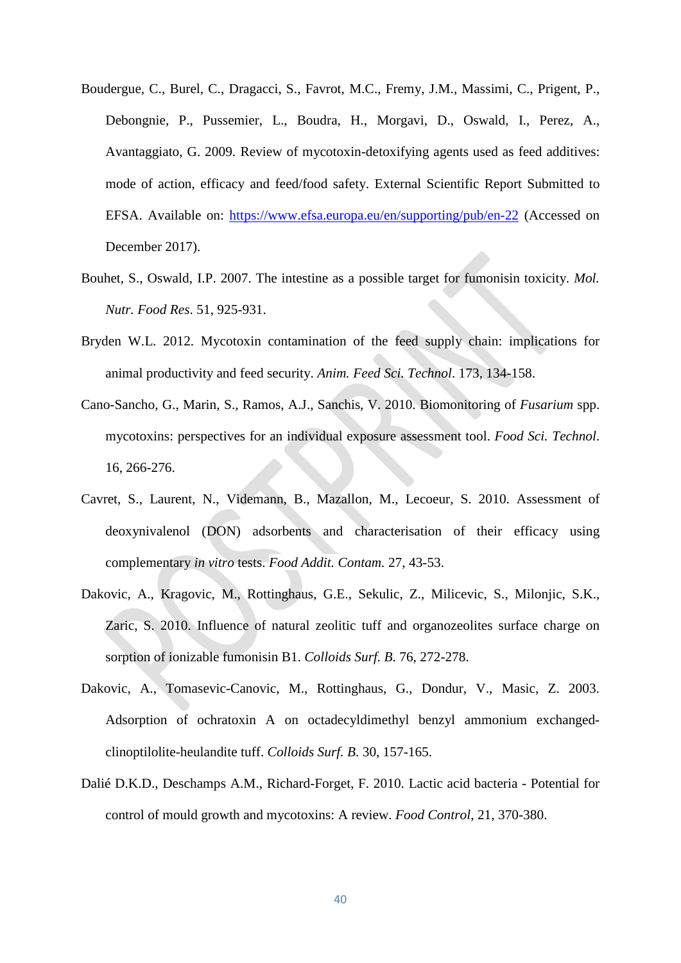- Boudergue, C., Burel, C., Dragacci, S., Favrot, M.C., Fremy, J.M., Massimi, C., Prigent, P., Debongnie, P., Pussemier, L., Boudra, H., Morgavi, D., Oswald, I., Perez, A., Avantaggiato, G. 2009. Review of mycotoxin-detoxifying agents used as feed additives: mode of action, efficacy and feed/food safety. External Scientific Report Submitted to EFSA. Available on:<https://www.efsa.europa.eu/en/supporting/pub/en-22> (Accessed on December 2017).
- Bouhet, S., Oswald, I.P. 2007. The intestine as a possible target for fumonisin toxicity. *Mol. Nutr. Food Res*. 51, 925-931.
- Bryden W.L. 2012. Mycotoxin contamination of the feed supply chain: implications for animal productivity and feed security. *Anim. Feed Sci. Technol*. 173, 134-158.
- Cano-Sancho, G., Marin, S., Ramos, A.J., Sanchis, V. 2010. Biomonitoring of *Fusarium* spp. mycotoxins: perspectives for an individual exposure assessment tool. *Food Sci. Technol*. 16, 266-276.
- Cavret, S., Laurent, N., Videmann, B., Mazallon, M., Lecoeur, S. 2010. Assessment of deoxynivalenol (DON) adsorbents and characterisation of their efficacy using complementary *in vitro* tests. *[Food Addit. Contam.](https://www.ncbi.nlm.nih.gov/pubmed/19760528)* 27, 43-53.
- Dakovic, A., Kragovic, M., Rottinghaus, G.E., Sekulic, Z., Milicevic, S., Milonjic, S.K., Zaric, S. 2010. Influence of natural zeolitic tuff and organozeolites surface charge on sorption of ionizable fumonisin B1. *Colloids Surf. B*. 76, 272-278.
- Dakovic, A., Tomasevic-Canovic, M., Rottinghaus, G., Dondur, V., Masic, Z. 2003. Adsorption of ochratoxin A on octadecyldimethyl benzyl ammonium exchangedclinoptilolite-heulandite tuff. *Colloids Surf. B*. 30, 157-165.
- Dalié D.K.D., Deschamps A.M., Richard-Forget, F. 2010. Lactic acid bacteria Potential for control of mould growth and mycotoxins: A review. *Food Control*, 21, 370-380.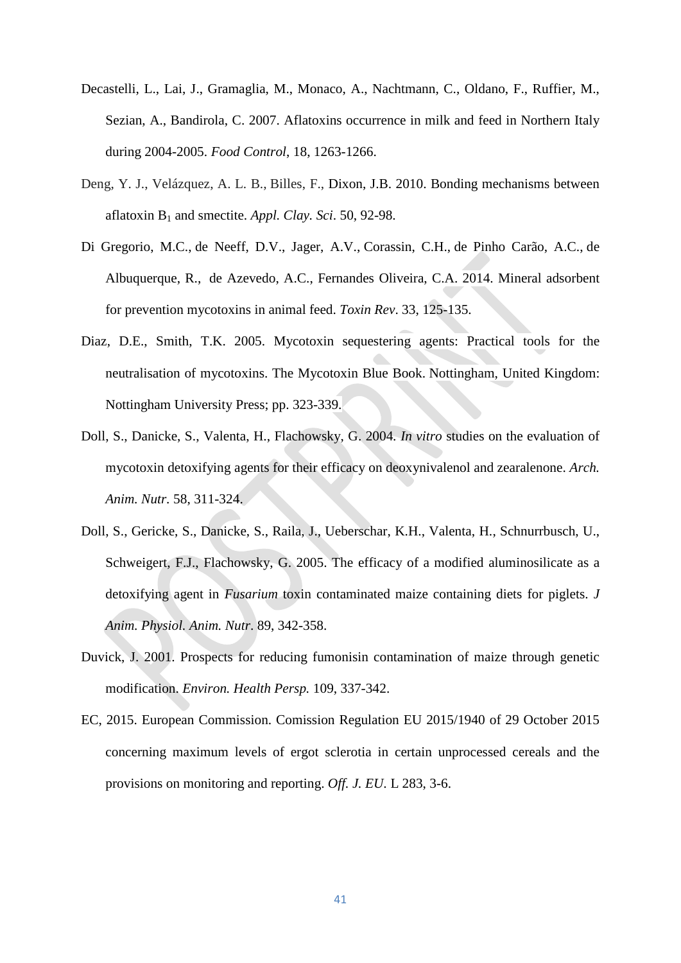- Decastelli, L., Lai, J., Gramaglia, M., Monaco, A., Nachtmann, C., Oldano, F., Ruffier, M., Sezian, A., Bandirola, C. 2007. Aflatoxins occurrence in milk and feed in Northern Italy during 2004-2005. *Food Control*, 18, 1263-1266.
- [Deng, Y. J.,](https://www.cabdirect.org/cabdirect/search/?q=au%3a%22Deng%2c+Y.+J.%22) [Velázquez, A. L. B.,](https://www.cabdirect.org/cabdirect/search/?q=au%3a%22Vel%c3%a1zquez%2c+A.+L.+B.%22) [Billes, F.,](https://www.cabdirect.org/cabdirect/search/?q=au%3a%22Billes%2c+F.%22) Dixon, J.B. 2010. Bonding mechanisms between aflatoxin B1 and smectite. *Appl. Clay. Sci*. 50, 92-98.
- [Di Gregorio,](http://www.tandfonline.com/author/Di+Gregorio%2C+Mayra+Carraro) M.C., [de Neeff,](http://www.tandfonline.com/author/Neeff%2C+Diane+Valganon+de) D.V., [Jager, A.V](http://www.tandfonline.com/author/Jager%2C+Alessandra+Vincenzi)., [Corassin,](http://www.tandfonline.com/author/Corassin%2C+Carlos+Humberto) C.H., de [Pinho Carão,](http://www.tandfonline.com/author/Car%C3%A3o%2C+%C3%81gatha+Cristina+de+Pinho) A.C., [de](http://www.tandfonline.com/author/Albuquerque%2C+Ricardo+de)  [Albuquerque,](http://www.tandfonline.com/author/Albuquerque%2C+Ricardo+de) R., [de Azevedo,](http://www.tandfonline.com/author/Azevedo%2C+Ant%C3%B4nio+Carlos+de) A.C., Fernandes [Oliveira,](http://www.tandfonline.com/author/Oliveira%2C+Carlos+Augusto+Fernandes) C.A. 2014. Mineral adsorbent for prevention mycotoxins in animal feed. *Toxin Rev*. 33, 125-135.
- Diaz, D.E., Smith, T.K. 2005. Mycotoxin sequestering agents: Practical tools for the neutralisation of mycotoxins. The Mycotoxin Blue Book. Nottingham, United Kingdom: Nottingham University Press; pp. 323-339.
- Doll, S., Danicke, S., Valenta, H., Flachowsky, G. 2004*. In vitro* studies on the evaluation of mycotoxin detoxifying agents for their efficacy on deoxynivalenol and zearalenone. *Arch. Anim. Nutr.* 58, 311-324.
- Doll, S., Gericke, S., Danicke, S., Raila, J., Ueberschar, K.H., Valenta, H., Schnurrbusch, U., Schweigert, F.J., Flachowsky, G. 2005. The efficacy of a modified aluminosilicate as a detoxifying agent in *Fusarium* toxin contaminated maize containing diets for piglets. *J Anim. Physiol. Anim. Nutr*. 89, 342-358.
- Duvick, J. 2001. Prospects for reducing fumonisin contamination of maize through genetic modification. *Environ. Health Persp.* 109, 337-342.
- EC, 2015. European Commission. Comission Regulation EU 2015/1940 of 29 October 2015 concerning maximum levels of ergot sclerotia in certain unprocessed cereals and the provisions on monitoring and reporting. *Off. J. EU.* L 283, 3-6.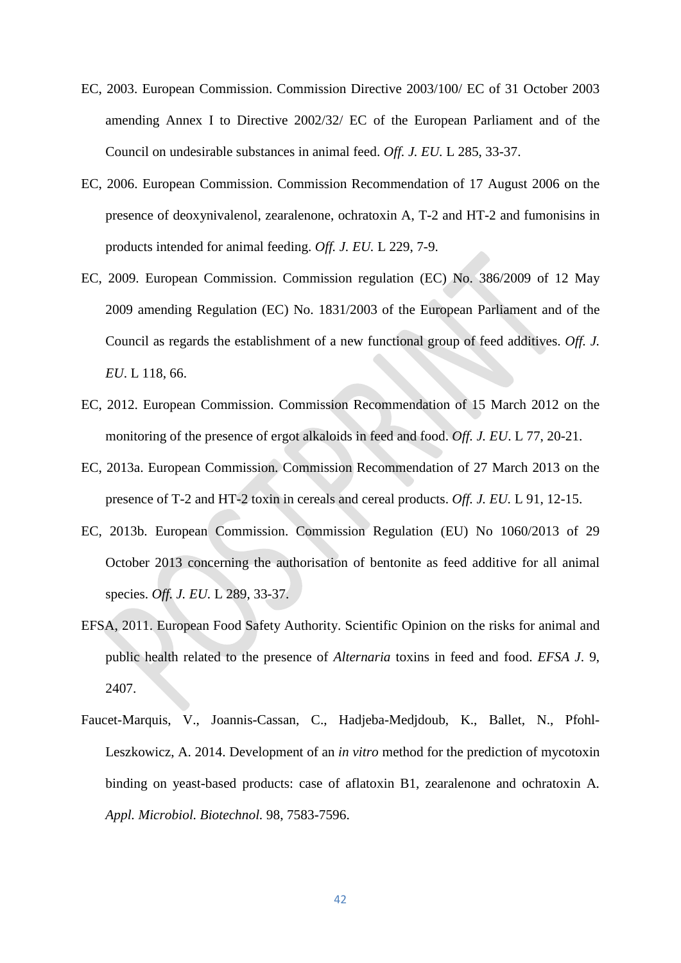- EC, 2003. European Commission. Commission Directive 2003/100/ EC of 31 October 2003 amending Annex I to Directive 2002/32/ EC of the European Parliament and of the Council on undesirable substances in animal feed. *Off. J. EU.* L 285, 33-37.
- EC, 2006. European Commission. Commission Recommendation of 17 August 2006 on the presence of deoxynivalenol, zearalenone, ochratoxin A, T-2 and HT-2 and fumonisins in products intended for animal feeding. *Off. J. EU.* L 229, 7-9.
- EC, 2009. European Commission. Commission regulation (EC) No. 386/2009 of 12 May 2009 amending Regulation (EC) No. 1831/2003 of the European Parliament and of the Council as regards the establishment of a new functional group of feed additives. *Off. J. EU*. L 118, 66.
- EC, 2012. European Commission. Commission Recommendation of 15 March 2012 on the monitoring of the presence of ergot alkaloids in feed and food. *Off. J. EU*. L 77, 20-21.
- EC, 2013a. European Commission. Commission Recommendation of 27 March 2013 on the presence of T-2 and HT-2 toxin in cereals and cereal products. *Off. J. EU.* L 91, 12-15.
- EC, 2013b. European Commission. Commission Regulation (EU) No 1060/2013 of 29 October 2013 concerning the authorisation of bentonite as feed additive for all animal species. *Off. J. EU.* L 289, 33-37.
- EFSA, 2011. European Food Safety Authority. Scientific Opinion on the risks for animal and public health related to the presence of *Alternaria* toxins in feed and food. *EFSA J*. 9, 2407.
- Faucet-Marquis, V., Joannis-Cassan, C., Hadjeba-Medjdoub, K., Ballet, N., Pfohl-Leszkowicz, A. 2014. Development of an *in vitro* method for the prediction of mycotoxin binding on yeast-based products: case of aflatoxin B1, zearalenone and ochratoxin A*. Appl. Microbiol. Biotechnol.* 98, 7583-7596.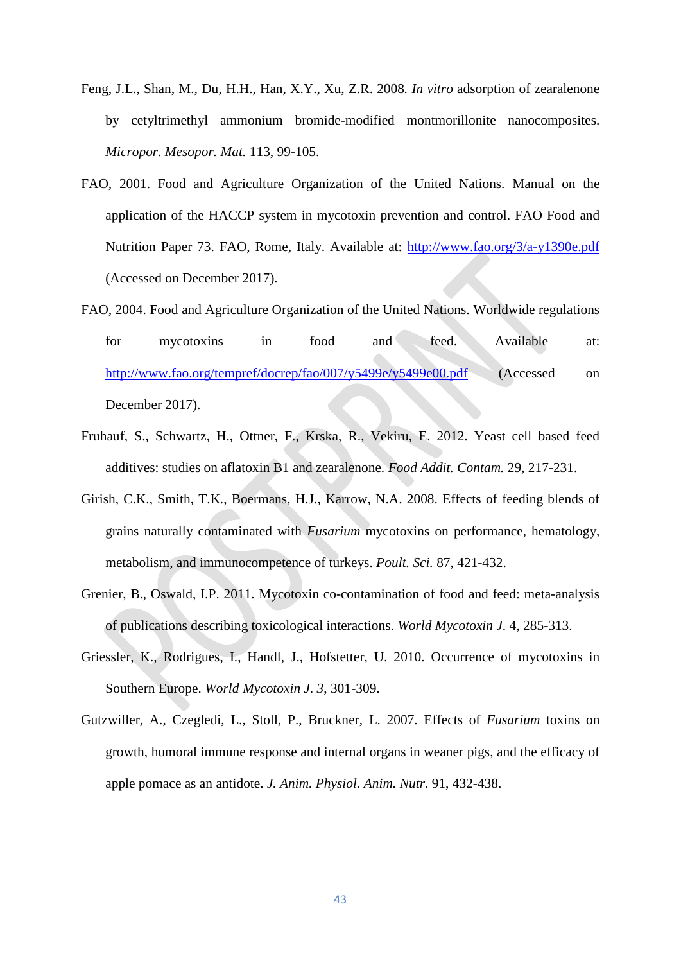- Feng, J.L., Shan, M., Du, H.H., Han, X.Y., Xu, Z.R. 2008*. In vitro* adsorption of zearalenone by cetyltrimethyl ammonium bromide-modified montmorillonite nanocomposites. *Micropor. Mesopor. Mat.* 113, 99-105.
- FAO, 2001. Food and Agriculture Organization of the United Nations. Manual on the application of the HACCP system in mycotoxin prevention and control. FAO Food and Nutrition Paper 73. FAO, Rome, Italy. Available at:<http://www.fao.org/3/a-y1390e.pdf> (Accessed on December 2017).
- FAO, 2004. Food and Agriculture Organization of the United Nations. Worldwide regulations for mycotoxins in food and feed. Available at: <http://www.fao.org/tempref/docrep/fao/007/y5499e/y5499e00.pdf> (Accessed on December 2017).
- Fruhauf, S., Schwartz, H., Ottner, F., Krska, R., Vekiru, E. 2012. Yeast cell based feed additives: studies on aflatoxin B1 and zearalenone. *Food Addit. Contam.* 29, 217-231.
- Girish, C.K., Smith, T.K., Boermans, H.J., Karrow, N.A. 2008. Effects of feeding blends of grains naturally contaminated with *Fusarium* mycotoxins on performance, hematology, metabolism, and immunocompetence of turkeys. *Poult. Sci.* 87, 421-432.
- Grenier, B., Oswald, I.P. 2011. Mycotoxin co-contamination of food and feed: meta-analysis of publications describing toxicological interactions. *World Mycotoxin J*. 4, 285-313.
- Griessler, K., Rodrigues, I., Handl, J., Hofstetter, U. 2010. Occurrence of mycotoxins in Southern Europe. *World Mycotoxin J*. *3*, 301*-*309.
- Gutzwiller, A., Czegledi, L., Stoll, P., Bruckner, L. 2007. Effects of *Fusarium* toxins on growth, humoral immune response and internal organs in weaner pigs, and the efficacy of apple pomace as an antidote. *J. Anim. Physiol. Anim. Nutr*. 91, 432-438.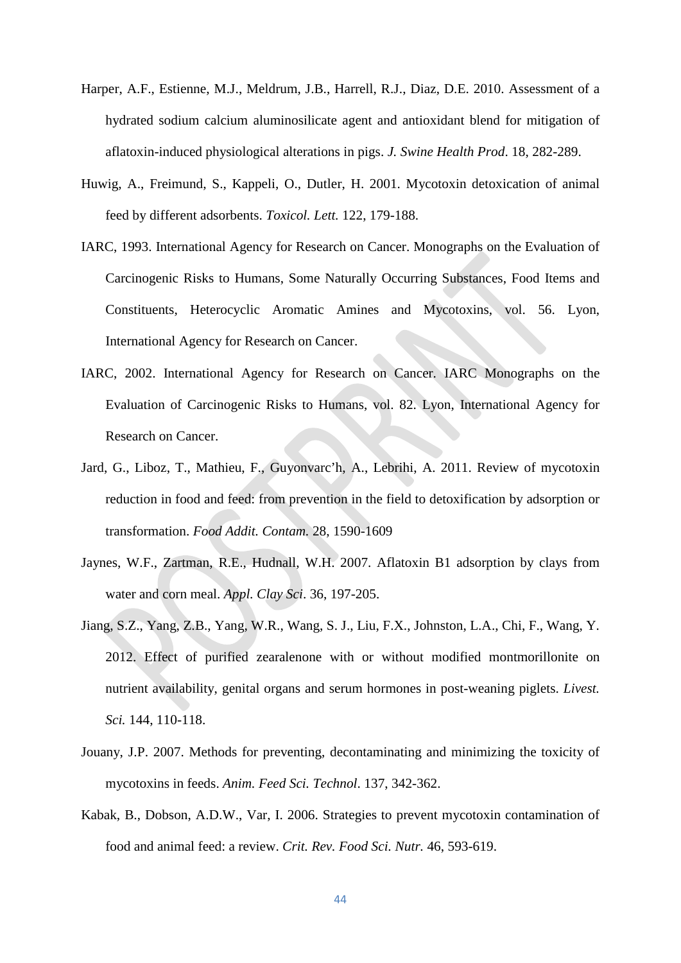- Harper, A.F., Estienne, M.J., Meldrum, J.B., Harrell, R.J., Diaz, D.E. 2010. Assessment of a hydrated sodium calcium aluminosilicate agent and antioxidant blend for mitigation of aflatoxin-induced physiological alterations in pigs. *J. Swine Health Prod*. 18, 282-289.
- Huwig, A., Freimund, S., Kappeli, O., Dutler, H. 2001. Mycotoxin detoxication of animal feed by different adsorbents. *Toxicol. Lett.* 122, 179-188.
- IARC, 1993. International Agency for Research on Cancer. Monographs on the Evaluation of Carcinogenic Risks to Humans, Some Naturally Occurring Substances, Food Items and Constituents, Heterocyclic Aromatic Amines and Mycotoxins, vol. 56. Lyon, International Agency for Research on Cancer.
- IARC, 2002. International Agency for Research on Cancer. IARC Monographs on the Evaluation of Carcinogenic Risks to Humans, vol. 82. Lyon, International Agency for Research on Cancer.
- Jard, G., Liboz, T., Mathieu, F., Guyonvarc'h, A., Lebrihi, A. 2011. Review of mycotoxin reduction in food and feed: from prevention in the field to detoxification by adsorption or transformation. *Food Addit. Contam.* 28, 1590-1609
- Jaynes, W.F., Zartman, R.E., Hudnall, W.H. 2007. Aflatoxin B1 adsorption by clays from water and corn meal. *Appl. Clay Sci*. 36, 197-205.
- Jiang, S.Z., Yang, Z.B., Yang, W.R., Wang, S. J., Liu, F.X., Johnston, L.A., Chi, F., Wang, Y. 2012. Effect of purified zearalenone with or without modified montmorillonite on nutrient availability, genital organs and serum hormones in post-weaning piglets. *Livest. Sci.* 144, 110-118.
- Jouany, J.P. 2007. Methods for preventing, decontaminating and minimizing the toxicity of mycotoxins in feeds. *Anim. Feed Sci. Technol*. 137, 342-362.
- Kabak, B., Dobson, A.D.W., Var, I. 2006. Strategies to prevent mycotoxin contamination of food and animal feed: a review. *Crit. Rev. Food Sci. Nutr.* 46, 593-619.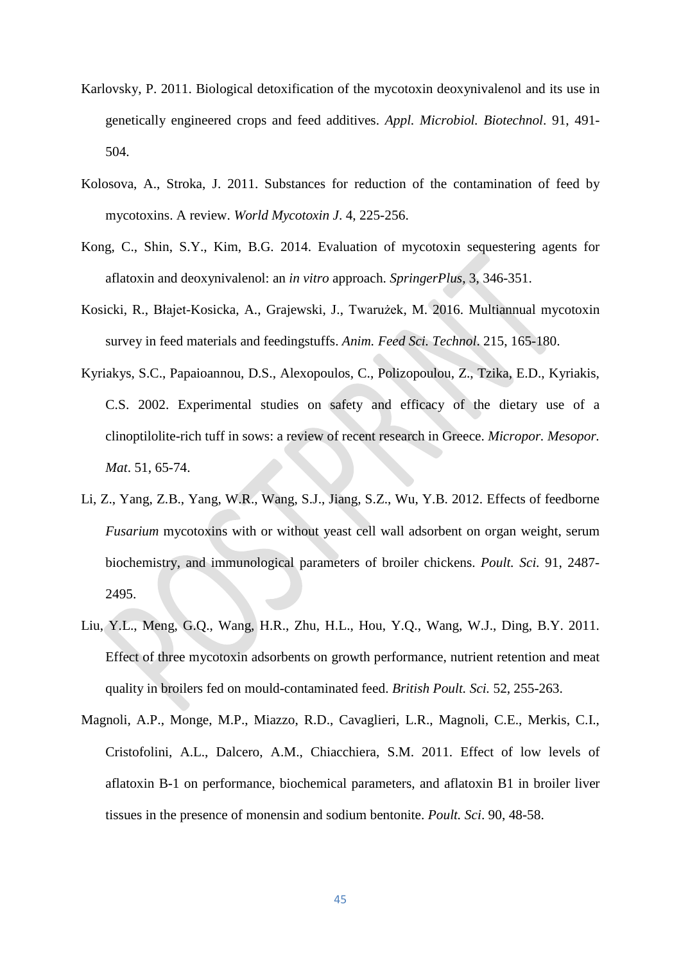- Karlovsky, P. 2011. Biological detoxification of the mycotoxin deoxynivalenol and its use in genetically engineered crops and feed additives. *Appl. Microbiol. Biotechnol*. 91, 491- 504.
- Kolosova, A., Stroka, J. 2011. Substances for reduction of the contamination of feed by mycotoxins. A review. *World Mycotoxin J*. 4, 225-256.
- Kong, C., Shin, S.Y., Kim, B.G. 2014. Evaluation of mycotoxin sequestering agents for aflatoxin and deoxynivalenol: an *in vitro* approach. *SpringerPlus*, 3, 346-351.
- [Kosicki,](http://www.sciencedirect.com/science/article/pii/S0377840116301018%23!) R., Błajet[-Kosicka,](http://www.sciencedirect.com/science/article/pii/S0377840116301018%23!) A., [Grajewski,](http://www.sciencedirect.com/science/article/pii/S0377840116301018%23!) J., [Twarużek](http://www.sciencedirect.com/science/article/pii/S0377840116301018%23!), M. 2016. Multiannual mycotoxin survey in feed materials and feedingstuffs. *[Anim. Feed Sci. Technol](http://www.sciencedirect.com/science/journal/03778401)*. [215,](http://www.sciencedirect.com/science/journal/03778401/215/supp/C) 165-180.
- Kyriakys, S.C., Papaioannou, D.S., Alexopoulos, C., Polizopoulou, Z., Tzika, E.D., Kyriakis, C.S. 2002. Experimental studies on safety and efficacy of the dietary use of a clinoptilolite-rich tuff in sows: a review of recent research in Greece. *Micropor. Mesopor. Mat*. 51, 65-74.
- Li, Z., Yang, Z.B., Yang, W.R., Wang, S.J., Jiang, S.Z., Wu, Y.B. 2012. Effects of feedborne *Fusarium* mycotoxins with or without yeast cell wall adsorbent on organ weight, serum biochemistry, and immunological parameters of broiler chickens. *Poult. Sci.* 91, 2487- 2495.
- Liu, Y.L., Meng, G.Q., Wang, H.R., Zhu, H.L., Hou, Y.Q., Wang, W.J., Ding, B.Y. 2011. Effect of three mycotoxin adsorbents on growth performance, nutrient retention and meat quality in broilers fed on mould-contaminated feed. *British Poult. Sci.* 52, 255-263.
- Magnoli, A.P., Monge, M.P., Miazzo, R.D., Cavaglieri, L.R., Magnoli, C.E., Merkis, C.I., Cristofolini, A.L., Dalcero, A.M., Chiacchiera, S.M. 2011. Effect of low levels of aflatoxin B-1 on performance, biochemical parameters, and aflatoxin B1 in broiler liver tissues in the presence of monensin and sodium bentonite. *Poult. Sci*. 90, 48-58.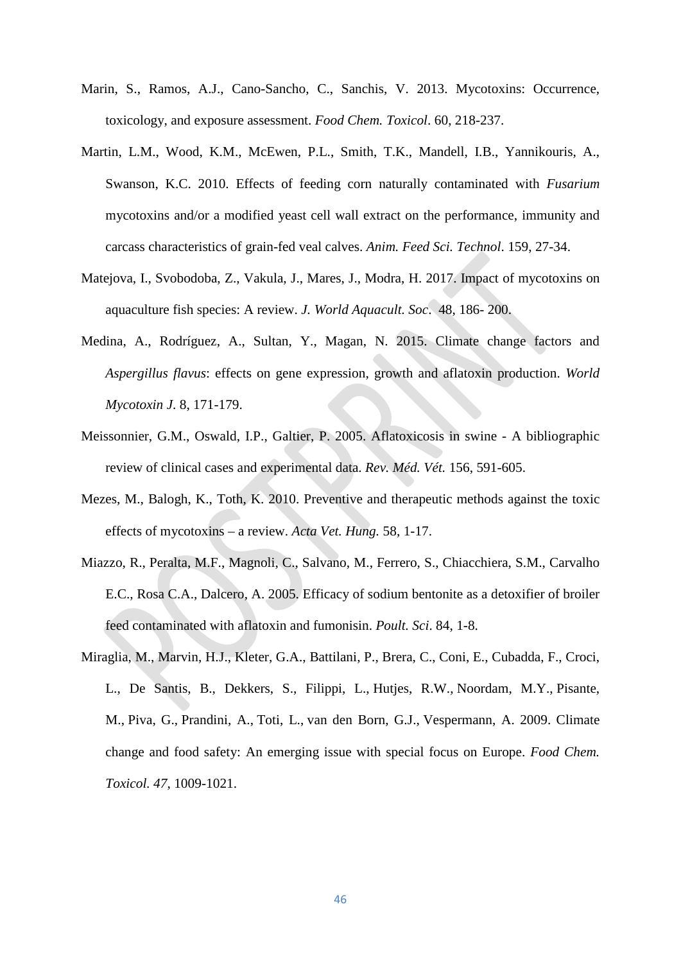- Marin, S., Ramos, A.J., Cano-Sancho, C., Sanchis, V. 2013. Mycotoxins: Occurrence, toxicology, and exposure assessment. *Food Chem. Toxicol*. 60, 218-237.
- Martin, L.M., Wood, K.M., McEwen, P.L., Smith, T.K., Mandell, I.B., Yannikouris, A., Swanson, K.C. 2010. Effects of feeding corn naturally contaminated with *Fusarium*  mycotoxins and/or a modified yeast cell wall extract on the performance, immunity and carcass characteristics of grain-fed veal calves. *Anim. Feed Sci. Technol*. 159, 27-34.
- Matejova, I., Svobodoba, Z., Vakula, J., Mares, J., Modra, H. 2017. Impact of mycotoxins on aquaculture fish species: A review. *J. World Aquacult. Soc*. 48, 186- 200.
- Medina, A., Rodríguez, A., Sultan, Y., Magan, N. 2015. Climate change factors and *Aspergillus flavus*: effects on gene expression, growth and aflatoxin production. *World Mycotoxin J*. 8, 171-179.
- Meissonnier, G.M., Oswald, I.P., Galtier, P. 2005. Aflatoxicosis in swine A bibliographic review of clinical cases and experimental data. *Rev. Méd. Vét.* 156, 591-605.
- Mezes, M., Balogh, K., Toth, K. 2010. Preventive and therapeutic methods against the toxic effects of mycotoxins – a review. *Acta Vet. Hung.* 58, 1-17.
- Miazzo, R., Peralta, M.F., Magnoli, C., Salvano, M., Ferrero, S., Chiacchiera, S.M., Carvalho E.C., Rosa C.A., Dalcero, A. 2005. Efficacy of sodium bentonite as a detoxifier of broiler feed contaminated with aflatoxin and fumonisin. *Poult. Sci*. 84, 1-8.
- Miraglia, M., Marvin, H.J., Kleter, G.A., Battilani, P., Brera, C., Coni, E., Cubadda, F., Croci, L., De Santis, B., Dekkers, S., [Filippi, L.](https://www.ncbi.nlm.nih.gov/pubmed/?term=Filippi%20L%5BAuthor%5D&cauthor=true&cauthor_uid=19353812), [Hutjes, R.W.](https://www.ncbi.nlm.nih.gov/pubmed/?term=Hutjes%20RW%5BAuthor%5D&cauthor=true&cauthor_uid=19353812), [Noordam, M.Y.](https://www.ncbi.nlm.nih.gov/pubmed/?term=Noordam%20MY%5BAuthor%5D&cauthor=true&cauthor_uid=19353812), [Pisante,](https://www.ncbi.nlm.nih.gov/pubmed/?term=Pisante%20M%5BAuthor%5D&cauthor=true&cauthor_uid=19353812)  [M.](https://www.ncbi.nlm.nih.gov/pubmed/?term=Pisante%20M%5BAuthor%5D&cauthor=true&cauthor_uid=19353812), [Piva, G.](https://www.ncbi.nlm.nih.gov/pubmed/?term=Piva%20G%5BAuthor%5D&cauthor=true&cauthor_uid=19353812), [Prandini, A.](https://www.ncbi.nlm.nih.gov/pubmed/?term=Prandini%20A%5BAuthor%5D&cauthor=true&cauthor_uid=19353812), [Toti, L.](https://www.ncbi.nlm.nih.gov/pubmed/?term=Toti%20L%5BAuthor%5D&cauthor=true&cauthor_uid=19353812), [van den Born, G.J.](https://www.ncbi.nlm.nih.gov/pubmed/?term=van%20den%20Born%20GJ%5BAuthor%5D&cauthor=true&cauthor_uid=19353812), [Vespermann, A.](https://www.ncbi.nlm.nih.gov/pubmed/?term=Vespermann%20A%5BAuthor%5D&cauthor=true&cauthor_uid=19353812) 2009. Climate change and food safety: An emerging issue with special focus on Europe. *Food Chem. Toxicol. 47*, 1009*-*1021.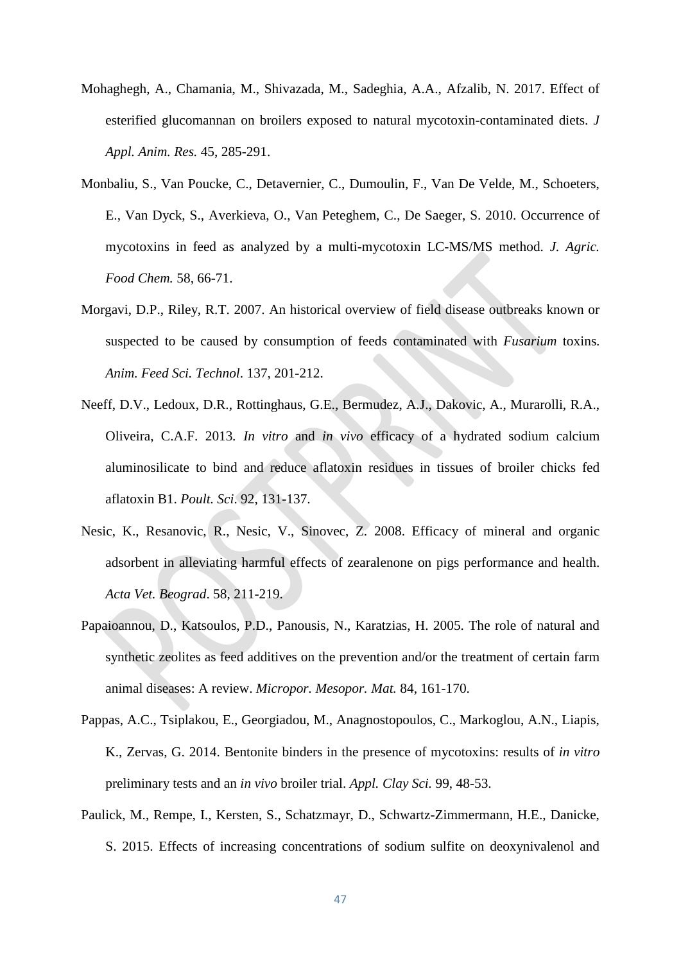- Mohaghegh, A., Chamania, M., Shivazada, M., Sadeghia, A.A., Afzalib, N. 2017. Effect of esterified glucomannan on broilers exposed to natural mycotoxin-contaminated diets. *J Appl. Anim. Res.* 45, 285-291.
- Monbaliu, S., Van Poucke, C., Detavernier, C., Dumoulin, F., Van De Velde, M., Schoeters, E., Van Dyck, S., Averkieva, O., Van Peteghem, C., De Saeger, S. 2010. Occurrence of mycotoxins in feed as analyzed by a multi-mycotoxin LC-MS/MS method. *J. Agric. Food Chem.* 58, 66-71.
- Morgavi, D.P., Riley, R.T. 2007. An historical overview of field disease outbreaks known or suspected to be caused by consumption of feeds contaminated with *Fusarium* toxins. *Anim. Feed Sci. Technol*. 137, 201-212.
- Neeff, D.V., Ledoux, D.R., Rottinghaus, G.E., Bermudez, A.J., Dakovic, A., Murarolli, R.A., Oliveira, C.A.F. 2013*. In vitro* and *in vivo* efficacy of a hydrated sodium calcium aluminosilicate to bind and reduce aflatoxin residues in tissues of broiler chicks fed aflatoxin B1. *Poult. Sci*. 92, 131-137.
- Nesic, K., Resanovic, R., Nesic, V., Sinovec, Z. 2008. Efficacy of mineral and organic adsorbent in alleviating harmful effects of zearalenone on pigs performance and health. *Acta Vet. Beograd*. 58, 211-219.
- Papaioannou, D., Katsoulos, P.D., Panousis, N., Karatzias, H. 2005. The role of natural and synthetic zeolites as feed additives on the prevention and/or the treatment of certain farm animal diseases: A review. *Micropor. Mesopor. Mat.* 84, 161-170.
- Pappas, A.C., Tsiplakou, E., Georgiadou, M., Anagnostopoulos, C., Markoglou, A.N., Liapis, K., Zervas, G. 2014. Bentonite binders in the presence of mycotoxins: results of *in vitro* preliminary tests and an *in vivo* broiler trial. *Appl. Clay Sci.* 99, 48-53.
- Paulick, M., Rempe, I., Kersten, S., Schatzmayr, D., Schwartz-Zimmermann, H.E., Danicke, S. 2015. Effects of increasing concentrations of sodium sulfite on deoxynivalenol and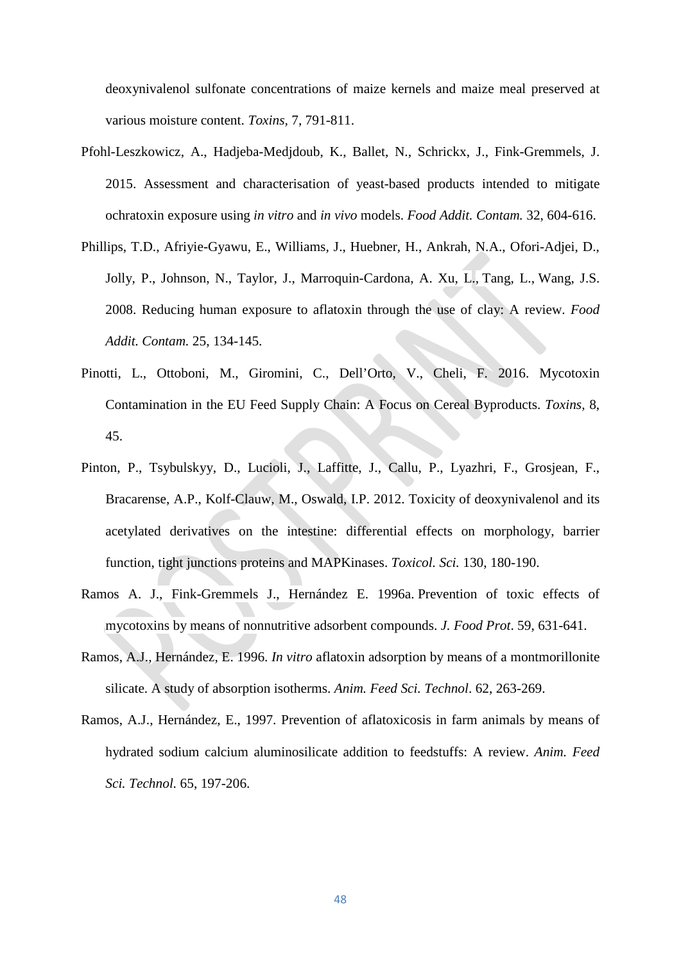deoxynivalenol sulfonate concentrations of maize kernels and maize meal preserved at various moisture content. *Toxins,* 7, 791-811.

- Pfohl-Leszkowicz, A., Hadjeba-Medjdoub, K., Ballet, N., Schrickx, J., Fink-Gremmels, J. 2015. Assessment and characterisation of yeast-based products intended to mitigate ochratoxin exposure using *in vitro* and *in vivo* models. *Food Addit. Contam.* 32, 604-616.
- Phillips, T.D., Afriyie-Gyawu, E., Williams, J., Huebner, H., Ankrah, N.A., Ofori-Adjei, D., Jolly, P., Johnson, N., Taylor, J., Marroquin-Cardona, A. [Xu, L.](https://www.ncbi.nlm.nih.gov/pubmed/?term=Xu%20L%5BAuthor%5D&cauthor=true&cauthor_uid=18286403), [Tang, L.](https://www.ncbi.nlm.nih.gov/pubmed/?term=Tang%20L%5BAuthor%5D&cauthor=true&cauthor_uid=18286403), [Wang, J.S.](https://www.ncbi.nlm.nih.gov/pubmed/?term=Wang%20JS%5BAuthor%5D&cauthor=true&cauthor_uid=18286403) 2008. Reducing human exposure to aflatoxin through the use of clay: A review. *Food Addit. Contam.* 25, 134-145.
- Pinotti, L., Ottoboni, M., Giromini, C., Dell'Orto, V., Cheli, F. 2016. Mycotoxin Contamination in the EU Feed Supply Chain: A Focus on Cereal Byproducts. *Toxins,* 8, 45.
- Pinton, P., Tsybulskyy, D., Lucioli, J., Laffitte, J., Callu, P., Lyazhri, F., Grosjean, F., Bracarense, A.P., Kolf-Clauw, M., Oswald, I.P. 2012. Toxicity of deoxynivalenol and its acetylated derivatives on the intestine: differential effects on morphology, barrier function, tight junctions proteins and MAPKinases. *Toxicol. Sci.* 130, 180-190.
- Ramos A. J., Fink-Gremmels J., Hernández E. 1996a. Prevention of toxic effects of mycotoxins by means of nonnutritive adsorbent compounds. *J. Food Prot*. 59, 631-641.
- Ramos, A.J., Hernández, E. 1996. *In vitro* aflatoxin adsorption by means of a montmorillonite silicate. A study of absorption isotherms. *Anim. Feed Sci. Technol*. 62, 263-269.
- Ramos, A.J., Hernández, E., 1997. Prevention of aflatoxicosis in farm animals by means of hydrated sodium calcium aluminosilicate addition to feedstuffs: A review. *Anim. Feed Sci. Technol.* 65, 197-206.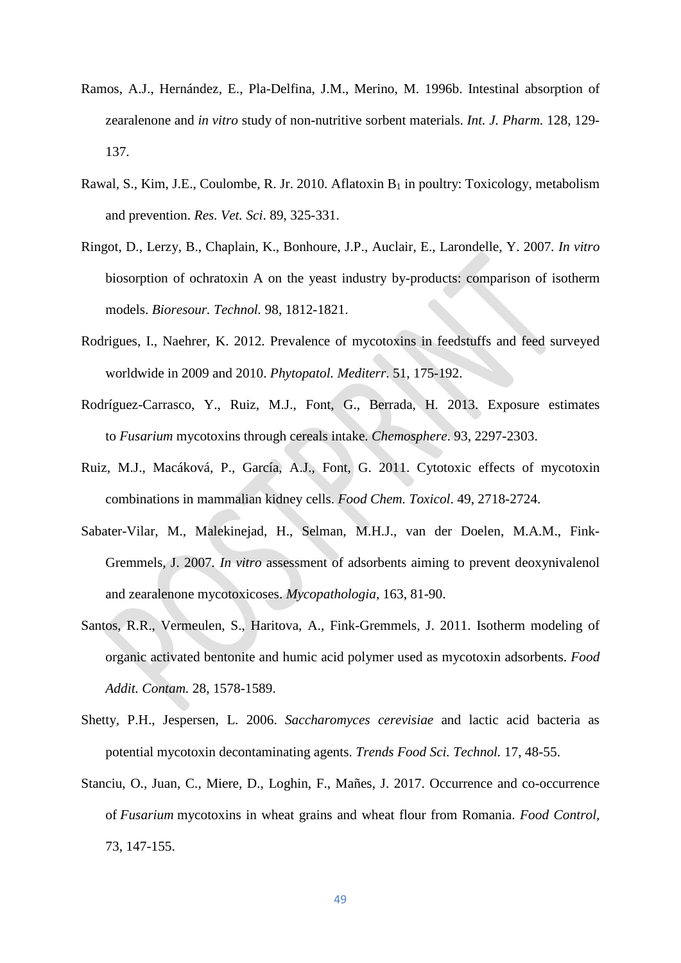- Ramos, A.J., Hernández, E., Pla-Delfina, J.M., Merino, M. 1996b. Intestinal absorption of zearalenone and *in vitro* study of non-nutritive sorbent materials. *Int. J. Pharm.* 128, 129- 137.
- [Rawal,](http://www.sciencedirect.com/science/article/pii/S0034528810001116%23!) S., [Kim,](http://www.sciencedirect.com/science/article/pii/S0034528810001116%23!) J.E., [Coulombe, R. Jr.](http://www.sciencedirect.com/science/article/pii/S0034528810001116%23!) 2010. Aflatoxin  $B_1$  in poultry: Toxicology, metabolism and prevention. *[Res. Vet. Sci](http://www.sciencedirect.com/science/journal/00345288)*. [89,](http://www.sciencedirect.com/science/journal/00345288) 325-331.
- Ringot, D., Lerzy, B., Chaplain, K., Bonhoure, J.P., Auclair, E., Larondelle, Y. 2007*. In vitro*  biosorption of ochratoxin A on the yeast industry by-products: comparison of isotherm models. *Bioresour. Technol.* 98, 1812-1821.
- Rodrigues, I., Naehrer, K. 2012. Prevalence of mycotoxins in feedstuffs and feed surveyed worldwide in 2009 and 2010. *Phytopatol. Mediterr*. 51, 175-192.
- [Rodríguez-Carrasco,](https://www.sciencedirect.com/science/article/pii/S0045653513010928%23!) Y., [Ruiz,](https://www.sciencedirect.com/science/article/pii/S0045653513010928%23!) M.J., Font, G., [Berrada,](https://www.sciencedirect.com/science/article/pii/S0045653513010928%23!) H. 2013. Exposure estimates to *Fusarium* mycotoxins through cereals intake. *Chemosphere*. 93, 2297-2303.
- [Ruiz,](http://www.sciencedirect.com/science/article/pii/S0278691511003449%23!) M.J., [Macáková,](http://www.sciencedirect.com/science/article/pii/S0278691511003449%23!) P., [García,](http://www.sciencedirect.com/science/article/pii/S0278691511003449%23!) A.J., [Font,](http://www.sciencedirect.com/science/article/pii/S0278691511003449%23!) G. 2011. Cytotoxic effects of mycotoxin combinations in mammalian kidney cells. *Food Chem. Toxicol*. 49, 2718-2724.
- Sabater-Vilar, M., Malekinejad, H., Selman, M.H.J., van der Doelen, M.A.M., Fink-Gremmels, J. 2007*. In vitro* assessment of adsorbents aiming to prevent deoxynivalenol and zearalenone mycotoxicoses. *Mycopathologia,* 163, 81-90.
- Santos, R.R., Vermeulen, S., Haritova, A., Fink-Gremmels, J. 2011. Isotherm modeling of organic activated bentonite and humic acid polymer used as mycotoxin adsorbents. *Food Addit. Contam.* 28, 1578-1589.
- Shetty, P.H., Jespersen, L. 2006. *Saccharomyces cerevisiae* and lactic acid bacteria as potential mycotoxin decontaminating agents. *Trends Food Sci. Technol.* 17, 48-55.
- Stanciu, O., Juan, C., Miere, D., Loghin, F., Mañes, J. 2017. Occurrence and co-occurrence of *Fusarium* mycotoxins in wheat grains and wheat flour from Romania. *Food Control,* 73, 147-155.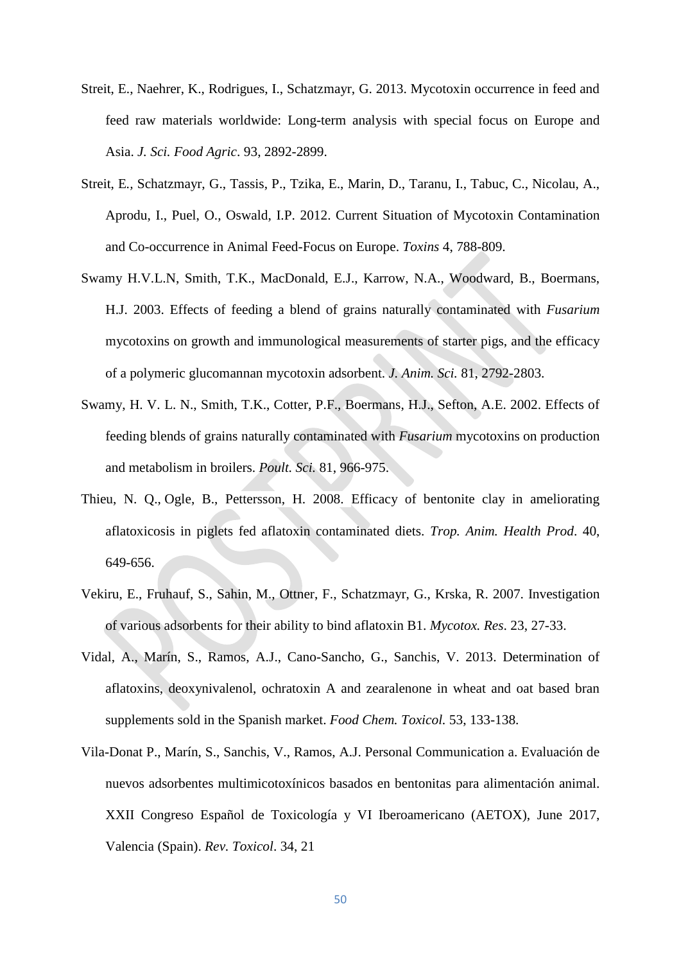- Streit, E., Naehrer, K., Rodrigues, I., Schatzmayr, G. 2013. Mycotoxin occurrence in feed and feed raw materials worldwide: Long-term analysis with special focus on Europe and Asia. *J. Sci. Food Agric*. 93, 2892-2899.
- Streit, E*.,* Schatzmayr, G., Tassis, P., Tzika, E., Marin, D., Taranu, I., Tabuc, C., Nicolau, A., Aprodu, I., Puel, O., Oswald, I.P. 2012. Current Situation of Mycotoxin Contamination and Co-occurrence in Animal Feed-Focus on Europe. *Toxins* 4, 788-809.
- Swamy H.V.L.N, Smith, T.K., MacDonald, E.J., Karrow, N.A., Woodward, B., Boermans, H.J. 2003. Effects of feeding a blend of grains naturally contaminated with *Fusarium*  mycotoxins on growth and immunological measurements of starter pigs, and the efficacy of a polymeric glucomannan mycotoxin adsorbent. *J. Anim. Sci.* 81, 2792-2803.
- Swamy, H. V. L. N., Smith, T.K., Cotter, P.F., Boermans, H.J., Sefton, A.E. 2002. Effects of feeding blends of grains naturally contaminated with *Fusarium* mycotoxins on production and metabolism in broilers. *Poult. Sci.* 81, 966-975.
- [Thieu, N. Q.](https://www.ncbi.nlm.nih.gov/pubmed/?term=Thieu%20NQ%5BAuthor%5D&cauthor=true&cauthor_uid=18975130), [Ogle, B.](https://www.ncbi.nlm.nih.gov/pubmed/?term=Ogle%20B%5BAuthor%5D&cauthor=true&cauthor_uid=18975130), [Pettersson, H.](https://www.ncbi.nlm.nih.gov/pubmed/?term=Pettersson%20H%5BAuthor%5D&cauthor=true&cauthor_uid=18975130) 2008. Efficacy of bentonite clay in ameliorating aflatoxicosis in piglets fed aflatoxin contaminated diets. *Trop. Anim. Health Prod*. 40, 649-656.
- Vekiru, E., Fruhauf, S., Sahin, M., Ottner, F., Schatzmayr, G., Krska, R. 2007. Investigation of various adsorbents for their ability to bind aflatoxin B1. *Mycotox. Res*. 23, 27-33.
- [Vidal,](https://www.sciencedirect.com/science/article/pii/S0278691512008277%23!) A., [Marín,](https://www.sciencedirect.com/science/article/pii/S0278691512008277%23!) S., [Ramos,](https://www.sciencedirect.com/science/article/pii/S0278691512008277%23!) A.J., [Cano-Sancho,](https://www.sciencedirect.com/science/article/pii/S0278691512008277%23!) G., [Sanchis,](https://www.sciencedirect.com/science/article/pii/S0278691512008277%23!) V. 2013. Determination of aflatoxins, deoxynivalenol, ochratoxin A and zearalenone in wheat and oat based bran supplements sold in the Spanish market. *Food Chem. Toxicol.* 53, 133-138.
- Vila-Donat P., Marín, S., Sanchis, V., Ramos, A.J. Personal Communication a. Evaluación de nuevos adsorbentes multimicotoxínicos basados en bentonitas para alimentación animal. XXII Congreso Español de Toxicología y VI Iberoamericano (AETOX), June 2017, Valencia (Spain). *Rev. Toxicol*. 34, 21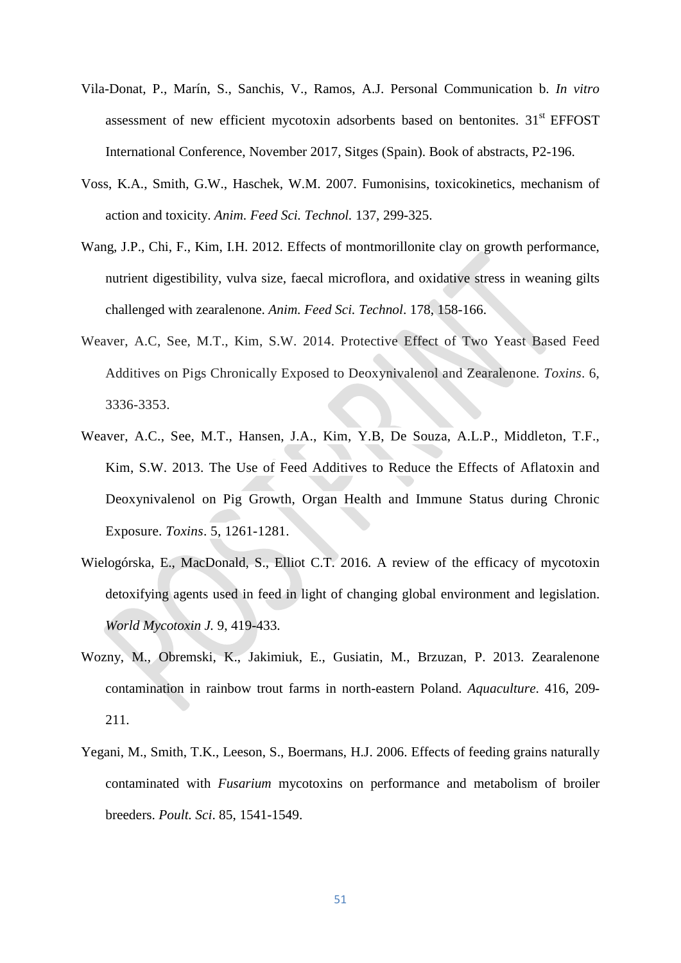- Vila-Donat, P., Marín, S., Sanchis, V., Ramos, A.J. Personal Communication b. *In vitro* assessment of new efficient mycotoxin adsorbents based on bentonites.  $31<sup>st</sup> EFFOST$ International Conference, November 2017, Sitges (Spain). Book of abstracts, P2-196.
- Voss, K.A., Smith, G.W., Haschek, W.M. 2007. Fumonisins, toxicokinetics, mechanism of action and toxicity. *Anim. Feed Sci. Technol.* 137, 299-325.
- Wang, J.P., Chi, F., Kim, I.H. 2012. Effects of montmorillonite clay on growth performance, nutrient digestibility, vulva size, faecal microflora, and oxidative stress in weaning gilts challenged with zearalenone. *Anim. Feed Sci. Technol*. 178, 158-166.
- Weaver, A.C, See, M.T., Kim, S.W. 2014. Protective Effect of Two Yeast Based Feed Additives on Pigs Chronically Exposed to Deoxynivalenol and Zearalenone*. Toxins*. 6, 3336-3353.
- Weaver, A.C., See, M.T., Hansen, J.A., Kim, Y.B, De Souza, A.L.P., Middleton, T.F., Kim, S.W. 2013. The Use of Feed Additives to Reduce the Effects of Aflatoxin and Deoxynivalenol on Pig Growth, Organ Health and Immune Status during Chronic Exposure. *Toxins*. 5, 1261-1281.
- Wielogórska, E., MacDonald, S., Elliot C.T. 2016. A review of the efficacy of mycotoxin detoxifying agents used in feed in light of changing global environment and legislation. *World Mycotoxin J.* 9, 419-433.
- Wozny, M., Obremski, K., Jakimiuk, E., Gusiatin, M., Brzuzan, P. 2013. Zearalenone contamination in rainbow trout farms in north-eastern Poland. *Aquaculture*. 416, 209- 211.
- Yegani, M., Smith, T.K., Leeson, S., Boermans, H.J. 2006. Effects of feeding grains naturally contaminated with *Fusarium* mycotoxins on performance and metabolism of broiler breeders. *Poult. Sci*. 85, 1541-1549.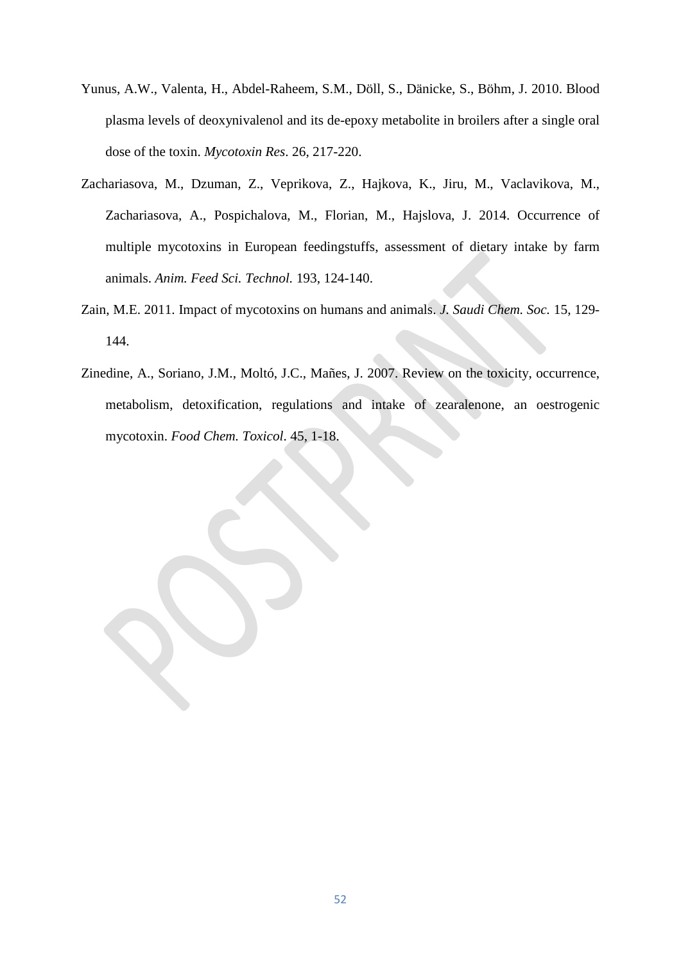- Yunus, A.W., Valenta, H., Abdel-Raheem, S.M., Döll, S., Dänicke, S., Böhm, J. 2010. Blood plasma levels of deoxynivalenol and its de-epoxy metabolite in broilers after a single oral dose of the toxin. *Mycotoxin Res*. 26, 217-220.
- Zachariasova, M., Dzuman, Z., Veprikova, Z., Hajkova, K., Jiru, M., Vaclavikova, M., Zachariasova, A., Pospichalova, M., Florian, M., Hajslova, J. 2014. Occurrence of multiple mycotoxins in European feedingstuffs, assessment of dietary intake by farm animals. *Anim. Feed Sci. Technol.* 193, 124-140.
- Zain, M.E. 2011. Impact of mycotoxins on humans and animals. *J. Saudi Chem. Soc.* 15, 129- 144.
- Zinedine, A., Soriano, J.M., Moltó, J.C., Mañes, J. 2007. Review on the toxicity, occurrence, metabolism, detoxification, regulations and intake of zearalenone, an oestrogenic mycotoxin. *Food Chem. Toxicol*. 45, 1-18.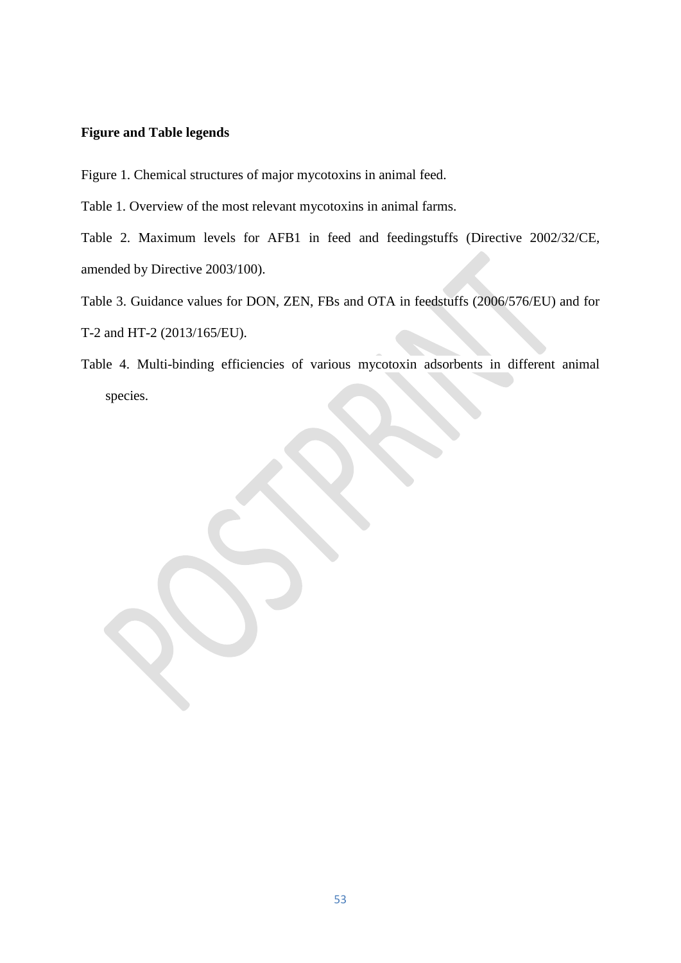# **Figure and Table legends**

Figure 1. Chemical structures of major mycotoxins in animal feed.

Table 1. Overview of the most relevant mycotoxins in animal farms.

Table 2. Maximum levels for AFB1 in feed and feedingstuffs (Directive 2002/32/CE, amended by Directive 2003/100).

Table 3. Guidance values for DON, ZEN, FBs and OTA in feedstuffs (2006/576/EU) and for

T-2 and HT-2 (2013/165/EU).

Table 4. Multi-binding efficiencies of various mycotoxin adsorbents in different animal species.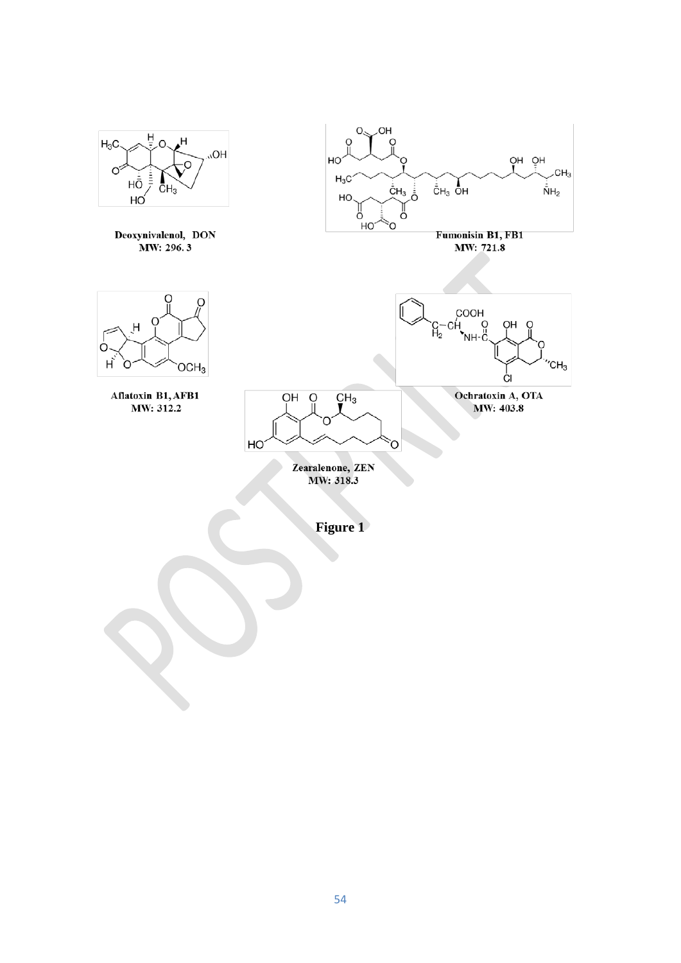

54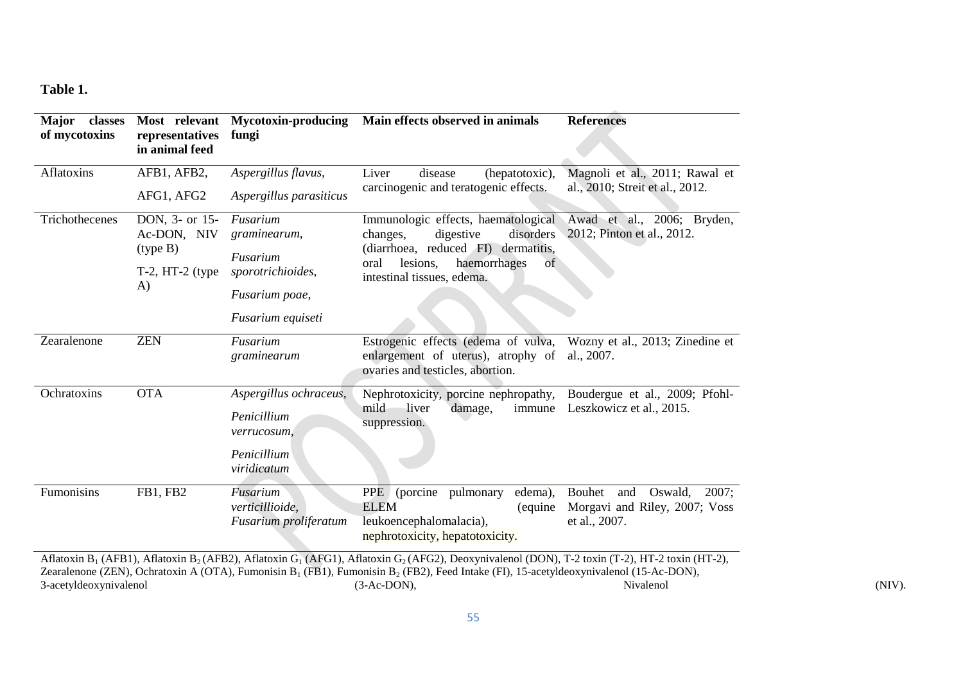**Table 1.**

| Major<br>classes<br>Most relevant<br>of mycotoxins<br>representatives<br>in animal feed                                                                                                       |                                           | <b>Mycotoxin-producing</b><br>fungi      | Main effects observed in animals                                                                              | <b>References</b>                                                 |  |
|-----------------------------------------------------------------------------------------------------------------------------------------------------------------------------------------------|-------------------------------------------|------------------------------------------|---------------------------------------------------------------------------------------------------------------|-------------------------------------------------------------------|--|
| Aflatoxins                                                                                                                                                                                    | AFB1, AFB2,<br>AFG1, AFG2                 | Aspergillus flavus,                      | Liver<br>disease<br>(hepatotoxic),                                                                            | Magnoli et al., 2011; Rawal et<br>al., 2010; Streit et al., 2012. |  |
|                                                                                                                                                                                               |                                           | Aspergillus parasiticus                  | carcinogenic and teratogenic effects.                                                                         |                                                                   |  |
| Trichothecenes                                                                                                                                                                                | DON, 3- or 15-<br>Ac-DON, NIV<br>(type B) | Fusarium<br>graminearum,                 | Immunologic effects, haematological<br>digestive<br>disorders<br>changes,                                     | Awad et al., 2006; Bryden,<br>2012; Pinton et al., 2012.          |  |
|                                                                                                                                                                                               |                                           | Fusarium                                 | (diarrhoea, reduced FI)<br>dermatitis,                                                                        |                                                                   |  |
|                                                                                                                                                                                               | $T-2$ , HT $-2$ (type<br>A)               | sporotrichioides,                        | haemorrhages<br>lesions,<br>oral<br>of<br>intestinal tissues, edema.                                          |                                                                   |  |
|                                                                                                                                                                                               |                                           | Fusarium poae,                           |                                                                                                               |                                                                   |  |
|                                                                                                                                                                                               |                                           | Fusarium equiseti                        |                                                                                                               |                                                                   |  |
| Zearalenone                                                                                                                                                                                   | <b>ZEN</b>                                | Fusarium<br>graminearum                  | Estrogenic effects (edema of vulva,<br>enlargement of uterus), atrophy of<br>ovaries and testicles, abortion. | Wozny et al., 2013; Zinedine et<br>al., 2007.                     |  |
| Ochratoxins                                                                                                                                                                                   | <b>OTA</b>                                | Aspergillus ochraceus,                   | Nephrotoxicity, porcine nephropathy,                                                                          | Boudergue et al., 2009; Pfohl-<br>Leszkowicz et al., 2015.        |  |
|                                                                                                                                                                                               |                                           | Penicillium<br>verrucosum,               | mild<br>liver<br>damage,<br>immune<br>suppression.                                                            |                                                                   |  |
|                                                                                                                                                                                               |                                           | Penicillium<br>viridicatum               |                                                                                                               |                                                                   |  |
| Fumonisins                                                                                                                                                                                    | <b>FB1, FB2</b>                           | Fusarium                                 | <b>PPE</b><br>pulmonary<br>edema),<br>(porcine)                                                               | Bouhet<br>Oswald.<br>2007:<br>and                                 |  |
|                                                                                                                                                                                               |                                           | verticillioide,<br>Fusarium proliferatum | <b>ELEM</b><br>(equine)<br>leukoencephalomalacia),<br>nephrotoxicity, hepatotoxicity.                         | Morgavi and Riley, 2007; Voss<br>et al., 2007.                    |  |
| Aflatoxin B <sub>1</sub> (AFB1), Aflatoxin B <sub>2</sub> (AFB2), Aflatoxin G <sub>1</sub> (AFG1), Aflatoxin G <sub>2</sub> (AFG2), Deoxynivalenol (DON), T-2 toxin (T-2), HT-2 toxin (HT-2), |                                           |                                          |                                                                                                               |                                                                   |  |

Zearalenone (ZEN), Ochratoxin A (OTA), Fumonisin B<sub>1</sub> (FB1), Fumonisin B<sub>2</sub> (FB2), Feed Intake (FI), 15-acetyldeoxynivalenol (15-Ac-DON), [3-acetyldeoxynivalenol](https://www.google.es/url?sa=t&rct=j&q=&esrc=s&source=web&cd=2&cad=rja&uact=8&ved=0ahUKEwjplJey5czXAhVPzqQKHUujBl0QFggxMAE&url=http%3A%2F%2Fwww.sigmaaldrich.com%2Fcatalog%2Fproduct%2Fsigma%2Fa6166&usg=AOvVaw1Xg4ns49WcKrm9DZ0c_97e) (3-Ac-DON), (3-Ac-DON), Nivalenol (NIV).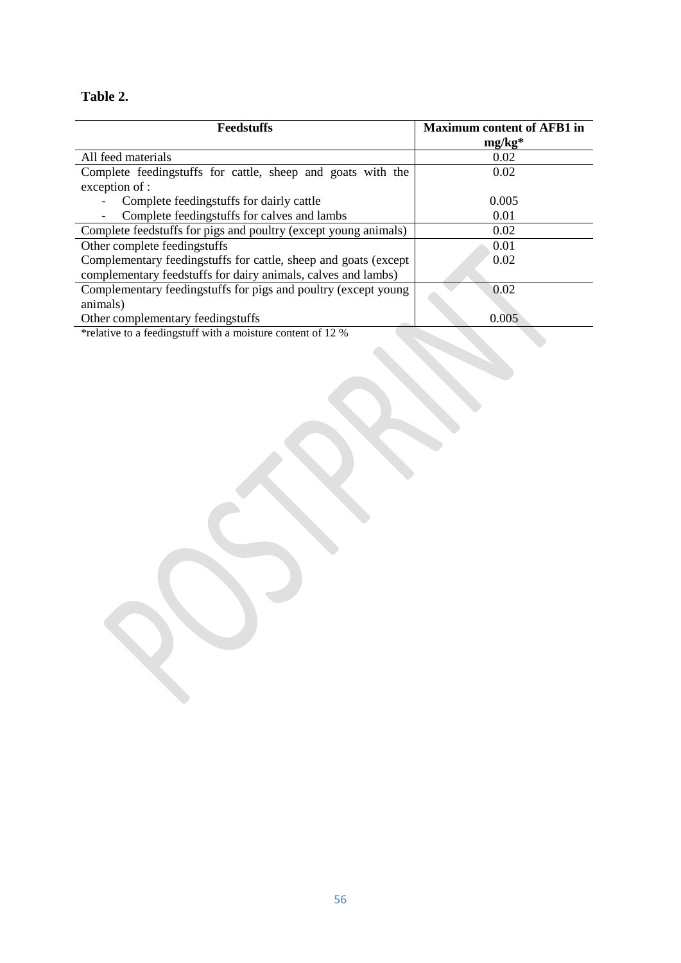# **Table 2.**

| <b>Feedstuffs</b>                                                   | <b>Maximum content of AFB1 in</b> |
|---------------------------------------------------------------------|-----------------------------------|
|                                                                     | $mg/kg*$                          |
| All feed materials                                                  | 0.02                              |
| Complete feedingstuffs for cattle, sheep and goats with the         | 0.02                              |
| exception of :                                                      |                                   |
| Complete feedingstuffs for dairly cattle                            | 0.005                             |
| Complete feedingstuffs for calves and lambs                         | 0.01                              |
| Complete feedstuffs for pigs and poultry (except young animals)     | 0.02                              |
| Other complete feedingstuffs                                        | 0.01                              |
| Complementary feedingstuffs for cattle, sheep and goats (except)    | 0.02                              |
| complementary feedstuffs for dairy animals, calves and lambs)       |                                   |
| Complementary feedingstuffs for pigs and poultry (except young      | 0.02                              |
| animals)                                                            |                                   |
| Other complementary feedingstuffs                                   | 0.005                             |
| $*$ contains to a fooding ot if with a moisture contant of 12 $0$ / |                                   |

\*relative to a feedingstuff with a moisture content of 12 %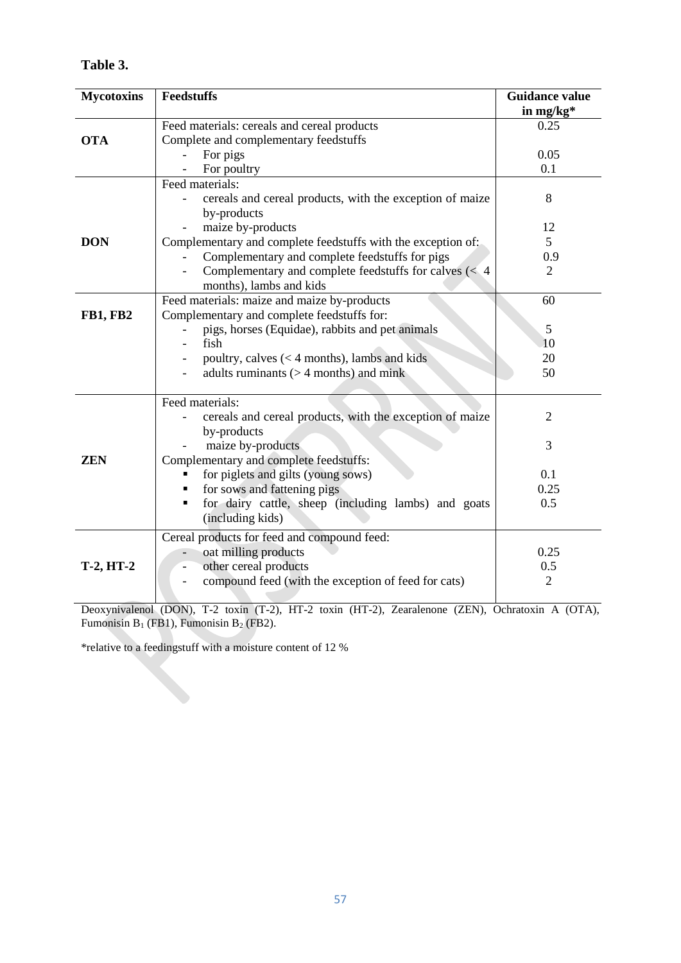| l'able : |  |
|----------|--|
|----------|--|

| <b>Mycotoxins</b> | <b>Feedstuffs</b>                                                       | <b>Guidance value</b> |
|-------------------|-------------------------------------------------------------------------|-----------------------|
|                   |                                                                         | in mg/ $kg*$          |
| <b>OTA</b>        | Feed materials: cereals and cereal products                             | 0.25                  |
|                   | Complete and complementary feedstuffs                                   |                       |
|                   | For pigs                                                                | 0.05                  |
|                   | For poultry                                                             | 0.1                   |
|                   | Feed materials:                                                         |                       |
|                   | cereals and cereal products, with the exception of maize<br>by-products | 8                     |
|                   | maize by-products                                                       | 12                    |
| <b>DON</b>        | Complementary and complete feedstuffs with the exception of:            | $\mathfrak{S}$        |
|                   | Complementary and complete feedstuffs for pigs                          | 0.9                   |
|                   | Complementary and complete feedstuffs for calves $\left( < 4 \right)$   | $\overline{2}$        |
|                   | months), lambs and kids                                                 |                       |
|                   | Feed materials: maize and maize by-products                             | 60                    |
| <b>FB1, FB2</b>   | Complementary and complete feedstuffs for:                              |                       |
|                   | pigs, horses (Equidae), rabbits and pet animals                         | 5                     |
|                   | fish                                                                    | 10                    |
|                   | poultry, calves $(< 4$ months), lambs and kids                          | 20                    |
|                   | adults ruminants $(>4$ months) and mink                                 | 50                    |
|                   |                                                                         |                       |
|                   | Feed materials:                                                         |                       |
|                   | cereals and cereal products, with the exception of maize                | $\overline{2}$        |
|                   | by-products                                                             |                       |
| <b>ZEN</b>        | maize by-products                                                       | 3                     |
|                   | Complementary and complete feedstuffs:<br>٠                             | 0.1                   |
|                   | for piglets and gilts (young sows)<br>for sows and fattening pigs       | 0.25                  |
|                   | for dairy cattle, sheep (including lambs) and goats<br>٠                | 0.5                   |
|                   | (including kids)                                                        |                       |
|                   | Cereal products for feed and compound feed:                             |                       |
|                   | oat milling products                                                    | 0.25                  |
| <b>T-2, HT-2</b>  | other cereal products                                                   | 0.5                   |
|                   | compound feed (with the exception of feed for cats)                     | $\overline{2}$        |
|                   |                                                                         |                       |

Deoxynivalenol (DON), T-2 toxin (T-2), HT-2 toxin (HT-2), Zearalenone (ZEN), Ochratoxin A (OTA), Fumonisin  $B_1$  (FB1), Fumonisin  $B_2$  (FB2).

\*relative to a feedingstuff with a moisture content of 12 %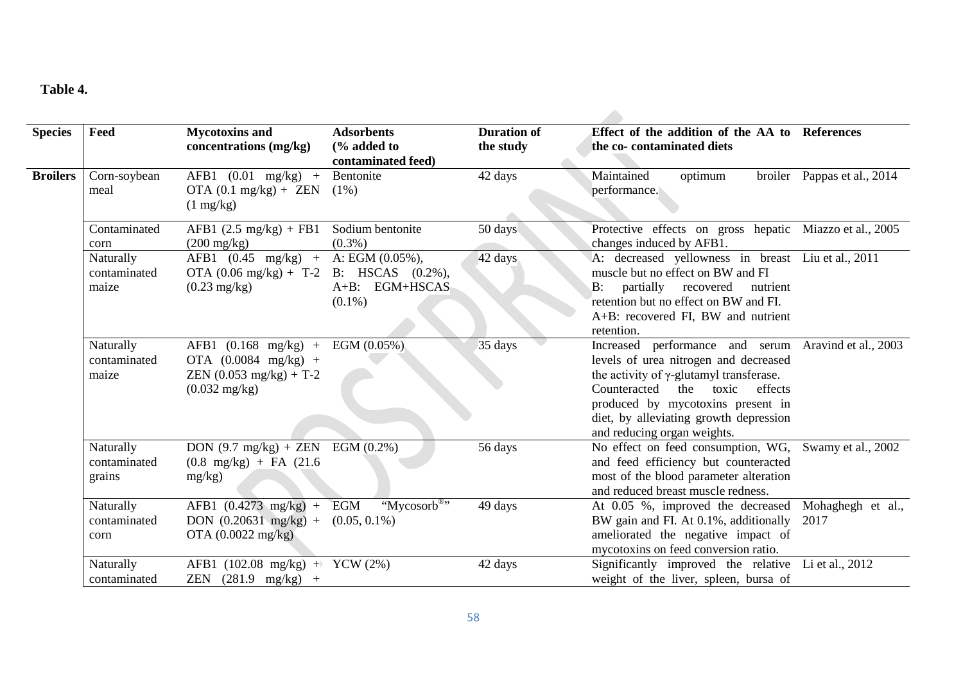# **Table 4.**

| <b>Species</b>  | Feed                                | <b>Mycotoxins and</b><br>concentrations (mg/kg)                                                                          | <b>Adsorbents</b><br>$\frac{6}{6}$ added to<br>contaminated feed)          | <b>Duration of</b><br>the study | Effect of the addition of the AA to References<br>the co-contaminated diets                                                                                                                                                                                                    |                             |  |
|-----------------|-------------------------------------|--------------------------------------------------------------------------------------------------------------------------|----------------------------------------------------------------------------|---------------------------------|--------------------------------------------------------------------------------------------------------------------------------------------------------------------------------------------------------------------------------------------------------------------------------|-----------------------------|--|
| <b>Broilers</b> | Corn-soybean<br>meal                | AFB1 $(0.01 \text{ mg/kg})$ +<br>OTA $(0.1 \text{ mg/kg}) + \text{ZEN}$ $(1\%)$<br>$(1 \text{ mg/kg})$                   | Bentonite                                                                  | 42 days                         | Maintained<br>optimum<br>performance.                                                                                                                                                                                                                                          | broiler Pappas et al., 2014 |  |
|                 | Contaminated<br>corn                | AFB1 $(2.5 \text{ mg/kg}) + \text{FB1}$<br>$(200 \text{ mg/kg})$                                                         | Sodium bentonite<br>$(0.3\%)$                                              | 50 days                         | Protective effects on gross hepatic Miazzo et al., 2005<br>changes induced by AFB1.                                                                                                                                                                                            |                             |  |
|                 | Naturally<br>contaminated<br>maize  | $AFB1 (0.45 mg/kg) +$<br>OTA $(0.06 \text{ mg/kg}) + T-2$<br>$(0.23 \text{ mg/kg})$                                      | A: EGM $(0.05\%)$ ,<br>B: HSCAS $(0.2\%)$ ,<br>A+B: EGM+HSCAS<br>$(0.1\%)$ | 42 days                         | A: decreased yellowness in breast Liu et al., 2011<br>muscle but no effect on BW and FI<br>partially recovered<br>$B$ :<br>nutrient<br>retention but no effect on BW and FI.<br>A+B: recovered FI, BW and nutrient<br>retention.                                               |                             |  |
|                 | Naturally<br>contaminated<br>maize  | $AFB1 (0.168 mg/kg) +$<br>OTA $(0.0084 \text{ mg/kg})$ +<br>ZEN $(0.053 \text{ mg/kg}) + T-2$<br>$(0.032 \text{ mg/kg})$ | EGM (0.05%)                                                                | 35 days                         | Increased performance and serum<br>levels of urea nitrogen and decreased<br>the activity of $\gamma$ -glutamyl transferase.<br>Counteracted the toxic<br>effects<br>produced by mycotoxins present in<br>diet, by alleviating growth depression<br>and reducing organ weights. | Aravind et al., 2003        |  |
|                 | Naturally<br>contaminated<br>grains | $\overline{DON}$ (9.7 mg/kg) + ZEN<br>$(0.8 \text{ mg/kg}) + \text{FA} (21.6$<br>mg/kg)                                  | EGM $(0.2\%)$                                                              | 56 days                         | No effect on feed consumption, WG,<br>and feed efficiency but counteracted<br>most of the blood parameter alteration<br>and reduced breast muscle redness.                                                                                                                     | Swamy et al., 2002          |  |
|                 | Naturally<br>contaminated<br>corn   | AFB1 $(0.4273 \text{ mg/kg})$ +<br>DON $(0.20631 \text{ mg/kg})$ +<br>OTA $(0.0022 \text{ mg/kg})$                       | " $Mycosorb$ <sup>®</sup> "<br>EGM<br>$(0.05, 0.1\%)$                      | 49 days                         | At 0.05 %, improved the decreased<br>BW gain and FI. At 0.1%, additionally<br>ameliorated the negative impact of<br>mycotoxins on feed conversion ratio.                                                                                                                       | Mohaghegh et al.,<br>2017   |  |
|                 | Naturally<br>contaminated           | AFB1 $(102.08 \text{ mg/kg}) +$<br>ZEN $(281.9 \text{ mg/kg})$ +                                                         | $YCW(2\%)$                                                                 | 42 days                         | Significantly improved the relative<br>weight of the liver, spleen, bursa of                                                                                                                                                                                                   | Li et al., 2012             |  |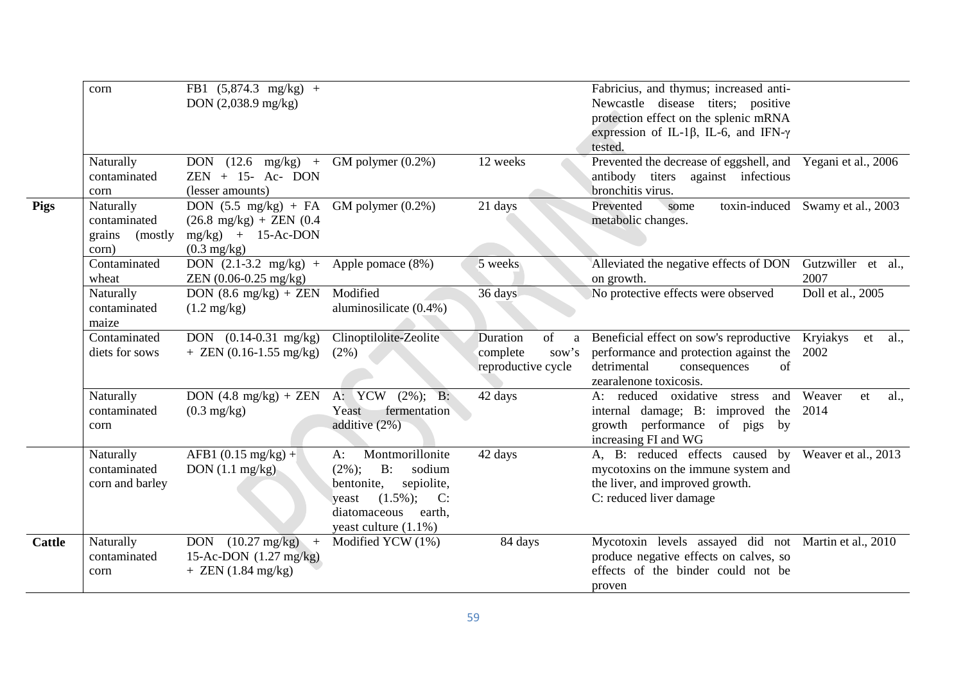|               | corn                                                     | FB1 $(5,874.3 \text{ mg/kg})$ +<br>DON $(2,038.9 \text{ mg/kg})$                                                                                |                                                                                                                                                                      |                                                                | Fabricius, and thymus; increased anti-<br>Newcastle disease titers; positive<br>protection effect on the splenic mRNA<br>expression of IL-1 $\beta$ , IL-6, and IFN- $\gamma$<br>tested. |                                  |
|---------------|----------------------------------------------------------|-------------------------------------------------------------------------------------------------------------------------------------------------|----------------------------------------------------------------------------------------------------------------------------------------------------------------------|----------------------------------------------------------------|------------------------------------------------------------------------------------------------------------------------------------------------------------------------------------------|----------------------------------|
|               | Naturally<br>contaminated<br>corn                        | DON $(12.6 \text{ mg/kg})$ +<br>$ZEN + 15 - Ac - DON$<br>(lesser amounts)                                                                       | GM polymer $(0.2\%)$                                                                                                                                                 | 12 weeks                                                       | Prevented the decrease of eggshell, and Yegani et al., 2006<br>antibody<br>titers<br>against infectious<br>bronchitis virus.                                                             |                                  |
| <b>Pigs</b>   | Naturally<br>contaminated<br>grains<br>(mostly)<br>corn) | DON $(5.5 \text{ mg/kg})$ + FA GM polymer $(0.2\%)$<br>$(26.8 \text{ mg/kg}) + \text{ZEN} (0.4$<br>$mg/kg$ + 15-Ac-DON<br>$(0.3 \text{ mg/kg})$ |                                                                                                                                                                      | 21 days                                                        | Prevented<br>some<br>metabolic changes.                                                                                                                                                  | toxin-induced Swamy et al., 2003 |
|               | Contaminated<br>wheat                                    | DON $(2.1-3.2 \text{ mg/kg})$ +<br>$ZEN (0.06-0.25 mg/kg)$                                                                                      | Apple pomace (8%)                                                                                                                                                    | 5 weeks                                                        | Alleviated the negative effects of DON<br>on growth.                                                                                                                                     | Gutzwiller et al.,<br>2007       |
|               | Naturally<br>contaminated<br>maize                       | DON $(8.6 \text{ mg/kg}) + \text{ZEN}$<br>$(1.2 \text{ mg/kg})$                                                                                 | Modified<br>aluminosilicate (0.4%)                                                                                                                                   | 36 days                                                        | No protective effects were observed                                                                                                                                                      | Doll et al., 2005                |
|               | Contaminated<br>diets for sows                           | DON $(0.14-0.31 \text{ mg/kg})$<br>$+$ ZEN (0.16-1.55 mg/kg)                                                                                    | Clinoptilolite-Zeolite<br>(2%)                                                                                                                                       | of<br>Duration<br>a<br>complete<br>sow's<br>reproductive cycle | Beneficial effect on sow's reproductive<br>performance and protection against the<br>detrimental<br>of<br>consequences<br>zearalenone toxicosis.                                         | Kryiakys<br>al.,<br>et<br>2002   |
|               | Naturally<br>contaminated<br>corn                        | DON $(4.8 \text{ mg/kg}) + \text{ZEN}$<br>$(0.3 \text{ mg/kg})$                                                                                 | A: YCW (2%); B:<br>fermentation<br>Yeast<br>additive (2%)                                                                                                            | 42 days                                                        | A: reduced oxidative stress<br>and<br>internal damage; B: improved the<br>growth performance of pigs<br>by<br>increasing FI and WG                                                       | Weaver<br>al.,<br>et<br>2014     |
|               | Naturally<br>contaminated<br>corn and barley             | $\overline{AFB1}$ (0.15 mg/kg) +<br>DON $(1.1 \text{ mg/kg})$                                                                                   | Montmorillonite<br>$A$ :<br>$B$ :<br>$(2\%)$ ;<br>sodium<br>bentonite,<br>sepiolite,<br>$(1.5\%)$ ; C:<br>yeast<br>diatomaceous<br>earth,<br>yeast culture $(1.1\%)$ | 42 days                                                        | A, B: reduced effects caused by<br>mycotoxins on the immune system and<br>the liver, and improved growth.<br>C: reduced liver damage                                                     | Weaver et al., 2013              |
| <b>Cattle</b> | Naturally<br>contaminated<br>corn                        | $(10.27 \text{ mg/kg})$<br><b>DON</b><br>$+$<br>15-Ac-DON $(1.27 \text{ mg/kg})$<br>$+$ ZEN (1.84 mg/kg)                                        | Modified YCW (1%)                                                                                                                                                    | 84 days                                                        | Mycotoxin levels assayed did not Martin et al., 2010<br>produce negative effects on calves, so<br>effects of the binder could not be<br>proven                                           |                                  |